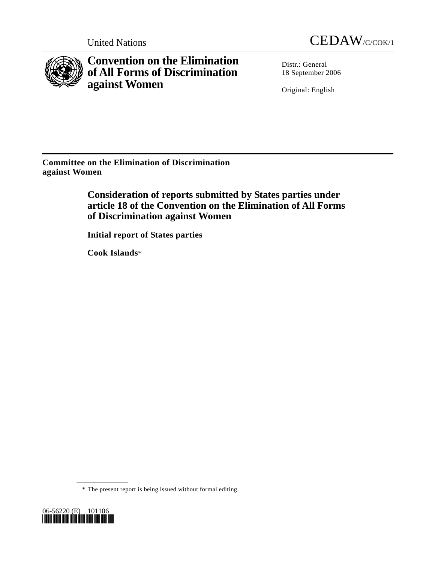



**Convention on the Elimination of All Forms of Discrimination against Women** 

Distr.: General 18 September 2006

Original: English

**Committee on the Elimination of Discrimination against Women** 

> **Consideration of reports submitted by States parties under article 18 of the Convention on the Elimination of All Forms of Discrimination against Women**

 **Initial report of States parties** 

 **Cook Islands**\*

 <sup>\*</sup> The present report is being issued without formal editing.

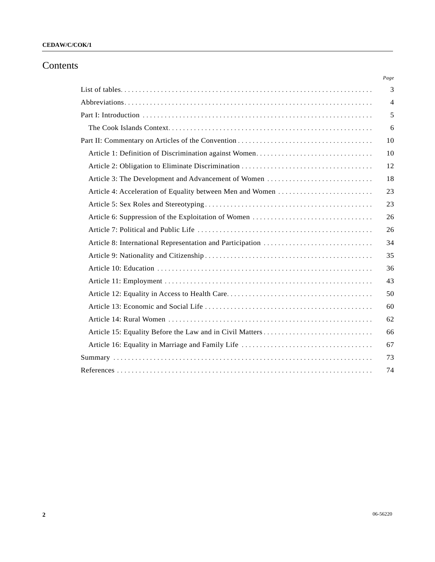# Contents

|                                                     | Page           |
|-----------------------------------------------------|----------------|
|                                                     | 3              |
|                                                     | $\overline{4}$ |
|                                                     | 5              |
|                                                     | 6              |
|                                                     | 10             |
|                                                     | 10             |
|                                                     | 12             |
| Article 3: The Development and Advancement of Women | 18             |
|                                                     | 23             |
|                                                     | 23             |
|                                                     | 26             |
|                                                     | 26             |
|                                                     | 34             |
|                                                     | 35             |
|                                                     | 36             |
|                                                     | 43             |
|                                                     | 50             |
|                                                     | 60             |
|                                                     | 62             |
|                                                     | 66             |
|                                                     | 67             |
|                                                     | 73             |
|                                                     | 74             |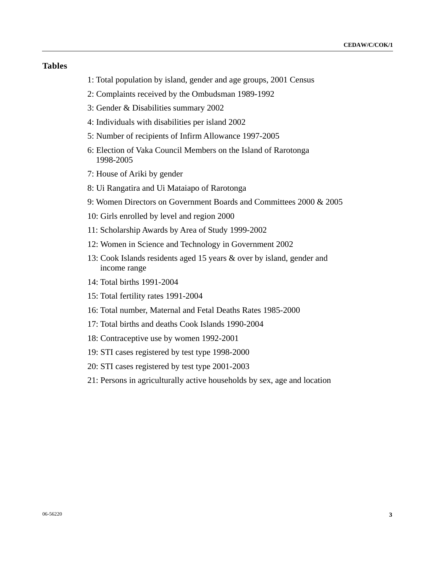#### **Tables**

- 1: Total population by island, gender and age groups, 2001 Census
- 2: Complaints received by the Ombudsman 1989-1992
- 3: Gender & Disabilities summary 2002
- 4: Individuals with disabilities per island 2002
- 5: Number of recipients of Infirm Allowance 1997-2005
- 6: Election of Vaka Council Members on the Island of Rarotonga 1998-2005
- 7: House of Ariki by gender
- 8: Ui Rangatira and Ui Mataiapo of Rarotonga
- 9: Women Directors on Government Boards and Committees 2000 & 2005
- 10: Girls enrolled by level and region 2000
- 11: Scholarship Awards by Area of Study 1999-2002
- 12: Women in Science and Technology in Government 2002
- 13: Cook Islands residents aged 15 years & over by island, gender and income range
- 14: Total births 1991-2004
- 15: Total fertility rates 1991-2004
- 16: Total number, Maternal and Fetal Deaths Rates 1985-2000
- 17: Total births and deaths Cook Islands 1990-2004
- 18: Contraceptive use by women 1992-2001
- 19: STI cases registered by test type 1998-2000
- 20: STI cases registered by test type 2001-2003
- 21: Persons in agriculturally active households by sex, age and location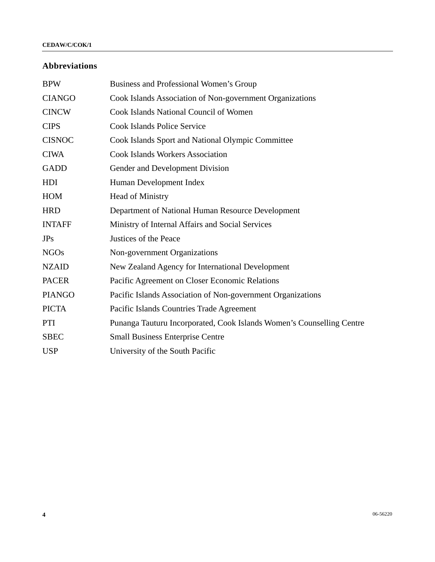#### **CEDAW/C/COK/1**

## **Abbreviations**

| <b>BPW</b>    | Business and Professional Women's Group                               |
|---------------|-----------------------------------------------------------------------|
| <b>CIANGO</b> | Cook Islands Association of Non-government Organizations              |
| <b>CINCW</b>  | Cook Islands National Council of Women                                |
| <b>CIPS</b>   | Cook Islands Police Service                                           |
| <b>CISNOC</b> | Cook Islands Sport and National Olympic Committee                     |
| <b>CIWA</b>   | <b>Cook Islands Workers Association</b>                               |
| <b>GADD</b>   | Gender and Development Division                                       |
| HDI           | Human Development Index                                               |
| <b>HOM</b>    | <b>Head of Ministry</b>                                               |
| <b>HRD</b>    | Department of National Human Resource Development                     |
| <b>INTAFF</b> | Ministry of Internal Affairs and Social Services                      |
| <b>JPs</b>    | Justices of the Peace                                                 |
| <b>NGOs</b>   | Non-government Organizations                                          |
| <b>NZAID</b>  | New Zealand Agency for International Development                      |
| <b>PACER</b>  | Pacific Agreement on Closer Economic Relations                        |
| <b>PIANGO</b> | Pacific Islands Association of Non-government Organizations           |
| <b>PICTA</b>  | Pacific Islands Countries Trade Agreement                             |
| PTI           | Punanga Tauturu Incorporated, Cook Islands Women's Counselling Centre |
| <b>SBEC</b>   | <b>Small Business Enterprise Centre</b>                               |
| <b>USP</b>    | University of the South Pacific                                       |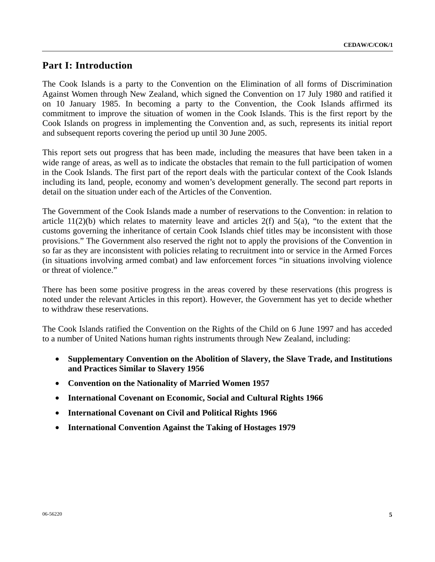# **Part I: Introduction**

The Cook Islands is a party to the Convention on the Elimination of all forms of Discrimination Against Women through New Zealand, which signed the Convention on 17 July 1980 and ratified it on 10 January 1985. In becoming a party to the Convention, the Cook Islands affirmed its commitment to improve the situation of women in the Cook Islands. This is the first report by the Cook Islands on progress in implementing the Convention and, as such, represents its initial report and subsequent reports covering the period up until 30 June 2005.

This report sets out progress that has been made, including the measures that have been taken in a wide range of areas, as well as to indicate the obstacles that remain to the full participation of women in the Cook Islands. The first part of the report deals with the particular context of the Cook Islands including its land, people, economy and women's development generally. The second part reports in detail on the situation under each of the Articles of the Convention.

The Government of the Cook Islands made a number of reservations to the Convention: in relation to article  $11(2)(b)$  which relates to maternity leave and articles  $2(f)$  and  $5(a)$ , "to the extent that the customs governing the inheritance of certain Cook Islands chief titles may be inconsistent with those provisions." The Government also reserved the right not to apply the provisions of the Convention in so far as they are inconsistent with policies relating to recruitment into or service in the Armed Forces (in situations involving armed combat) and law enforcement forces "in situations involving violence or threat of violence."

There has been some positive progress in the areas covered by these reservations (this progress is noted under the relevant Articles in this report). However, the Government has yet to decide whether to withdraw these reservations.

The Cook Islands ratified the Convention on the Rights of the Child on 6 June 1997 and has acceded to a number of United Nations human rights instruments through New Zealand, including:

- **Supplementary Convention on the Abolition of Slavery, the Slave Trade, and Institutions and Practices Similar to Slavery 1956**
- **Convention on the Nationality of Married Women 1957**
- **International Covenant on Economic, Social and Cultural Rights 1966**
- **International Covenant on Civil and Political Rights 1966**
- **International Convention Against the Taking of Hostages 1979**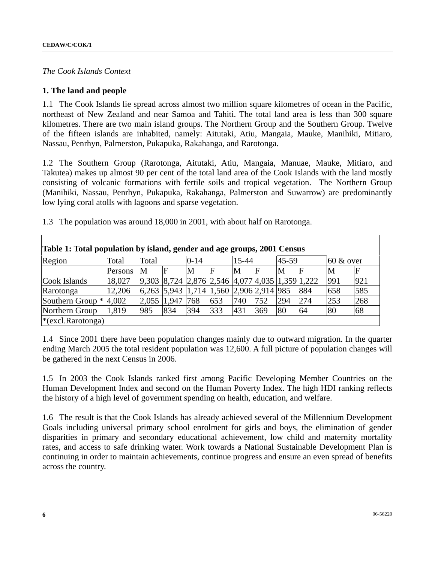#### *The Cook Islands Context*

#### **1. The land and people**

1.1 The Cook Islands lie spread across almost two million square kilometres of ocean in the Pacific, northeast of New Zealand and near Samoa and Tahiti. The total land area is less than 300 square kilometres. There are two main island groups. The Northern Group and the Southern Group. Twelve of the fifteen islands are inhabited, namely: Aitutaki, Atiu, Mangaia, Mauke, Manihiki, Mitiaro, Nassau, Penrhyn, Palmerston, Pukapuka, Rakahanga, and Rarotonga.

1.2 The Southern Group (Rarotonga, Aitutaki, Atiu, Mangaia, Manuae, Mauke, Mitiaro, and Takutea) makes up almost 90 per cent of the total land area of the Cook Islands with the land mostly consisting of volcanic formations with fertile soils and tropical vegetation. The Northern Group (Manihiki, Nassau, Penrhyn, Pukapuka, Rakahanga, Palmerston and Suwarrow) are predominantly low lying coral atolls with lagoons and sparse vegetation.

| Table 1: Total population by island, gender and age groups, 2001 Census |         |                                                    |       |     |                             |     |     |     |     |     |     |
|-------------------------------------------------------------------------|---------|----------------------------------------------------|-------|-----|-----------------------------|-----|-----|-----|-----|-----|-----|
| Region<br>Total<br>15-44<br>$0 - 14$<br>45-59<br>$60 \& over$<br>Total  |         |                                                    |       |     |                             |     |     |     |     |     |     |
|                                                                         | Persons | M                                                  |       | M   | F                           | M   | F   | M   |     | M   | F   |
| Cook Islands                                                            | 18,027  | $ 9,303 8,724 2,876 2,546 4,077 4,035 1,359 1,222$ |       |     |                             |     |     |     |     | 991 | 921 |
| Rarotonga                                                               | 12,206  | 6,263 5,943                                        |       |     | 1,714 1,560 2,906 2,914 985 |     |     |     | 884 | 658 | 585 |
| Southern Group *                                                        | 4,002   | 2,055                                              | 1,947 | 768 | 653                         | 740 | 752 | 294 | 274 | 253 | 268 |
| Northern Group                                                          | 1,819   | 985                                                | 834   | 394 | 333                         | 431 | 369 | 80  | 64  | 80  | 68  |
| $*$ (excl.Rarotonga)                                                    |         |                                                    |       |     |                             |     |     |     |     |     |     |

1.3 The population was around 18,000 in 2001, with about half on Rarotonga.

1.4 Since 2001 there have been population changes mainly due to outward migration. In the quarter ending March 2005 the total resident population was 12,600. A full picture of population changes will be gathered in the next Census in 2006.

1.5 In 2003 the Cook Islands ranked first among Pacific Developing Member Countries on the Human Development Index and second on the Human Poverty Index. The high HDI ranking reflects the history of a high level of government spending on health, education, and welfare.

1.6 The result is that the Cook Islands has already achieved several of the Millennium Development Goals including universal primary school enrolment for girls and boys, the elimination of gender disparities in primary and secondary educational achievement, low child and maternity mortality rates, and access to safe drinking water. Work towards a National Sustainable Development Plan is continuing in order to maintain achievements, continue progress and ensure an even spread of benefits across the country.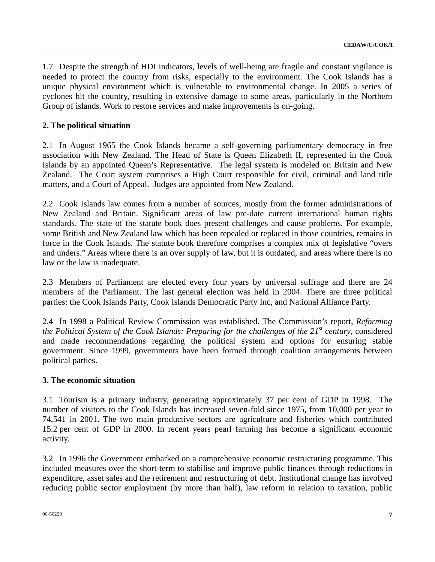1.7 Despite the strength of HDI indicators, levels of well-being are fragile and constant vigilance is needed to protect the country from risks, especially to the environment. The Cook Islands has a unique physical environment which is vulnerable to environmental change. In 2005 a series of cyclones hit the country, resulting in extensive damage to some areas, particularly in the Northern Group of islands. Work to restore services and make improvements is on-going.

## **2. The political situation**

2.1 In August 1965 the Cook Islands became a self-governing parliamentary democracy in free association with New Zealand. The Head of State is Queen Elizabeth II, represented in the Cook Islands by an appointed Queen's Representative. The legal system is modeled on Britain and New Zealand. The Court system comprises a High Court responsible for civil, criminal and land title matters, and a Court of Appeal. Judges are appointed from New Zealand.

2.2 Cook Islands law comes from a number of sources, mostly from the former administrations of New Zealand and Britain. Significant areas of law pre-date current international human rights standards. The state of the statute book does present challenges and cause problems. For example, some British and New Zealand law which has been repealed or replaced in those countries, remains in force in the Cook Islands. The statute book therefore comprises a complex mix of legislative "overs and unders." Areas where there is an over supply of law, but it is outdated, and areas where there is no law or the law is inadequate.

2.3 Members of Parliament are elected every four years by universal suffrage and there are 24 members of the Parliament. The last general election was held in 2004. There are three political parties: the Cook Islands Party, Cook Islands Democratic Party Inc, and National Alliance Party.

2.4 In 1998 a Political Review Commission was established. The Commission's report, *Reforming the Political System of the Cook Islands: Preparing for the challenges of the 21<sup>st</sup> century, considered* and made recommendations regarding the political system and options for ensuring stable government. Since 1999, governments have been formed through coalition arrangements between political parties.

## **3. The economic situation**

3.1 Tourism is a primary industry, generating approximately 37 per cent of GDP in 1998. The number of visitors to the Cook Islands has increased seven-fold since 1975, from 10,000 per year to 74,541 in 2001. The two main productive sectors are agriculture and fisheries which contributed 15.2 per cent of GDP in 2000. In recent years pearl farming has become a significant economic activity.

3.2 In 1996 the Government embarked on a comprehensive economic restructuring programme. This included measures over the short-term to stabilise and improve public finances through reductions in expenditure, asset sales and the retirement and restructuring of debt. Institutional change has involved reducing public sector employment (by more than half), law reform in relation to taxation, public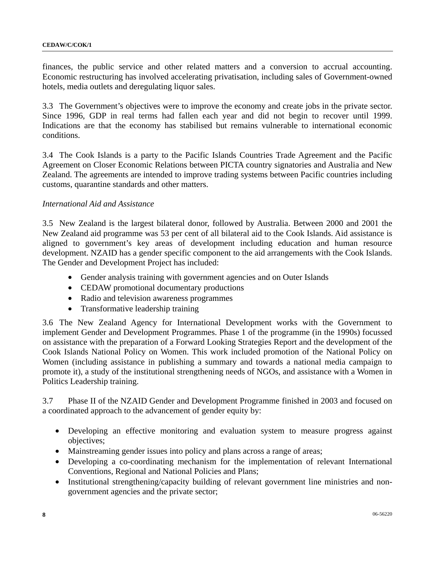finances, the public service and other related matters and a conversion to accrual accounting. Economic restructuring has involved accelerating privatisation, including sales of Government-owned hotels, media outlets and deregulating liquor sales.

3.3 The Government's objectives were to improve the economy and create jobs in the private sector. Since 1996, GDP in real terms had fallen each year and did not begin to recover until 1999. Indications are that the economy has stabilised but remains vulnerable to international economic conditions.

3.4 The Cook Islands is a party to the Pacific Islands Countries Trade Agreement and the Pacific Agreement on Closer Economic Relations between PICTA country signatories and Australia and New Zealand. The agreements are intended to improve trading systems between Pacific countries including customs, quarantine standards and other matters.

#### *International Aid and Assistance*

3.5 New Zealand is the largest bilateral donor, followed by Australia. Between 2000 and 2001 the New Zealand aid programme was 53 per cent of all bilateral aid to the Cook Islands. Aid assistance is aligned to government's key areas of development including education and human resource development. NZAID has a gender specific component to the aid arrangements with the Cook Islands. The Gender and Development Project has included:

- Gender analysis training with government agencies and on Outer Islands
- CEDAW promotional documentary productions
- Radio and television awareness programmes
- Transformative leadership training

3.6 The New Zealand Agency for International Development works with the Government to implement Gender and Development Programmes. Phase 1 of the programme (in the 1990s) focussed on assistance with the preparation of a Forward Looking Strategies Report and the development of the Cook Islands National Policy on Women. This work included promotion of the National Policy on Women (including assistance in publishing a summary and towards a national media campaign to promote it), a study of the institutional strengthening needs of NGOs, and assistance with a Women in Politics Leadership training.

3.7 Phase II of the NZAID Gender and Development Programme finished in 2003 and focused on a coordinated approach to the advancement of gender equity by:

- Developing an effective monitoring and evaluation system to measure progress against objectives;
- Mainstreaming gender issues into policy and plans across a range of areas;
- Developing a co-coordinating mechanism for the implementation of relevant International Conventions, Regional and National Policies and Plans;
- Institutional strengthening/capacity building of relevant government line ministries and nongovernment agencies and the private sector;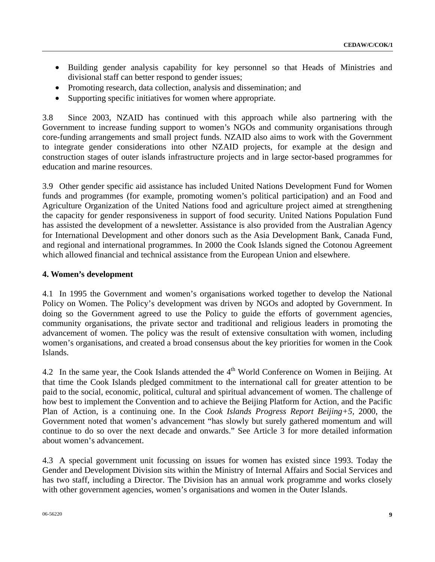- Building gender analysis capability for key personnel so that Heads of Ministries and divisional staff can better respond to gender issues;
- Promoting research, data collection, analysis and dissemination; and
- Supporting specific initiatives for women where appropriate.

3.8 Since 2003, NZAID has continued with this approach while also partnering with the Government to increase funding support to women's NGOs and community organisations through core-funding arrangements and small project funds. NZAID also aims to work with the Government to integrate gender considerations into other NZAID projects, for example at the design and construction stages of outer islands infrastructure projects and in large sector-based programmes for education and marine resources.

3.9 Other gender specific aid assistance has included United Nations Development Fund for Women funds and programmes (for example, promoting women's political participation) and an Food and Agriculture Organization of the United Nations food and agriculture project aimed at strengthening the capacity for gender responsiveness in support of food security. United Nations Population Fund has assisted the development of a newsletter. Assistance is also provided from the Australian Agency for International Development and other donors such as the Asia Development Bank, Canada Fund, and regional and international programmes. In 2000 the Cook Islands signed the Cotonou Agreement which allowed financial and technical assistance from the European Union and elsewhere.

## **4. Women's development**

4.1 In 1995 the Government and women's organisations worked together to develop the National Policy on Women. The Policy's development was driven by NGOs and adopted by Government. In doing so the Government agreed to use the Policy to guide the efforts of government agencies, community organisations, the private sector and traditional and religious leaders in promoting the advancement of women. The policy was the result of extensive consultation with women, including women's organisations, and created a broad consensus about the key priorities for women in the Cook Islands.

4.2 In the same year, the Cook Islands attended the  $4<sup>th</sup>$  World Conference on Women in Beijing. At that time the Cook Islands pledged commitment to the international call for greater attention to be paid to the social, economic, political, cultural and spiritual advancement of women. The challenge of how best to implement the Convention and to achieve the Beijing Platform for Action, and the Pacific Plan of Action, is a continuing one. In the *Cook Islands Progress Report Beijing+5,* 2000, the Government noted that women's advancement "has slowly but surely gathered momentum and will continue to do so over the next decade and onwards." See Article 3 for more detailed information about women's advancement.

4.3 A special government unit focussing on issues for women has existed since 1993. Today the Gender and Development Division sits within the Ministry of Internal Affairs and Social Services and has two staff, including a Director. The Division has an annual work programme and works closely with other government agencies, women's organisations and women in the Outer Islands.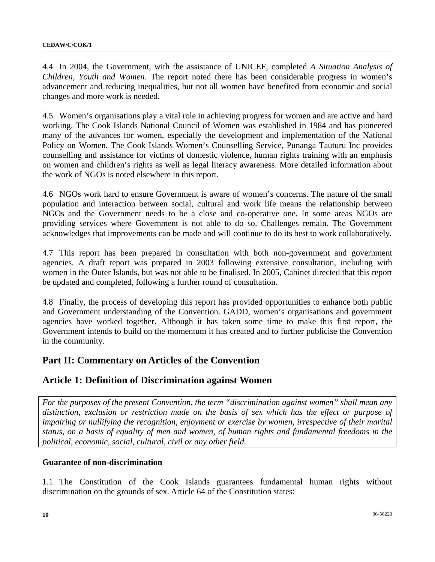4.4 In 2004, the Government, with the assistance of UNICEF, completed *A Situation Analysis of Children, Youth and Women*. The report noted there has been considerable progress in women's advancement and reducing inequalities, but not all women have benefited from economic and social changes and more work is needed.

4.5 Women's organisations play a vital role in achieving progress for women and are active and hard working. The Cook Islands National Council of Women was established in 1984 and has pioneered many of the advances for women, especially the development and implementation of the National Policy on Women. The Cook Islands Women's Counselling Service, Punanga Tauturu Inc provides counselling and assistance for victims of domestic violence, human rights training with an emphasis on women and children's rights as well as legal literacy awareness. More detailed information about the work of NGOs is noted elsewhere in this report.

4.6 NGOs work hard to ensure Government is aware of women's concerns. The nature of the small population and interaction between social, cultural and work life means the relationship between NGOs and the Government needs to be a close and co-operative one. In some areas NGOs are providing services where Government is not able to do so. Challenges remain. The Government acknowledges that improvements can be made and will continue to do its best to work collaboratively.

4.7 This report has been prepared in consultation with both non-government and government agencies. A draft report was prepared in 2003 following extensive consultation, including with women in the Outer Islands, but was not able to be finalised. In 2005, Cabinet directed that this report be updated and completed, following a further round of consultation.

4.8 Finally, the process of developing this report has provided opportunities to enhance both public and Government understanding of the Convention. GADD, women's organisations and government agencies have worked together. Although it has taken some time to make this first report, the Government intends to build on the momentum it has created and to further publicise the Convention in the community.

# **Part II: Commentary on Articles of the Convention**

# **Article 1: Definition of Discrimination against Women**

*For the purposes of the present Convention, the term "discrimination against women" shall mean any distinction, exclusion or restriction made on the basis of sex which has the effect or purpose of impairing or nullifying the recognition, enjoyment or exercise by women, irrespective of their marital status, on a basis of equality of men and women, of human rights and fundamental freedoms in the political, economic, social, cultural, civil or any other field.* 

#### **Guarantee of non-discrimination**

1.1 The Constitution of the Cook Islands guarantees fundamental human rights without discrimination on the grounds of sex. Article 64 of the Constitution states: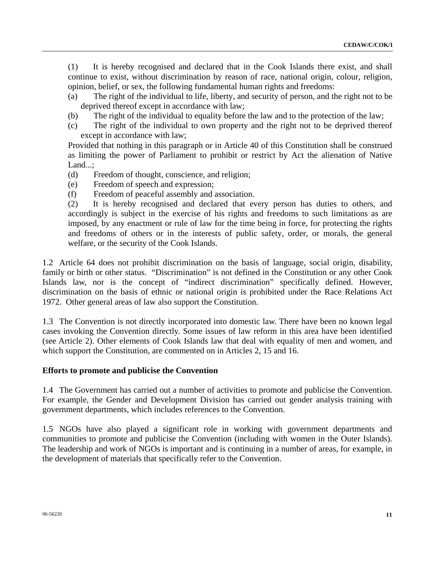(1) It is hereby recognised and declared that in the Cook Islands there exist, and shall continue to exist, without discrimination by reason of race, national origin, colour, religion, opinion, belief, or sex, the following fundamental human rights and freedoms:

- (a) The right of the individual to life, liberty, and security of person, and the right not to be deprived thereof except in accordance with law;
- (b) The right of the individual to equality before the law and to the protection of the law;
- (c) The right of the individual to own property and the right not to be deprived thereof except in accordance with law;

Provided that nothing in this paragraph or in Article 40 of this Constitution shall be construed as limiting the power of Parliament to prohibit or restrict by Act the alienation of Native Land...;

- (d) Freedom of thought, conscience, and religion;
- (e) Freedom of speech and expression;
- (f) Freedom of peaceful assembly and association.

(2) It is hereby recognised and declared that every person has duties to others, and accordingly is subject in the exercise of his rights and freedoms to such limitations as are imposed, by any enactment or rule of law for the time being in force, for protecting the rights and freedoms of others or in the interests of public safety, order, or morals, the general welfare, or the security of the Cook Islands.

1.2 Article 64 does not prohibit discrimination on the basis of language, social origin, disability, family or birth or other status. "Discrimination" is not defined in the Constitution or any other Cook Islands law, nor is the concept of "indirect discrimination" specifically defined. However, discrimination on the basis of ethnic or national origin is prohibited under the Race Relations Act 1972. Other general areas of law also support the Constitution.

1.3 The Convention is not directly incorporated into domestic law. There have been no known legal cases invoking the Convention directly. Some issues of law reform in this area have been identified (see Article 2). Other elements of Cook Islands law that deal with equality of men and women, and which support the Constitution, are commented on in Articles 2, 15 and 16.

## **Efforts to promote and publicise the Convention**

1.4 The Government has carried out a number of activities to promote and publicise the Convention. For example, the Gender and Development Division has carried out gender analysis training with government departments, which includes references to the Convention.

1.5 NGOs have also played a significant role in working with government departments and communities to promote and publicise the Convention (including with women in the Outer Islands). The leadership and work of NGOs is important and is continuing in a number of areas, for example, in the development of materials that specifically refer to the Convention.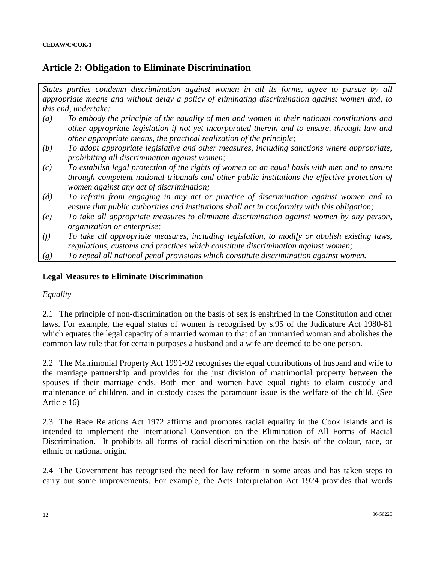## **Article 2: Obligation to Eliminate Discrimination**

*States parties condemn discrimination against women in all its forms, agree to pursue by all appropriate means and without delay a policy of eliminating discrimination against women and, to this end, undertake:* 

- *(a) To embody the principle of the equality of men and women in their national constitutions and other appropriate legislation if not yet incorporated therein and to ensure, through law and other appropriate means, the practical realization of the principle;*
- *(b) To adopt appropriate legislative and other measures, including sanctions where appropriate, prohibiting all discrimination against women;*
- *(c) To establish legal protection of the rights of women on an equal basis with men and to ensure through competent national tribunals and other public institutions the effective protection of women against any act of discrimination;*
- *(d) To refrain from engaging in any act or practice of discrimination against women and to ensure that public authorities and institutions shall act in conformity with this obligation;*
- *(e) To take all appropriate measures to eliminate discrimination against women by any person, organization or enterprise;*
- *(f) To take all appropriate measures, including legislation, to modify or abolish existing laws, regulations, customs and practices which constitute discrimination against women;*
- *(g) To repeal all national penal provisions which constitute discrimination against women.*

#### **Legal Measures to Eliminate Discrimination**

#### *Equality*

2.1 The principle of non-discrimination on the basis of sex is enshrined in the Constitution and other laws. For example, the equal status of women is recognised by s.95 of the Judicature Act 1980-81 which equates the legal capacity of a married woman to that of an unmarried woman and abolishes the common law rule that for certain purposes a husband and a wife are deemed to be one person.

2.2 The Matrimonial Property Act 1991-92 recognises the equal contributions of husband and wife to the marriage partnership and provides for the just division of matrimonial property between the spouses if their marriage ends. Both men and women have equal rights to claim custody and maintenance of children, and in custody cases the paramount issue is the welfare of the child. (See Article 16)

2.3 The Race Relations Act 1972 affirms and promotes racial equality in the Cook Islands and is intended to implement the International Convention on the Elimination of All Forms of Racial Discrimination. It prohibits all forms of racial discrimination on the basis of the colour, race, or ethnic or national origin.

2.4 The Government has recognised the need for law reform in some areas and has taken steps to carry out some improvements. For example, the Acts Interpretation Act 1924 provides that words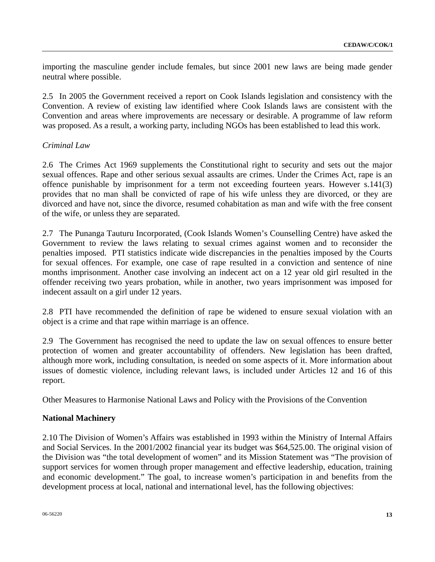importing the masculine gender include females, but since 2001 new laws are being made gender neutral where possible.

2.5 In 2005 the Government received a report on Cook Islands legislation and consistency with the Convention. A review of existing law identified where Cook Islands laws are consistent with the Convention and areas where improvements are necessary or desirable. A programme of law reform was proposed. As a result, a working party, including NGOs has been established to lead this work.

#### *Criminal Law*

2.6 The Crimes Act 1969 supplements the Constitutional right to security and sets out the major sexual offences. Rape and other serious sexual assaults are crimes. Under the Crimes Act, rape is an offence punishable by imprisonment for a term not exceeding fourteen years. However s.141(3) provides that no man shall be convicted of rape of his wife unless they are divorced, or they are divorced and have not, since the divorce, resumed cohabitation as man and wife with the free consent of the wife, or unless they are separated.

2.7 The Punanga Tauturu Incorporated, (Cook Islands Women's Counselling Centre) have asked the Government to review the laws relating to sexual crimes against women and to reconsider the penalties imposed. PTI statistics indicate wide discrepancies in the penalties imposed by the Courts for sexual offences. For example, one case of rape resulted in a conviction and sentence of nine months imprisonment. Another case involving an indecent act on a 12 year old girl resulted in the offender receiving two years probation, while in another, two years imprisonment was imposed for indecent assault on a girl under 12 years.

2.8 PTI have recommended the definition of rape be widened to ensure sexual violation with an object is a crime and that rape within marriage is an offence.

2.9 The Government has recognised the need to update the law on sexual offences to ensure better protection of women and greater accountability of offenders. New legislation has been drafted, although more work, including consultation, is needed on some aspects of it. More information about issues of domestic violence, including relevant laws, is included under Articles 12 and 16 of this report.

Other Measures to Harmonise National Laws and Policy with the Provisions of the Convention

## **National Machinery**

2.10 The Division of Women's Affairs was established in 1993 within the Ministry of Internal Affairs and Social Services. In the 2001/2002 financial year its budget was \$64,525.00. The original vision of the Division was "the total development of women" and its Mission Statement was "The provision of support services for women through proper management and effective leadership, education, training and economic development." The goal, to increase women's participation in and benefits from the development process at local, national and international level, has the following objectives: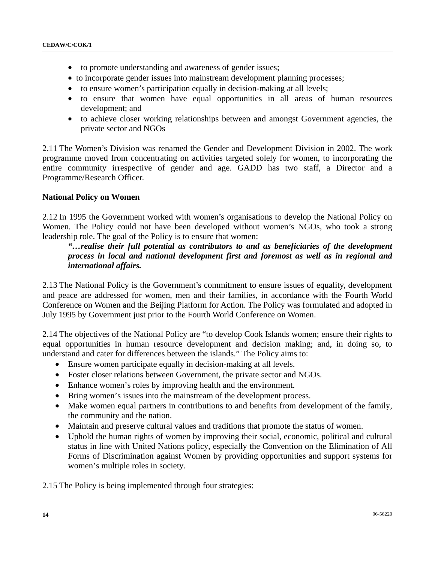- to promote understanding and awareness of gender issues;
- to incorporate gender issues into mainstream development planning processes;
- to ensure women's participation equally in decision-making at all levels;
- to ensure that women have equal opportunities in all areas of human resources development; and
- to achieve closer working relationships between and amongst Government agencies, the private sector and NGOs

2.11 The Women's Division was renamed the Gender and Development Division in 2002. The work programme moved from concentrating on activities targeted solely for women, to incorporating the entire community irrespective of gender and age. GADD has two staff, a Director and a Programme/Research Officer.

#### **National Policy on Women**

2.12 In 1995 the Government worked with women's organisations to develop the National Policy on Women. The Policy could not have been developed without women's NGOs, who took a strong leadership role. The goal of the Policy is to ensure that women:

## *"…realise their full potential as contributors to and as beneficiaries of the development process in local and national development first and foremost as well as in regional and international affairs.*

2.13 The National Policy is the Government's commitment to ensure issues of equality, development and peace are addressed for women, men and their families, in accordance with the Fourth World Conference on Women and the Beijing Platform for Action. The Policy was formulated and adopted in July 1995 by Government just prior to the Fourth World Conference on Women.

2.14 The objectives of the National Policy are "to develop Cook Islands women; ensure their rights to equal opportunities in human resource development and decision making; and, in doing so, to understand and cater for differences between the islands." The Policy aims to:

- Ensure women participate equally in decision-making at all levels.
- Foster closer relations between Government, the private sector and NGOs.
- Enhance women's roles by improving health and the environment.
- Bring women's issues into the mainstream of the development process.
- Make women equal partners in contributions to and benefits from development of the family, the community and the nation.
- Maintain and preserve cultural values and traditions that promote the status of women.
- Uphold the human rights of women by improving their social, economic, political and cultural status in line with United Nations policy, especially the Convention on the Elimination of All Forms of Discrimination against Women by providing opportunities and support systems for women's multiple roles in society.

2.15 The Policy is being implemented through four strategies: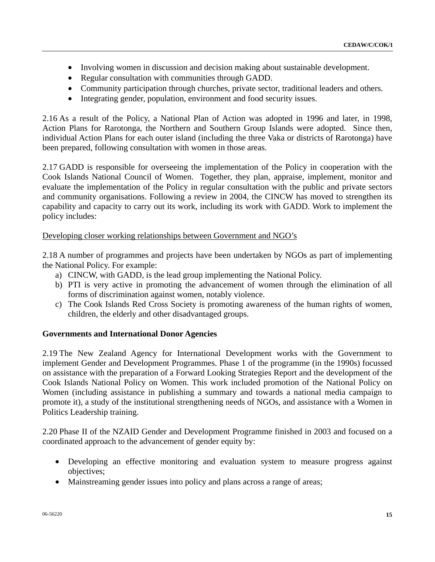- Involving women in discussion and decision making about sustainable development.
- Regular consultation with communities through GADD.
- Community participation through churches, private sector, traditional leaders and others.
- Integrating gender, population, environment and food security issues.

2.16 As a result of the Policy, a National Plan of Action was adopted in 1996 and later, in 1998, Action Plans for Rarotonga, the Northern and Southern Group Islands were adopted. Since then, individual Action Plans for each outer island (including the three Vaka or districts of Rarotonga) have been prepared, following consultation with women in those areas.

2.17 GADD is responsible for overseeing the implementation of the Policy in cooperation with the Cook Islands National Council of Women. Together, they plan, appraise, implement, monitor and evaluate the implementation of the Policy in regular consultation with the public and private sectors and community organisations. Following a review in 2004, the CINCW has moved to strengthen its capability and capacity to carry out its work, including its work with GADD. Work to implement the policy includes:

## Developing closer working relationships between Government and NGO's

2.18 A number of programmes and projects have been undertaken by NGOs as part of implementing the National Policy. For example:

- a) CINCW, with GADD, is the lead group implementing the National Policy.
- b) PTI is very active in promoting the advancement of women through the elimination of all forms of discrimination against women, notably violence.
- c) The Cook Islands Red Cross Society is promoting awareness of the human rights of women, children, the elderly and other disadvantaged groups.

## **Governments and International Donor Agencies**

2.19 The New Zealand Agency for International Development works with the Government to implement Gender and Development Programmes. Phase 1 of the programme (in the 1990s) focussed on assistance with the preparation of a Forward Looking Strategies Report and the development of the Cook Islands National Policy on Women. This work included promotion of the National Policy on Women (including assistance in publishing a summary and towards a national media campaign to promote it), a study of the institutional strengthening needs of NGOs, and assistance with a Women in Politics Leadership training.

2.20 Phase II of the NZAID Gender and Development Programme finished in 2003 and focused on a coordinated approach to the advancement of gender equity by:

- Developing an effective monitoring and evaluation system to measure progress against objectives;
- Mainstreaming gender issues into policy and plans across a range of areas;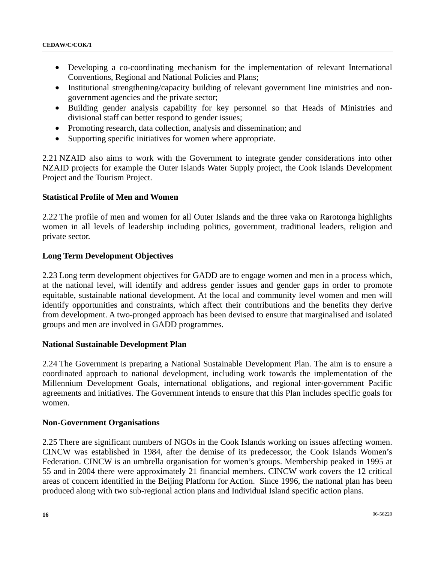- Developing a co-coordinating mechanism for the implementation of relevant International Conventions, Regional and National Policies and Plans;
- Institutional strengthening/capacity building of relevant government line ministries and nongovernment agencies and the private sector;
- Building gender analysis capability for key personnel so that Heads of Ministries and divisional staff can better respond to gender issues;
- Promoting research, data collection, analysis and dissemination; and
- Supporting specific initiatives for women where appropriate.

2.21 NZAID also aims to work with the Government to integrate gender considerations into other NZAID projects for example the Outer Islands Water Supply project, the Cook Islands Development Project and the Tourism Project.

#### **Statistical Profile of Men and Women**

2.22 The profile of men and women for all Outer Islands and the three vaka on Rarotonga highlights women in all levels of leadership including politics, government, traditional leaders, religion and private sector.

#### **Long Term Development Objectives**

2.23 Long term development objectives for GADD are to engage women and men in a process which, at the national level, will identify and address gender issues and gender gaps in order to promote equitable, sustainable national development. At the local and community level women and men will identify opportunities and constraints, which affect their contributions and the benefits they derive from development. A two-pronged approach has been devised to ensure that marginalised and isolated groups and men are involved in GADD programmes.

#### **National Sustainable Development Plan**

2.24 The Government is preparing a National Sustainable Development Plan. The aim is to ensure a coordinated approach to national development, including work towards the implementation of the Millennium Development Goals, international obligations, and regional inter-government Pacific agreements and initiatives. The Government intends to ensure that this Plan includes specific goals for women.

#### **Non-Government Organisations**

2.25 There are significant numbers of NGOs in the Cook Islands working on issues affecting women. CINCW was established in 1984, after the demise of its predecessor, the Cook Islands Women's Federation. CINCW is an umbrella organisation for women's groups. Membership peaked in 1995 at 55 and in 2004 there were approximately 21 financial members. CINCW work covers the 12 critical areas of concern identified in the Beijing Platform for Action. Since 1996, the national plan has been produced along with two sub-regional action plans and Individual Island specific action plans.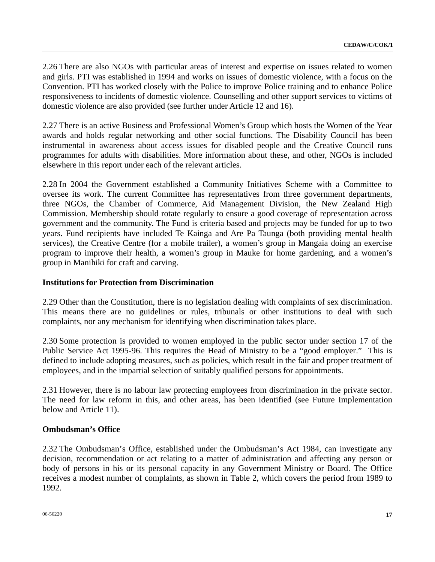2.26 There are also NGOs with particular areas of interest and expertise on issues related to women and girls. PTI was established in 1994 and works on issues of domestic violence, with a focus on the Convention. PTI has worked closely with the Police to improve Police training and to enhance Police responsiveness to incidents of domestic violence. Counselling and other support services to victims of domestic violence are also provided (see further under Article 12 and 16).

2.27 There is an active Business and Professional Women's Group which hosts the Women of the Year awards and holds regular networking and other social functions. The Disability Council has been instrumental in awareness about access issues for disabled people and the Creative Council runs programmes for adults with disabilities. More information about these, and other, NGOs is included elsewhere in this report under each of the relevant articles.

2.28 In 2004 the Government established a Community Initiatives Scheme with a Committee to oversee its work. The current Committee has representatives from three government departments, three NGOs, the Chamber of Commerce, Aid Management Division, the New Zealand High Commission. Membership should rotate regularly to ensure a good coverage of representation across government and the community. The Fund is criteria based and projects may be funded for up to two years. Fund recipients have included Te Kainga and Are Pa Taunga (both providing mental health services), the Creative Centre (for a mobile trailer), a women's group in Mangaia doing an exercise program to improve their health, a women's group in Mauke for home gardening, and a women's group in Manihiki for craft and carving.

#### **Institutions for Protection from Discrimination**

2.29 Other than the Constitution, there is no legislation dealing with complaints of sex discrimination. This means there are no guidelines or rules, tribunals or other institutions to deal with such complaints, nor any mechanism for identifying when discrimination takes place.

2.30 Some protection is provided to women employed in the public sector under section 17 of the Public Service Act 1995-96. This requires the Head of Ministry to be a "good employer." This is defined to include adopting measures, such as policies, which result in the fair and proper treatment of employees, and in the impartial selection of suitably qualified persons for appointments.

2.31 However, there is no labour law protecting employees from discrimination in the private sector. The need for law reform in this, and other areas, has been identified (see Future Implementation below and Article 11).

#### **Ombudsman's Office**

2.32 The Ombudsman's Office, established under the Ombudsman's Act 1984, can investigate any decision, recommendation or act relating to a matter of administration and affecting any person or body of persons in his or its personal capacity in any Government Ministry or Board. The Office receives a modest number of complaints, as shown in Table 2, which covers the period from 1989 to 1992.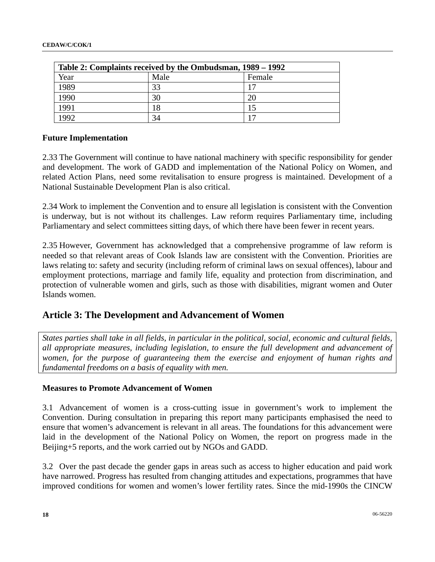| Table 2: Complaints received by the Ombudsman, 1989 – 1992 |      |        |  |  |  |
|------------------------------------------------------------|------|--------|--|--|--|
| Year                                                       | Male | Female |  |  |  |
| 1989                                                       | 33   |        |  |  |  |
| 1990                                                       | 30   | 20     |  |  |  |
| 1991                                                       | 18   |        |  |  |  |
| 1992                                                       | 34   |        |  |  |  |

#### **Future Implementation**

2.33 The Government will continue to have national machinery with specific responsibility for gender and development. The work of GADD and implementation of the National Policy on Women, and related Action Plans, need some revitalisation to ensure progress is maintained. Development of a National Sustainable Development Plan is also critical.

2.34 Work to implement the Convention and to ensure all legislation is consistent with the Convention is underway, but is not without its challenges. Law reform requires Parliamentary time, including Parliamentary and select committees sitting days, of which there have been fewer in recent years.

2.35 However, Government has acknowledged that a comprehensive programme of law reform is needed so that relevant areas of Cook Islands law are consistent with the Convention. Priorities are laws relating to: safety and security (including reform of criminal laws on sexual offences), labour and employment protections, marriage and family life, equality and protection from discrimination, and protection of vulnerable women and girls, such as those with disabilities, migrant women and Outer Islands women.

## **Article 3: The Development and Advancement of Women**

*States parties shall take in all fields, in particular in the political, social, economic and cultural fields, all appropriate measures, including legislation, to ensure the full development and advancement of women, for the purpose of guaranteeing them the exercise and enjoyment of human rights and fundamental freedoms on a basis of equality with men.* 

#### **Measures to Promote Advancement of Women**

3.1 Advancement of women is a cross-cutting issue in government's work to implement the Convention. During consultation in preparing this report many participants emphasised the need to ensure that women's advancement is relevant in all areas. The foundations for this advancement were laid in the development of the National Policy on Women, the report on progress made in the Beijing+5 reports, and the work carried out by NGOs and GADD.

3.2 Over the past decade the gender gaps in areas such as access to higher education and paid work have narrowed. Progress has resulted from changing attitudes and expectations, programmes that have improved conditions for women and women's lower fertility rates. Since the mid-1990s the CINCW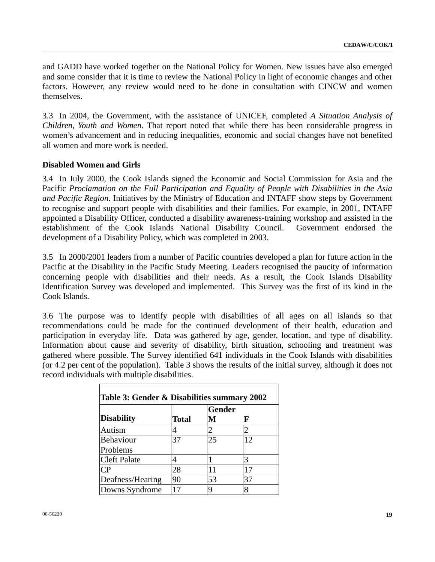and GADD have worked together on the National Policy for Women. New issues have also emerged and some consider that it is time to review the National Policy in light of economic changes and other factors. However, any review would need to be done in consultation with CINCW and women themselves.

3.3 In 2004, the Government, with the assistance of UNICEF, completed *A Situation Analysis of Children, Youth and Women*. That report noted that while there has been considerable progress in women's advancement and in reducing inequalities, economic and social changes have not benefited all women and more work is needed.

## **Disabled Women and Girls**

3.4 In July 2000, the Cook Islands signed the Economic and Social Commission for Asia and the Pacific *Proclamation on the Full Participation and Equality of People with Disabilities in the Asia and Pacific Region*. Initiatives by the Ministry of Education and INTAFF show steps by Government to recognise and support people with disabilities and their families. For example, in 2001, INTAFF appointed a Disability Officer, conducted a disability awareness-training workshop and assisted in the establishment of the Cook Islands National Disability Council. Government endorsed the development of a Disability Policy, which was completed in 2003.

3.5 In 2000/2001 leaders from a number of Pacific countries developed a plan for future action in the Pacific at the Disability in the Pacific Study Meeting. Leaders recognised the paucity of information concerning people with disabilities and their needs. As a result, the Cook Islands Disability Identification Survey was developed and implemented. This Survey was the first of its kind in the Cook Islands.

3.6 The purpose was to identify people with disabilities of all ages on all islands so that recommendations could be made for the continued development of their health, education and participation in everyday life. Data was gathered by age, gender, location, and type of disability. Information about cause and severity of disability, birth situation, schooling and treatment was gathered where possible. The Survey identified 641 individuals in the Cook Islands with disabilities (or 4.2 per cent of the population). Table 3 shows the results of the initial survey, although it does not record individuals with multiple disabilities.

|                     |              | Gender |    |
|---------------------|--------------|--------|----|
| <b>Disability</b>   | <b>Total</b> | M      | F  |
| Autism              |              | 2      | 2  |
| Behaviour           | 37           | 25     | 12 |
| Problems            |              |        |    |
| <b>Cleft Palate</b> |              |        |    |
| $\rm CP$            | 28           |        | 17 |
| Deafness/Hearing    | 90           | 53     | 37 |
| Downs Syndrome      | 17           | q      | 8  |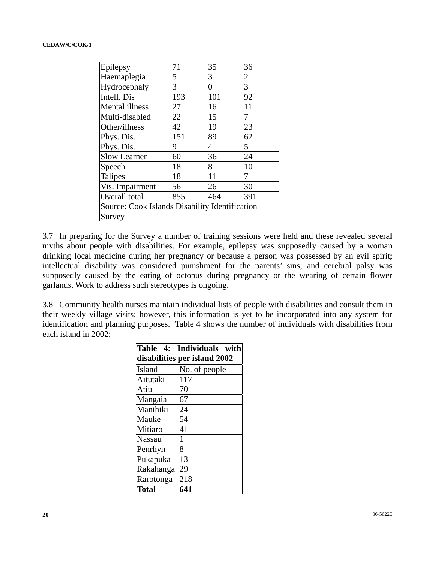| Epilepsy                                       | 71  | 35       | 36             |  |  |
|------------------------------------------------|-----|----------|----------------|--|--|
| Haemaplegia                                    | 5   | 3        | $\overline{2}$ |  |  |
| Hydrocephaly                                   | 3   | $\theta$ | 3              |  |  |
| Intell. Dis                                    | 193 | 101      | 92             |  |  |
| <b>Mental illness</b>                          | 27  | 16       | 11             |  |  |
| Multi-disabled                                 | 22  | 15       | 7              |  |  |
| Other/illness                                  | 42  | 19       | 23             |  |  |
| Phys. Dis.                                     | 151 | 89       | 62             |  |  |
| Phys. Dis.                                     | 9   | 4        | 5              |  |  |
| <b>Slow Learner</b>                            | 60  | 36       | 24             |  |  |
| Speech                                         | 18  | 8        | 10             |  |  |
| Talipes                                        | 18  | 11       | 7              |  |  |
| Vis. Impairment                                | 56  | 26       | 30             |  |  |
| Overall total                                  | 855 | 464      | 391            |  |  |
| Source: Cook Islands Disability Identification |     |          |                |  |  |
| Survey                                         |     |          |                |  |  |

3.7 In preparing for the Survey a number of training sessions were held and these revealed several myths about people with disabilities. For example, epilepsy was supposedly caused by a woman drinking local medicine during her pregnancy or because a person was possessed by an evil spirit; intellectual disability was considered punishment for the parents' sins; and cerebral palsy was supposedly caused by the eating of octopus during pregnancy or the wearing of certain flower garlands. Work to address such stereotypes is ongoing.

3.8 Community health nurses maintain individual lists of people with disabilities and consult them in their weekly village visits; however, this information is yet to be incorporated into any system for identification and planning purposes. Table 4 shows the number of individuals with disabilities from each island in 2002:

|              | Table 4: Individuals with    |
|--------------|------------------------------|
|              | disabilities per island 2002 |
| Island       | No. of people                |
| Aitutaki     | 117                          |
| Atiu         | 70                           |
| Mangaia      | 67                           |
| Manihiki     | 24                           |
| Mauke        | 54                           |
| Mitiaro      | 41                           |
| Nassau       | 1                            |
| Penrhyn      | 8                            |
| Pukapuka     | 13                           |
| Rakahanga    | 29                           |
| Rarotonga    | 218                          |
| <b>Total</b> | 641                          |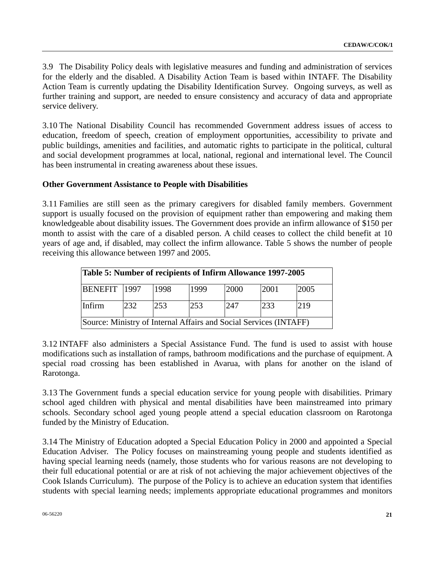3.9 The Disability Policy deals with legislative measures and funding and administration of services for the elderly and the disabled. A Disability Action Team is based within INTAFF. The Disability Action Team is currently updating the Disability Identification Survey. Ongoing surveys, as well as further training and support, are needed to ensure consistency and accuracy of data and appropriate service delivery.

3.10 The National Disability Council has recommended Government address issues of access to education, freedom of speech, creation of employment opportunities, accessibility to private and public buildings, amenities and facilities, and automatic rights to participate in the political, cultural and social development programmes at local, national, regional and international level. The Council has been instrumental in creating awareness about these issues.

## **Other Government Assistance to People with Disabilities**

3.11 Families are still seen as the primary caregivers for disabled family members. Government support is usually focused on the provision of equipment rather than empowering and making them knowledgeable about disability issues. The Government does provide an infirm allowance of \$150 per month to assist with the care of a disabled person. A child ceases to collect the child benefit at 10 years of age and, if disabled, may collect the infirm allowance. Table 5 shows the number of people receiving this allowance between 1997 and 2005.

| <b>Table 5: Number of recipients of Infirm Allowance 1997-2005</b> |     |      |      |      |      |      |
|--------------------------------------------------------------------|-----|------|------|------|------|------|
| <b>BENEFIT</b>   1997                                              |     | 1998 | 1999 | 2000 | 2001 | 2005 |
| <i>Infirm</i>                                                      | 232 | 253  | 253  | 247  | 233  | 219  |
| Source: Ministry of Internal Affairs and Social Services (INTAFF)  |     |      |      |      |      |      |

3.12 INTAFF also administers a Special Assistance Fund. The fund is used to assist with house modifications such as installation of ramps, bathroom modifications and the purchase of equipment. A special road crossing has been established in Avarua, with plans for another on the island of Rarotonga.

3.13 The Government funds a special education service for young people with disabilities. Primary school aged children with physical and mental disabilities have been mainstreamed into primary schools. Secondary school aged young people attend a special education classroom on Rarotonga funded by the Ministry of Education.

3.14 The Ministry of Education adopted a Special Education Policy in 2000 and appointed a Special Education Adviser. The Policy focuses on mainstreaming young people and students identified as having special learning needs (namely, those students who for various reasons are not developing to their full educational potential or are at risk of not achieving the major achievement objectives of the Cook Islands Curriculum). The purpose of the Policy is to achieve an education system that identifies students with special learning needs; implements appropriate educational programmes and monitors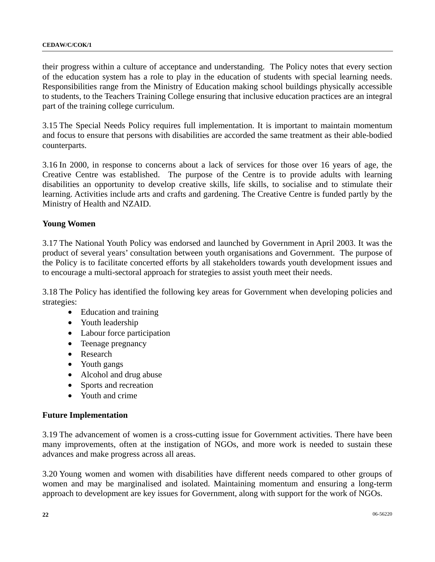their progress within a culture of acceptance and understanding. The Policy notes that every section of the education system has a role to play in the education of students with special learning needs. Responsibilities range from the Ministry of Education making school buildings physically accessible to students, to the Teachers Training College ensuring that inclusive education practices are an integral part of the training college curriculum.

3.15 The Special Needs Policy requires full implementation. It is important to maintain momentum and focus to ensure that persons with disabilities are accorded the same treatment as their able-bodied counterparts.

3.16 In 2000, in response to concerns about a lack of services for those over 16 years of age, the Creative Centre was established. The purpose of the Centre is to provide adults with learning disabilities an opportunity to develop creative skills, life skills, to socialise and to stimulate their learning. Activities include arts and crafts and gardening. The Creative Centre is funded partly by the Ministry of Health and NZAID.

## **Young Women**

3.17 The National Youth Policy was endorsed and launched by Government in April 2003. It was the product of several years' consultation between youth organisations and Government. The purpose of the Policy is to facilitate concerted efforts by all stakeholders towards youth development issues and to encourage a multi-sectoral approach for strategies to assist youth meet their needs.

3.18 The Policy has identified the following key areas for Government when developing policies and strategies:

- Education and training
- Youth leadership
- Labour force participation
- Teenage pregnancy
- Research
- Youth gangs
- Alcohol and drug abuse
- Sports and recreation
- Youth and crime

## **Future Implementation**

3.19 The advancement of women is a cross-cutting issue for Government activities. There have been many improvements, often at the instigation of NGOs, and more work is needed to sustain these advances and make progress across all areas.

3.20 Young women and women with disabilities have different needs compared to other groups of women and may be marginalised and isolated. Maintaining momentum and ensuring a long-term approach to development are key issues for Government, along with support for the work of NGOs.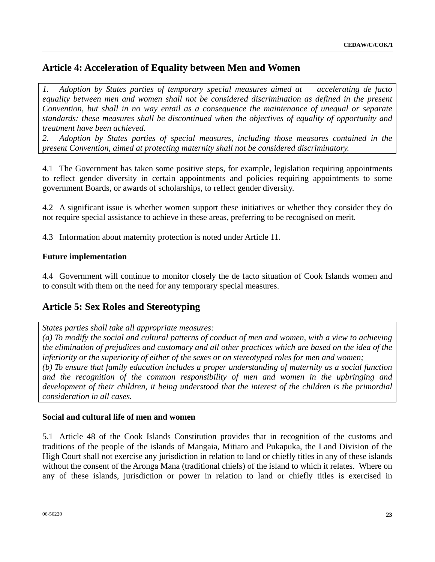# **Article 4: Acceleration of Equality between Men and Women**

*1. Adoption by States parties of temporary special measures aimed at accelerating de facto equality between men and women shall not be considered discrimination as defined in the present Convention, but shall in no way entail as a consequence the maintenance of unequal or separate standards: these measures shall be discontinued when the objectives of equality of opportunity and treatment have been achieved.* 

*2. Adoption by States parties of special measures, including those measures contained in the present Convention, aimed at protecting maternity shall not be considered discriminatory.* 

4.1 The Government has taken some positive steps, for example, legislation requiring appointments to reflect gender diversity in certain appointments and policies requiring appointments to some government Boards, or awards of scholarships, to reflect gender diversity.

4.2 A significant issue is whether women support these initiatives or whether they consider they do not require special assistance to achieve in these areas, preferring to be recognised on merit.

4.3 Information about maternity protection is noted under Article 11.

#### **Future implementation**

4.4 Government will continue to monitor closely the de facto situation of Cook Islands women and to consult with them on the need for any temporary special measures.

## **Article 5: Sex Roles and Stereotyping**

*States parties shall take all appropriate measures:* 

*(a) To modify the social and cultural patterns of conduct of men and women, with a view to achieving the elimination of prejudices and customary and all other practices which are based on the idea of the inferiority or the superiority of either of the sexes or on stereotyped roles for men and women; (b) To ensure that family education includes a proper understanding of maternity as a social function and the recognition of the common responsibility of men and women in the upbringing and development of their children, it being understood that the interest of the children is the primordial consideration in all cases.*

## **Social and cultural life of men and women**

5.1 Article 48 of the Cook Islands Constitution provides that in recognition of the customs and traditions of the people of the islands of Mangaia, Mitiaro and Pukapuka, the Land Division of the High Court shall not exercise any jurisdiction in relation to land or chiefly titles in any of these islands without the consent of the Aronga Mana (traditional chiefs) of the island to which it relates. Where on any of these islands, jurisdiction or power in relation to land or chiefly titles is exercised in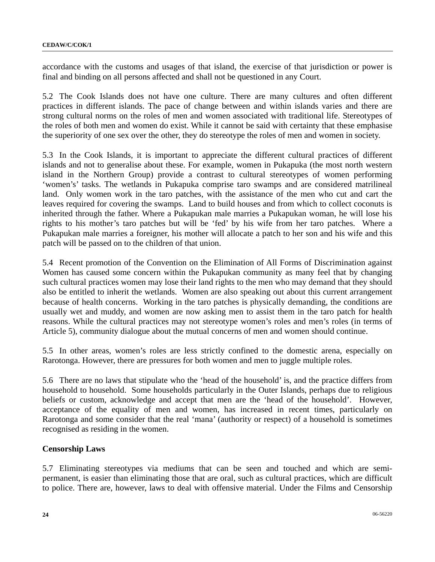accordance with the customs and usages of that island, the exercise of that jurisdiction or power is final and binding on all persons affected and shall not be questioned in any Court.

5.2 The Cook Islands does not have one culture. There are many cultures and often different practices in different islands. The pace of change between and within islands varies and there are strong cultural norms on the roles of men and women associated with traditional life. Stereotypes of the roles of both men and women do exist. While it cannot be said with certainty that these emphasise the superiority of one sex over the other, they do stereotype the roles of men and women in society.

5.3 In the Cook Islands, it is important to appreciate the different cultural practices of different islands and not to generalise about these. For example, women in Pukapuka (the most north western island in the Northern Group) provide a contrast to cultural stereotypes of women performing 'women's' tasks. The wetlands in Pukapuka comprise taro swamps and are considered matrilineal land. Only women work in the taro patches, with the assistance of the men who cut and cart the leaves required for covering the swamps. Land to build houses and from which to collect coconuts is inherited through the father. Where a Pukapukan male marries a Pukapukan woman, he will lose his rights to his mother's taro patches but will be 'fed' by his wife from her taro patches. Where a Pukapukan male marries a foreigner, his mother will allocate a patch to her son and his wife and this patch will be passed on to the children of that union.

5.4 Recent promotion of the Convention on the Elimination of All Forms of Discrimination against Women has caused some concern within the Pukapukan community as many feel that by changing such cultural practices women may lose their land rights to the men who may demand that they should also be entitled to inherit the wetlands. Women are also speaking out about this current arrangement because of health concerns. Working in the taro patches is physically demanding, the conditions are usually wet and muddy, and women are now asking men to assist them in the taro patch for health reasons. While the cultural practices may not stereotype women's roles and men's roles (in terms of Article 5), community dialogue about the mutual concerns of men and women should continue.

5.5 In other areas, women's roles are less strictly confined to the domestic arena, especially on Rarotonga. However, there are pressures for both women and men to juggle multiple roles.

5.6 There are no laws that stipulate who the 'head of the household' is, and the practice differs from household to household. Some households particularly in the Outer Islands, perhaps due to religious beliefs or custom, acknowledge and accept that men are the 'head of the household'. However, acceptance of the equality of men and women, has increased in recent times, particularly on Rarotonga and some consider that the real 'mana' (authority or respect) of a household is sometimes recognised as residing in the women.

## **Censorship Laws**

5.7 Eliminating stereotypes via mediums that can be seen and touched and which are semipermanent, is easier than eliminating those that are oral, such as cultural practices, which are difficult to police. There are, however, laws to deal with offensive material. Under the Films and Censorship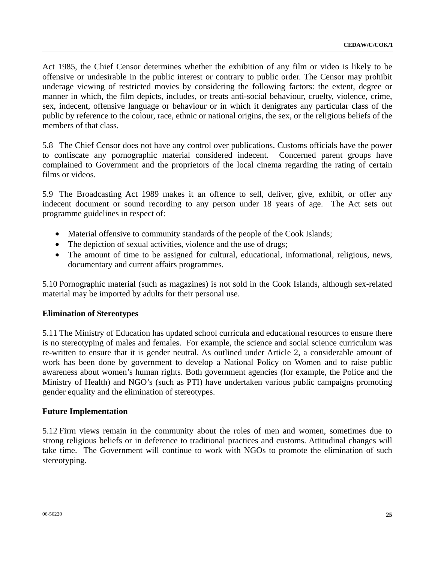Act 1985, the Chief Censor determines whether the exhibition of any film or video is likely to be offensive or undesirable in the public interest or contrary to public order. The Censor may prohibit underage viewing of restricted movies by considering the following factors: the extent, degree or manner in which, the film depicts, includes, or treats anti-social behaviour, cruelty, violence, crime, sex, indecent, offensive language or behaviour or in which it denigrates any particular class of the public by reference to the colour, race, ethnic or national origins, the sex, or the religious beliefs of the members of that class.

5.8 The Chief Censor does not have any control over publications. Customs officials have the power to confiscate any pornographic material considered indecent. Concerned parent groups have complained to Government and the proprietors of the local cinema regarding the rating of certain films or videos.

5.9 The Broadcasting Act 1989 makes it an offence to sell, deliver, give, exhibit, or offer any indecent document or sound recording to any person under 18 years of age. The Act sets out programme guidelines in respect of:

- Material offensive to community standards of the people of the Cook Islands;
- The depiction of sexual activities, violence and the use of drugs;
- The amount of time to be assigned for cultural, educational, informational, religious, news, documentary and current affairs programmes.

5.10 Pornographic material (such as magazines) is not sold in the Cook Islands, although sex-related material may be imported by adults for their personal use.

#### **Elimination of Stereotypes**

5.11 The Ministry of Education has updated school curricula and educational resources to ensure there is no stereotyping of males and females. For example, the science and social science curriculum was re-written to ensure that it is gender neutral. As outlined under Article 2, a considerable amount of work has been done by government to develop a National Policy on Women and to raise public awareness about women's human rights. Both government agencies (for example, the Police and the Ministry of Health) and NGO's (such as PTI) have undertaken various public campaigns promoting gender equality and the elimination of stereotypes.

#### **Future Implementation**

5.12 Firm views remain in the community about the roles of men and women, sometimes due to strong religious beliefs or in deference to traditional practices and customs. Attitudinal changes will take time. The Government will continue to work with NGOs to promote the elimination of such stereotyping.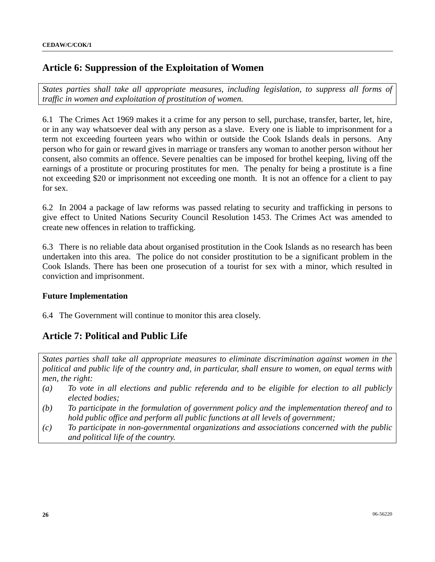## **Article 6: Suppression of the Exploitation of Women**

*States parties shall take all appropriate measures, including legislation, to suppress all forms of traffic in women and exploitation of prostitution of women.* 

6.1 The Crimes Act 1969 makes it a crime for any person to sell, purchase, transfer, barter, let, hire, or in any way whatsoever deal with any person as a slave. Every one is liable to imprisonment for a term not exceeding fourteen years who within or outside the Cook Islands deals in persons. Any person who for gain or reward gives in marriage or transfers any woman to another person without her consent, also commits an offence. Severe penalties can be imposed for brothel keeping, living off the earnings of a prostitute or procuring prostitutes for men. The penalty for being a prostitute is a fine not exceeding \$20 or imprisonment not exceeding one month. It is not an offence for a client to pay for sex.

6.2 In 2004 a package of law reforms was passed relating to security and trafficking in persons to give effect to United Nations Security Council Resolution 1453. The Crimes Act was amended to create new offences in relation to trafficking.

6.3 There is no reliable data about organised prostitution in the Cook Islands as no research has been undertaken into this area. The police do not consider prostitution to be a significant problem in the Cook Islands. There has been one prosecution of a tourist for sex with a minor, which resulted in conviction and imprisonment.

#### **Future Implementation**

6.4 The Government will continue to monitor this area closely.

## **Article 7: Political and Public Life**

*States parties shall take all appropriate measures to eliminate discrimination against women in the political and public life of the country and, in particular, shall ensure to women, on equal terms with men, the right:* 

- *(a) To vote in all elections and public referenda and to be eligible for election to all publicly elected bodies;*
- *(b) To participate in the formulation of government policy and the implementation thereof and to*  hold public office and perform all public functions at all levels of government;
- *(c) To participate in non-governmental organizations and associations concerned with the public and political life of the country.*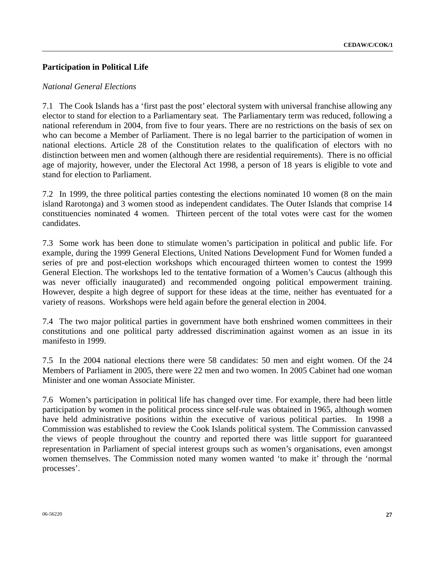## **Participation in Political Life**

#### *National General Elections*

7.1 The Cook Islands has a 'first past the post' electoral system with universal franchise allowing any elector to stand for election to a Parliamentary seat. The Parliamentary term was reduced, following a national referendum in 2004, from five to four years. There are no restrictions on the basis of sex on who can become a Member of Parliament. There is no legal barrier to the participation of women in national elections. Article 28 of the Constitution relates to the qualification of electors with no distinction between men and women (although there are residential requirements). There is no official age of majority, however, under the Electoral Act 1998, a person of 18 years is eligible to vote and stand for election to Parliament.

7.2 In 1999, the three political parties contesting the elections nominated 10 women (8 on the main island Rarotonga) and 3 women stood as independent candidates. The Outer Islands that comprise 14 constituencies nominated 4 women. Thirteen percent of the total votes were cast for the women candidates.

7.3 Some work has been done to stimulate women's participation in political and public life. For example, during the 1999 General Elections, United Nations Development Fund for Women funded a series of pre and post-election workshops which encouraged thirteen women to contest the 1999 General Election. The workshops led to the tentative formation of a Women's Caucus (although this was never officially inaugurated) and recommended ongoing political empowerment training. However, despite a high degree of support for these ideas at the time, neither has eventuated for a variety of reasons. Workshops were held again before the general election in 2004.

7.4 The two major political parties in government have both enshrined women committees in their constitutions and one political party addressed discrimination against women as an issue in its manifesto in 1999.

7.5 In the 2004 national elections there were 58 candidates: 50 men and eight women. Of the 24 Members of Parliament in 2005, there were 22 men and two women. In 2005 Cabinet had one woman Minister and one woman Associate Minister.

7.6 Women's participation in political life has changed over time. For example, there had been little participation by women in the political process since self-rule was obtained in 1965, although women have held administrative positions within the executive of various political parties. In 1998 a Commission was established to review the Cook Islands political system. The Commission canvassed the views of people throughout the country and reported there was little support for guaranteed representation in Parliament of special interest groups such as women's organisations, even amongst women themselves. The Commission noted many women wanted 'to make it' through the 'normal processes'.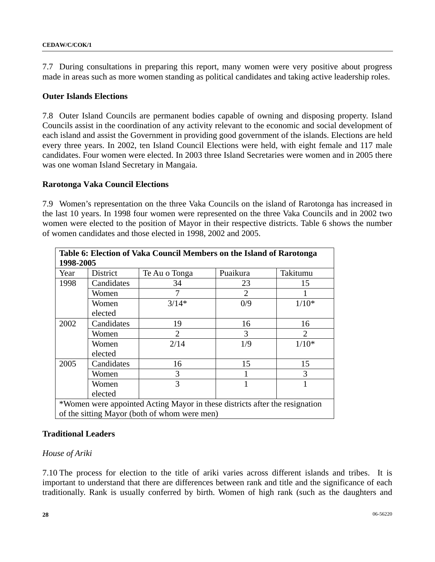7.7 During consultations in preparing this report, many women were very positive about progress made in areas such as more women standing as political candidates and taking active leadership roles.

#### **Outer Islands Elections**

7.8 Outer Island Councils are permanent bodies capable of owning and disposing property. Island Councils assist in the coordination of any activity relevant to the economic and social development of each island and assist the Government in providing good government of the islands. Elections are held every three years. In 2002, ten Island Council Elections were held, with eight female and 117 male candidates. Four women were elected. In 2003 three Island Secretaries were women and in 2005 there was one woman Island Secretary in Mangaia.

#### **Rarotonga Vaka Council Elections**

7.9 Women's representation on the three Vaka Councils on the island of Rarotonga has increased in the last 10 years. In 1998 four women were represented on the three Vaka Councils and in 2002 two women were elected to the position of Mayor in their respective districts. Table 6 shows the number of women candidates and those elected in 1998, 2002 and 2005.

| Table 6: Election of Vaka Council Members on the Island of Rarotonga        |            |                                              |          |                       |  |
|-----------------------------------------------------------------------------|------------|----------------------------------------------|----------|-----------------------|--|
| 1998-2005                                                                   |            |                                              |          |                       |  |
| Year                                                                        | District   | Te Au o Tonga                                | Puaikura | Takitumu              |  |
| 1998                                                                        | Candidates | 34                                           | 23       | 15                    |  |
|                                                                             | Women      |                                              | 2        |                       |  |
|                                                                             | Women      | $3/14*$                                      | 0/9      | $1/10*$               |  |
|                                                                             | elected    |                                              |          |                       |  |
| 2002                                                                        | Candidates | 19                                           | 16       | 16                    |  |
|                                                                             | Women      | 2                                            | 3        | $\mathcal{D}_{\cdot}$ |  |
|                                                                             | Women      | 2/14                                         | 1/9      | $1/10*$               |  |
|                                                                             | elected    |                                              |          |                       |  |
| 2005                                                                        | Candidates | 16                                           | 15       | 15                    |  |
|                                                                             | Women      | 3                                            |          | 3                     |  |
|                                                                             | Women      | 3                                            |          |                       |  |
|                                                                             | elected    |                                              |          |                       |  |
| *Women were appointed Acting Mayor in these districts after the resignation |            |                                              |          |                       |  |
|                                                                             |            | of the sitting Mayor (both of whom were men) |          |                       |  |

## **Traditional Leaders**

## *House of Ariki*

7.10 The process for election to the title of ariki varies across different islands and tribes. It is important to understand that there are differences between rank and title and the significance of each traditionally. Rank is usually conferred by birth. Women of high rank (such as the daughters and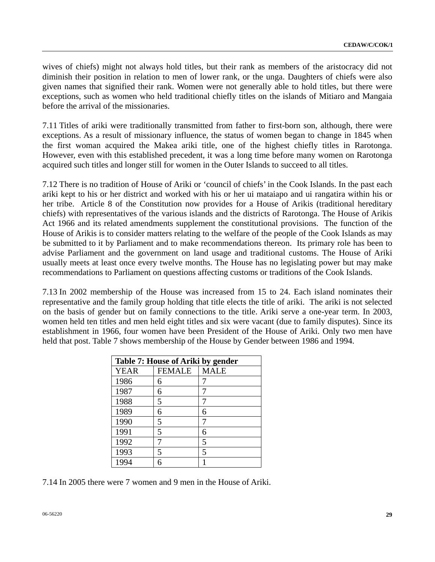wives of chiefs) might not always hold titles, but their rank as members of the aristocracy did not diminish their position in relation to men of lower rank, or the unga. Daughters of chiefs were also given names that signified their rank. Women were not generally able to hold titles, but there were exceptions, such as women who held traditional chiefly titles on the islands of Mitiaro and Mangaia before the arrival of the missionaries.

7.11 Titles of ariki were traditionally transmitted from father to first-born son, although, there were exceptions. As a result of missionary influence, the status of women began to change in 1845 when the first woman acquired the Makea ariki title, one of the highest chiefly titles in Rarotonga. However, even with this established precedent, it was a long time before many women on Rarotonga acquired such titles and longer still for women in the Outer Islands to succeed to all titles.

7.12 There is no tradition of House of Ariki or 'council of chiefs' in the Cook Islands. In the past each ariki kept to his or her district and worked with his or her ui mataiapo and ui rangatira within his or her tribe. Article 8 of the Constitution now provides for a House of Arikis (traditional hereditary chiefs) with representatives of the various islands and the districts of Rarotonga. The House of Arikis Act 1966 and its related amendments supplement the constitutional provisions. The function of the House of Arikis is to consider matters relating to the welfare of the people of the Cook Islands as may be submitted to it by Parliament and to make recommendations thereon. Its primary role has been to advise Parliament and the government on land usage and traditional customs. The House of Ariki usually meets at least once every twelve months. The House has no legislating power but may make recommendations to Parliament on questions affecting customs or traditions of the Cook Islands.

7.13 In 2002 membership of the House was increased from 15 to 24. Each island nominates their representative and the family group holding that title elects the title of ariki. The ariki is not selected on the basis of gender but on family connections to the title. Ariki serve a one-year term. In 2003, women held ten titles and men held eight titles and six were vacant (due to family disputes). Since its establishment in 1966, four women have been President of the House of Ariki. Only two men have held that post. Table 7 shows membership of the House by Gender between 1986 and 1994.

| Table 7: House of Ariki by gender |               |             |  |  |  |  |
|-----------------------------------|---------------|-------------|--|--|--|--|
| <b>YEAR</b>                       | <b>FEMALE</b> | <b>MALE</b> |  |  |  |  |
| 1986                              | 6             |             |  |  |  |  |
| 1987                              | 6             |             |  |  |  |  |
| 1988                              | 5             |             |  |  |  |  |
| 1989                              | 6             | 6           |  |  |  |  |
| 1990                              | 5             |             |  |  |  |  |
| 1991                              | 5             | 6           |  |  |  |  |
| 1992                              |               | 5           |  |  |  |  |
| 1993                              | 5             | 5           |  |  |  |  |
| 1994                              | 6             |             |  |  |  |  |

7.14 In 2005 there were 7 women and 9 men in the House of Ariki.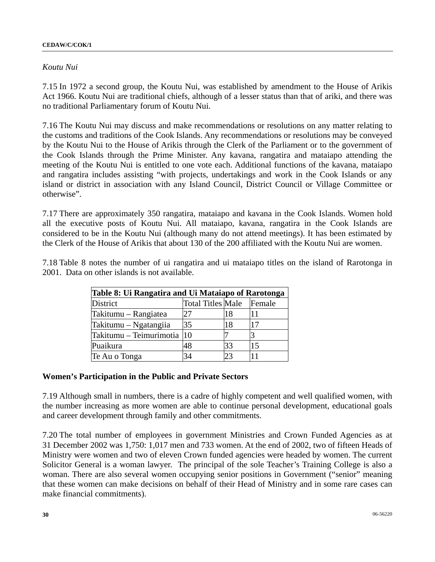## *Koutu Nui*

7.15 In 1972 a second group, the Koutu Nui, was established by amendment to the House of Arikis Act 1966. Koutu Nui are traditional chiefs, although of a lesser status than that of ariki, and there was no traditional Parliamentary forum of Koutu Nui.

7.16 The Koutu Nui may discuss and make recommendations or resolutions on any matter relating to the customs and traditions of the Cook Islands. Any recommendations or resolutions may be conveyed by the Koutu Nui to the House of Arikis through the Clerk of the Parliament or to the government of the Cook Islands through the Prime Minister. Any kavana, rangatira and mataiapo attending the meeting of the Koutu Nui is entitled to one vote each. Additional functions of the kavana, mataiapo and rangatira includes assisting "with projects, undertakings and work in the Cook Islands or any island or district in association with any Island Council, District Council or Village Committee or otherwise".

7.17 There are approximately 350 rangatira, mataiapo and kavana in the Cook Islands. Women hold all the executive posts of Koutu Nui. All mataiapo, kavana, rangatira in the Cook Islands are considered to be in the Koutu Nui (although many do not attend meetings). It has been estimated by the Clerk of the House of Arikis that about 130 of the 200 affiliated with the Koutu Nui are women.

7.18 Table 8 notes the number of ui rangatira and ui mataiapo titles on the island of Rarotonga in 2001. Data on other islands is not available.

| Table 8: Ui Rangatira and Ui Mataiapo of Rarotonga |                          |    |        |  |  |  |
|----------------------------------------------------|--------------------------|----|--------|--|--|--|
| District                                           | <b>Total Titles Male</b> |    | Female |  |  |  |
| Takitumu – Rangiatea                               | 27                       | 18 |        |  |  |  |
| Takitumu – Ngatangiia                              | 35                       | 18 | 17     |  |  |  |
| Takitumu – Teimurimotia 10                         |                          |    |        |  |  |  |
| Puaikura                                           | 48                       | 33 | 15     |  |  |  |
| Te Au o Tonga                                      | 34                       | 23 |        |  |  |  |

## **Women's Participation in the Public and Private Sectors**

7.19 Although small in numbers, there is a cadre of highly competent and well qualified women, with the number increasing as more women are able to continue personal development, educational goals and career development through family and other commitments.

7.20 The total number of employees in government Ministries and Crown Funded Agencies as at 31 December 2002 was 1,750: 1,017 men and 733 women. At the end of 2002, two of fifteen Heads of Ministry were women and two of eleven Crown funded agencies were headed by women. The current Solicitor General is a woman lawyer. The principal of the sole Teacher's Training College is also a woman. There are also several women occupying senior positions in Government ("senior" meaning that these women can make decisions on behalf of their Head of Ministry and in some rare cases can make financial commitments).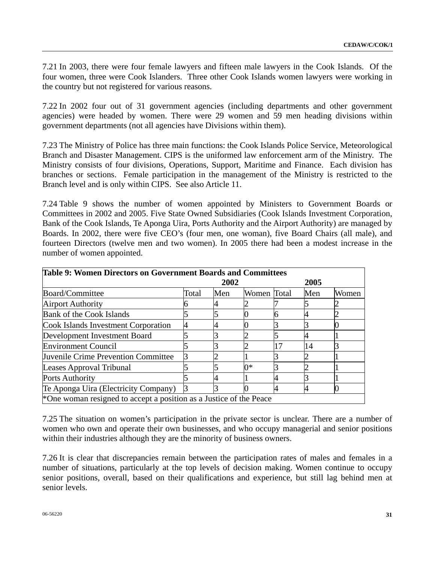7.21 In 2003, there were four female lawyers and fifteen male lawyers in the Cook Islands. Of the four women, three were Cook Islanders. Three other Cook Islands women lawyers were working in the country but not registered for various reasons.

7.22 In 2002 four out of 31 government agencies (including departments and other government agencies) were headed by women. There were 29 women and 59 men heading divisions within government departments (not all agencies have Divisions within them).

7.23 The Ministry of Police has three main functions: the Cook Islands Police Service, Meteorological Branch and Disaster Management. CIPS is the uniformed law enforcement arm of the Ministry. The Ministry consists of four divisions, Operations, Support, Maritime and Finance. Each division has branches or sections. Female participation in the management of the Ministry is restricted to the Branch level and is only within CIPS. See also Article 11.

7.24 Table 9 shows the number of women appointed by Ministers to Government Boards or Committees in 2002 and 2005. Five State Owned Subsidiaries (Cook Islands Investment Corporation, Bank of the Cook Islands, Te Aponga Uira, Ports Authority and the Airport Authority) are managed by Boards. In 2002, there were five CEO's (four men, one woman), five Board Chairs (all male), and fourteen Directors (twelve men and two women). In 2005 there had been a modest increase in the number of women appointed.

| <b>Table 9: Women Directors on Government Boards and Committees</b> |       |      |             |  |      |       |
|---------------------------------------------------------------------|-------|------|-------------|--|------|-------|
|                                                                     |       | 2002 |             |  | 2005 |       |
| Board/Committee                                                     | Total | Men  | Women Total |  | Men  | Women |
| <b>Airport Authority</b>                                            |       |      |             |  |      |       |
| <b>Bank of the Cook Islands</b>                                     |       |      |             |  |      |       |
| <b>Cook Islands Investment Corporation</b>                          |       |      |             |  |      |       |
| Development Investment Board                                        |       |      |             |  |      |       |
| <b>Environment Council</b>                                          |       |      |             |  | 14   |       |
| <b>Juvenile Crime Prevention Committee</b>                          |       |      |             |  |      |       |
| Leases Approval Tribunal                                            |       |      | ∩∗          |  |      |       |
| <b>Ports Authority</b>                                              |       |      |             |  |      |       |
| Te Aponga Uira (Electricity Company)                                |       |      |             |  |      |       |
| *One woman resigned to accept a position as a Justice of the Peace  |       |      |             |  |      |       |

7.25 The situation on women's participation in the private sector is unclear. There are a number of women who own and operate their own businesses, and who occupy managerial and senior positions within their industries although they are the minority of business owners.

7.26 It is clear that discrepancies remain between the participation rates of males and females in a number of situations, particularly at the top levels of decision making. Women continue to occupy senior positions, overall, based on their qualifications and experience, but still lag behind men at senior levels.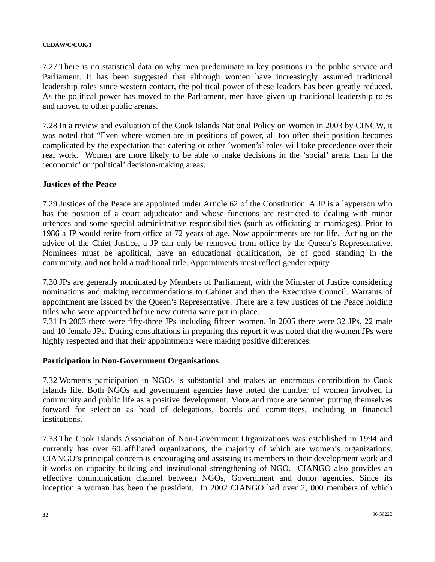7.27 There is no statistical data on why men predominate in key positions in the public service and Parliament. It has been suggested that although women have increasingly assumed traditional leadership roles since western contact, the political power of these leaders has been greatly reduced. As the political power has moved to the Parliament, men have given up traditional leadership roles and moved to other public arenas.

7.28 In a review and evaluation of the Cook Islands National Policy on Women in 2003 by CINCW, it was noted that "Even where women are in positions of power, all too often their position becomes complicated by the expectation that catering or other 'women's' roles will take precedence over their real work. Women are more likely to be able to make decisions in the 'social' arena than in the 'economic' or 'political' decision-making areas.

#### **Justices of the Peace**

7.29 Justices of the Peace are appointed under Article 62 of the Constitution. A JP is a layperson who has the position of a court adjudicator and whose functions are restricted to dealing with minor offences and some special administrative responsibilities (such as officiating at marriages). Prior to 1986 a JP would retire from office at 72 years of age. Now appointments are for life. Acting on the advice of the Chief Justice, a JP can only be removed from office by the Queen's Representative. Nominees must be apolitical, have an educational qualification, be of good standing in the community, and not hold a traditional title. Appointments must reflect gender equity.

7.30 JPs are generally nominated by Members of Parliament, with the Minister of Justice considering nominations and making recommendations to Cabinet and then the Executive Council. Warrants of appointment are issued by the Queen's Representative. There are a few Justices of the Peace holding titles who were appointed before new criteria were put in place.

7.31 In 2003 there were fifty-three JPs including fifteen women. In 2005 there were 32 JPs, 22 male and 10 female JPs. During consultations in preparing this report it was noted that the women JPs were highly respected and that their appointments were making positive differences.

#### **Participation in Non-Government Organisations**

7.32 Women's participation in NGOs is substantial and makes an enormous contribution to Cook Islands life. Both NGOs and government agencies have noted the number of women involved in community and public life as a positive development. More and more are women putting themselves forward for selection as head of delegations, boards and committees, including in financial institutions.

7.33 The Cook Islands Association of Non-Government Organizations was established in 1994 and currently has over 60 affiliated organizations, the majority of which are women's organizations. CIANGO's principal concern is encouraging and assisting its members in their development work and it works on capacity building and institutional strengthening of NGO. CIANGO also provides an effective communication channel between NGOs, Government and donor agencies. Since its inception a woman has been the president. In 2002 CIANGO had over 2, 000 members of which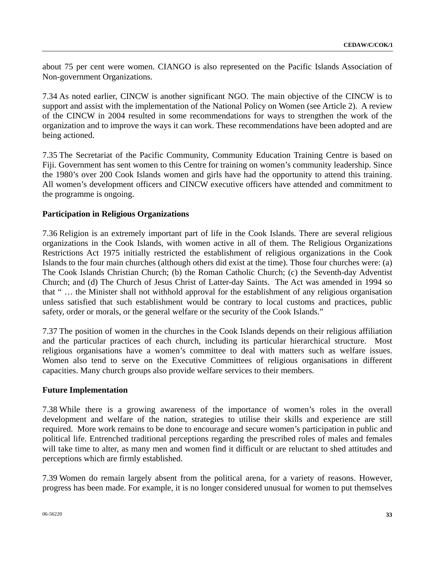about 75 per cent were women. CIANGO is also represented on the Pacific Islands Association of Non-government Organizations.

7.34 As noted earlier, CINCW is another significant NGO. The main objective of the CINCW is to support and assist with the implementation of the National Policy on Women (see Article 2). A review of the CINCW in 2004 resulted in some recommendations for ways to strengthen the work of the organization and to improve the ways it can work. These recommendations have been adopted and are being actioned.

7.35 The Secretariat of the Pacific Community, Community Education Training Centre is based on Fiji. Government has sent women to this Centre for training on women's community leadership. Since the 1980's over 200 Cook Islands women and girls have had the opportunity to attend this training. All women's development officers and CINCW executive officers have attended and commitment to the programme is ongoing.

## **Participation in Religious Organizations**

7.36 Religion is an extremely important part of life in the Cook Islands. There are several religious organizations in the Cook Islands, with women active in all of them. The Religious Organizations Restrictions Act 1975 initially restricted the establishment of religious organizations in the Cook Islands to the four main churches (although others did exist at the time). Those four churches were: (a) The Cook Islands Christian Church; (b) the Roman Catholic Church; (c) the Seventh-day Adventist Church; and (d) The Church of Jesus Christ of Latter-day Saints. The Act was amended in 1994 so that " … the Minister shall not withhold approval for the establishment of any religious organisation unless satisfied that such establishment would be contrary to local customs and practices, public safety, order or morals, or the general welfare or the security of the Cook Islands."

7.37 The position of women in the churches in the Cook Islands depends on their religious affiliation and the particular practices of each church, including its particular hierarchical structure. Most religious organisations have a women's committee to deal with matters such as welfare issues. Women also tend to serve on the Executive Committees of religious organisations in different capacities. Many church groups also provide welfare services to their members.

#### **Future Implementation**

7.38 While there is a growing awareness of the importance of women's roles in the overall development and welfare of the nation, strategies to utilise their skills and experience are still required. More work remains to be done to encourage and secure women's participation in public and political life. Entrenched traditional perceptions regarding the prescribed roles of males and females will take time to alter, as many men and women find it difficult or are reluctant to shed attitudes and perceptions which are firmly established.

7.39 Women do remain largely absent from the political arena, for a variety of reasons. However, progress has been made. For example, it is no longer considered unusual for women to put themselves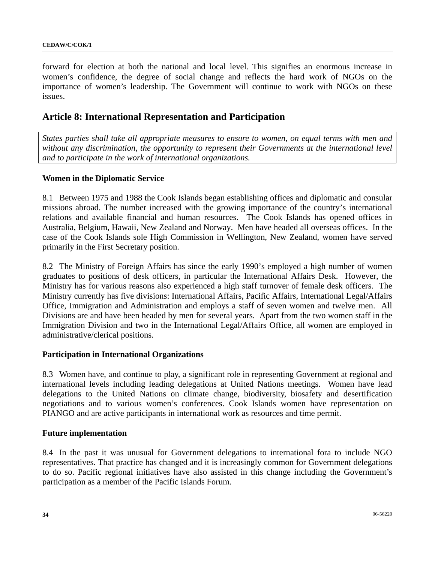forward for election at both the national and local level. This signifies an enormous increase in women's confidence, the degree of social change and reflects the hard work of NGOs on the importance of women's leadership. The Government will continue to work with NGOs on these issues.

## **Article 8: International Representation and Participation**

*States parties shall take all appropriate measures to ensure to women, on equal terms with men and without any discrimination, the opportunity to represent their Governments at the international level and to participate in the work of international organizations.* 

## **Women in the Diplomatic Service**

8.1 Between 1975 and 1988 the Cook Islands began establishing offices and diplomatic and consular missions abroad. The number increased with the growing importance of the country's international relations and available financial and human resources. The Cook Islands has opened offices in Australia, Belgium, Hawaii, New Zealand and Norway. Men have headed all overseas offices. In the case of the Cook Islands sole High Commission in Wellington, New Zealand, women have served primarily in the First Secretary position.

8.2 The Ministry of Foreign Affairs has since the early 1990's employed a high number of women graduates to positions of desk officers, in particular the International Affairs Desk. However, the Ministry has for various reasons also experienced a high staff turnover of female desk officers. The Ministry currently has five divisions: International Affairs, Pacific Affairs, International Legal/Affairs Office, Immigration and Administration and employs a staff of seven women and twelve men. All Divisions are and have been headed by men for several years. Apart from the two women staff in the Immigration Division and two in the International Legal/Affairs Office, all women are employed in administrative/clerical positions.

#### **Participation in International Organizations**

8.3 Women have, and continue to play, a significant role in representing Government at regional and international levels including leading delegations at United Nations meetings. Women have lead delegations to the United Nations on climate change, biodiversity, biosafety and desertification negotiations and to various women's conferences. Cook Islands women have representation on PIANGO and are active participants in international work as resources and time permit.

#### **Future implementation**

8.4 In the past it was unusual for Government delegations to international fora to include NGO representatives. That practice has changed and it is increasingly common for Government delegations to do so. Pacific regional initiatives have also assisted in this change including the Government's participation as a member of the Pacific Islands Forum.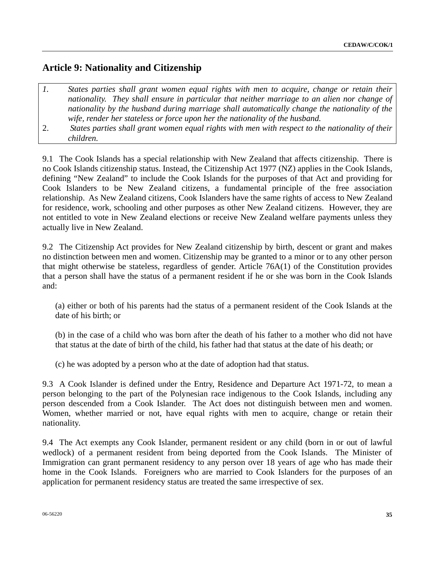# **Article 9: Nationality and Citizenship**

- *1. States parties shall grant women equal rights with men to acquire, change or retain their*  nationality. They shall ensure in particular that neither marriage to an alien nor change of *nationality by the husband during marriage shall automatically change the nationality of the wife, render her stateless or force upon her the nationality of the husband.*
- 2. *States parties shall grant women equal rights with men with respect to the nationality of their children.*

9.1 The Cook Islands has a special relationship with New Zealand that affects citizenship. There is no Cook Islands citizenship status. Instead, the Citizenship Act 1977 (NZ) applies in the Cook Islands, defining "New Zealand" to include the Cook Islands for the purposes of that Act and providing for Cook Islanders to be New Zealand citizens, a fundamental principle of the free association relationship. As New Zealand citizens, Cook Islanders have the same rights of access to New Zealand for residence, work, schooling and other purposes as other New Zealand citizens. However, they are not entitled to vote in New Zealand elections or receive New Zealand welfare payments unless they actually live in New Zealand.

9.2 The Citizenship Act provides for New Zealand citizenship by birth, descent or grant and makes no distinction between men and women. Citizenship may be granted to a minor or to any other person that might otherwise be stateless, regardless of gender. Article 76A(1) of the Constitution provides that a person shall have the status of a permanent resident if he or she was born in the Cook Islands and:

(a) either or both of his parents had the status of a permanent resident of the Cook Islands at the date of his birth; or

(b) in the case of a child who was born after the death of his father to a mother who did not have that status at the date of birth of the child, his father had that status at the date of his death; or

(c) he was adopted by a person who at the date of adoption had that status.

9.3 A Cook Islander is defined under the Entry, Residence and Departure Act 1971-72, to mean a person belonging to the part of the Polynesian race indigenous to the Cook Islands, including any person descended from a Cook Islander. The Act does not distinguish between men and women. Women, whether married or not, have equal rights with men to acquire, change or retain their nationality.

9.4 The Act exempts any Cook Islander, permanent resident or any child (born in or out of lawful wedlock) of a permanent resident from being deported from the Cook Islands. The Minister of Immigration can grant permanent residency to any person over 18 years of age who has made their home in the Cook Islands. Foreigners who are married to Cook Islanders for the purposes of an application for permanent residency status are treated the same irrespective of sex.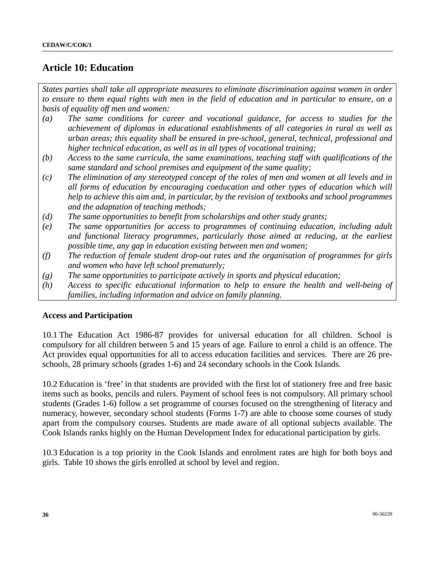# **Article 10: Education**

*States parties shall take all appropriate measures to eliminate discrimination against women in order to ensure to them equal rights with men in the field of education and in particular to ensure, on a basis of equality off men and women:* 

- *(a) The same conditions for career and vocational guidance, for access to studies for the achievement of diplomas in educational establishments of all categories in rural as well as urban areas; this equality shall be ensured in pre-school, general, technical, professional and higher technical education, as well as in all types of vocational training;*
- *(b) Access to the same curricula, the same examinations, teaching staff with qualifications of the same standard and school premises and equipment of the same quality;*
- *(c) The elimination of any stereotyped concept of the roles of men and women at all levels and in all forms of education by encouraging coeducation and other types of education which will help to achieve this aim and, in particular, by the revision of textbooks and school programmes and the adaptation of teaching methods;*
- *(d) The same opportunities to benefit from scholarships and other study grants;*
- *(e) The same opportunities for access to programmes of continuing education, including adult and functional literacy programmes, particularly those aimed at reducing, at the earliest possible time, any gap in education existing between men and women;*
- *(f) The reduction of female student drop-out rates and the organisation of programmes for girls and women who have left school prematurely;*
- *(g) The same opportunities to participate actively in sports and physical education;*
- *(h) Access to specific educational information to help to ensure the health and well-being of families, including information and advice on family planning.*

#### **Access and Participation**

10.1 The Education Act 1986-87 provides for universal education for all children. School is compulsory for all children between 5 and 15 years of age. Failure to enrol a child is an offence. The Act provides equal opportunities for all to access education facilities and services. There are 26 preschools, 28 primary schools (grades 1-6) and 24 secondary schools in the Cook Islands.

10.2 Education is 'free' in that students are provided with the first lot of stationery free and free basic items such as books, pencils and rulers. Payment of school fees is not compulsory. All primary school students (Grades 1-6) follow a set programme of courses focused on the strengthening of literacy and numeracy, however, secondary school students (Forms 1-7) are able to choose some courses of study apart from the compulsory courses. Students are made aware of all optional subjects available. The Cook Islands ranks highly on the Human Development Index for educational participation by girls.

10.3 Education is a top priority in the Cook Islands and enrolment rates are high for both boys and girls. Table 10 shows the girls enrolled at school by level and region.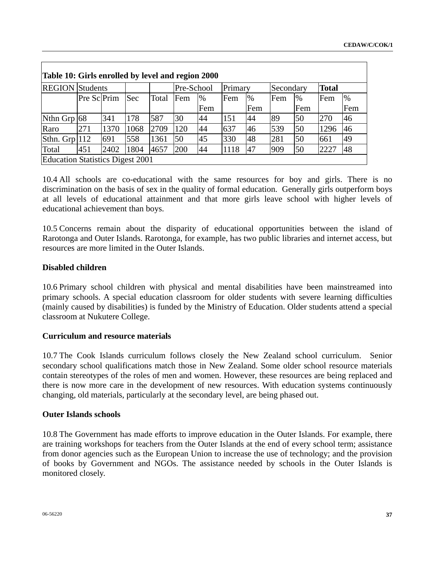| Table 10: Girls enrolled by level and region 2000 |             |      |      |       |            |                |         |                |           |     |              |     |
|---------------------------------------------------|-------------|------|------|-------|------------|----------------|---------|----------------|-----------|-----|--------------|-----|
| <b>REGION</b> Students                            |             |      |      |       | Pre-School |                | Primary |                | Secondary |     | <b>Total</b> |     |
|                                                   | Pre SclPrim |      | Sec  | Total | Fem        | $\frac{10}{6}$ | Fem     | $\frac{10}{6}$ | Fem       | %   | Fem          | %   |
|                                                   |             |      |      |       |            | Fem            |         | Fem            |           | Fem |              | Fem |
| Nthn Grp $ 68 $                                   |             | 341  | 178  | 587   | 30         | 44             | 151     | 44             | 89        | 50  | 270          | 46  |
| Raro                                              | 271         | 1370 | 1068 | 2709  | 120        | 44             | 637     | 46             | 539       | 50  | 1296         | 46  |
| Sthn. Grp $ 112 $                                 |             | 691  | 558  | 1361  | 50         | 45             | 330     | 48             | 281       | 50  | 661          | 49  |
| Total                                             | 451         | 2402 | 1804 | 4657  | 200        | 44             | 1118    | 47             | 909       | 50  | 2227         | 48  |
| <b>Education Statistics Digest 2001</b>           |             |      |      |       |            |                |         |                |           |     |              |     |

10.4 All schools are co-educational with the same resources for boy and girls. There is no discrimination on the basis of sex in the quality of formal education. Generally girls outperform boys at all levels of educational attainment and that more girls leave school with higher levels of educational achievement than boys.

10.5 Concerns remain about the disparity of educational opportunities between the island of Rarotonga and Outer Islands. Rarotonga, for example, has two public libraries and internet access, but resources are more limited in the Outer Islands.

### **Disabled children**

10.6 Primary school children with physical and mental disabilities have been mainstreamed into primary schools. A special education classroom for older students with severe learning difficulties (mainly caused by disabilities) is funded by the Ministry of Education. Older students attend a special classroom at Nukutere College.

#### **Curriculum and resource materials**

10.7 The Cook Islands curriculum follows closely the New Zealand school curriculum. Senior secondary school qualifications match those in New Zealand. Some older school resource materials contain stereotypes of the roles of men and women. However, these resources are being replaced and there is now more care in the development of new resources. With education systems continuously changing, old materials, particularly at the secondary level, are being phased out.

#### **Outer Islands schools**

10.8 The Government has made efforts to improve education in the Outer Islands. For example, there are training workshops for teachers from the Outer Islands at the end of every school term; assistance from donor agencies such as the European Union to increase the use of technology; and the provision of books by Government and NGOs. The assistance needed by schools in the Outer Islands is monitored closely.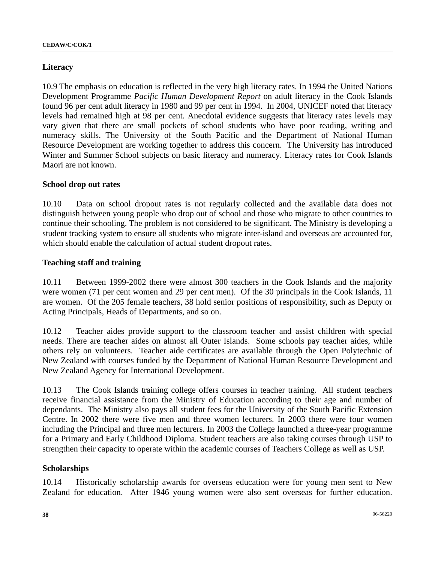## **Literacy**

10.9 The emphasis on education is reflected in the very high literacy rates. In 1994 the United Nations Development Programme *Pacific Human Development Report* on adult literacy in the Cook Islands found 96 per cent adult literacy in 1980 and 99 per cent in 1994. In 2004, UNICEF noted that literacy levels had remained high at 98 per cent. Anecdotal evidence suggests that literacy rates levels may vary given that there are small pockets of school students who have poor reading, writing and numeracy skills. The University of the South Pacific and the Department of National Human Resource Development are working together to address this concern. The University has introduced Winter and Summer School subjects on basic literacy and numeracy. Literacy rates for Cook Islands Maori are not known.

### **School drop out rates**

10.10 Data on school dropout rates is not regularly collected and the available data does not distinguish between young people who drop out of school and those who migrate to other countries to continue their schooling. The problem is not considered to be significant. The Ministry is developing a student tracking system to ensure all students who migrate inter-island and overseas are accounted for, which should enable the calculation of actual student dropout rates.

### **Teaching staff and training**

10.11 Between 1999-2002 there were almost 300 teachers in the Cook Islands and the majority were women (71 per cent women and 29 per cent men). Of the 30 principals in the Cook Islands, 11 are women. Of the 205 female teachers, 38 hold senior positions of responsibility, such as Deputy or Acting Principals, Heads of Departments, and so on.

10.12 Teacher aides provide support to the classroom teacher and assist children with special needs. There are teacher aides on almost all Outer Islands. Some schools pay teacher aides, while others rely on volunteers. Teacher aide certificates are available through the Open Polytechnic of New Zealand with courses funded by the Department of National Human Resource Development and New Zealand Agency for International Development.

10.13 The Cook Islands training college offers courses in teacher training. All student teachers receive financial assistance from the Ministry of Education according to their age and number of dependants. The Ministry also pays all student fees for the University of the South Pacific Extension Centre. In 2002 there were five men and three women lecturers. In 2003 there were four women including the Principal and three men lecturers. In 2003 the College launched a three-year programme for a Primary and Early Childhood Diploma. Student teachers are also taking courses through USP to strengthen their capacity to operate within the academic courses of Teachers College as well as USP.

#### **Scholarships**

10.14 Historically scholarship awards for overseas education were for young men sent to New Zealand for education. After 1946 young women were also sent overseas for further education.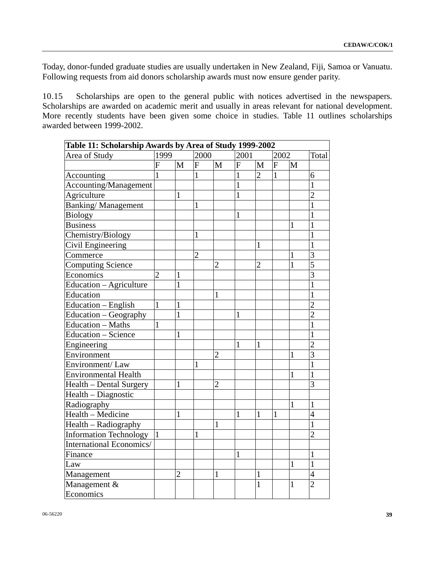Today, donor-funded graduate studies are usually undertaken in New Zealand, Fiji, Samoa or Vanuatu. Following requests from aid donors scholarship awards must now ensure gender parity.

10.15 Scholarships are open to the general public with notices advertised in the newspapers. Scholarships are awarded on academic merit and usually in areas relevant for national development. More recently students have been given some choice in studies. Table 11 outlines scholarships awarded between 1999-2002.

| Table 11: Scholarship Awards by Area of Study 1999-2002 |                |                |                |                |      |                |      |              |                          |  |  |
|---------------------------------------------------------|----------------|----------------|----------------|----------------|------|----------------|------|--------------|--------------------------|--|--|
| Area of Study                                           | 1999           |                | 2000           |                | 2001 |                | 2002 |              | Total                    |  |  |
|                                                         | F              | M              | F              | M              | F    | M              | F    | M            |                          |  |  |
| Accounting                                              | $\mathbf{1}$   |                | 1              |                | 1    | $\overline{2}$ | 1    |              | 6                        |  |  |
| Accounting/Management                                   |                |                |                |                | 1    |                |      |              | 1                        |  |  |
| Agriculture                                             |                | 1              |                |                | 1    |                |      |              | $\overline{2}$           |  |  |
| <b>Banking/Management</b>                               |                |                | 1              |                |      |                |      |              | 1                        |  |  |
| <b>Biology</b>                                          |                |                |                |                | 1    |                |      |              | 1                        |  |  |
| <b>Business</b>                                         |                |                |                |                |      |                |      | $\mathbf{1}$ | 1                        |  |  |
| Chemistry/Biology                                       |                |                | 1              |                |      |                |      |              | 1                        |  |  |
| Civil Engineering                                       |                |                |                |                |      | $\mathbf{1}$   |      |              | 1                        |  |  |
| Commerce                                                |                |                | $\overline{2}$ |                |      |                |      | $\mathbf{1}$ | 3                        |  |  |
| <b>Computing Science</b>                                |                |                |                | $\overline{c}$ |      | $\overline{c}$ |      | $\mathbf{1}$ | 5                        |  |  |
| Economics                                               | $\overline{2}$ | $\mathbf{1}$   |                |                |      |                |      |              | $\overline{3}$           |  |  |
| Education - Agriculture                                 |                | 1              |                |                |      |                |      |              | 1                        |  |  |
| Education                                               |                |                |                | 1              |      |                |      |              | 1                        |  |  |
| Education - English                                     | $\mathbf{1}$   | $\mathbf{1}$   |                |                |      |                |      |              | $\overline{2}$           |  |  |
| Education – Geography                                   |                | 1              |                |                | 1    |                |      |              | $\overline{2}$           |  |  |
| <b>Education - Maths</b>                                | 1              |                |                |                |      |                |      |              | 1                        |  |  |
| Education - Science                                     |                | $\mathbf{1}$   |                |                |      |                |      |              | 1                        |  |  |
| Engineering                                             |                |                |                |                | 1    | 1              |      |              | $\overline{2}$           |  |  |
| Environment                                             |                |                |                | $\overline{2}$ |      |                |      | $\mathbf{1}$ | 3                        |  |  |
| Environment/Law                                         |                |                | 1              |                |      |                |      |              | 1                        |  |  |
| <b>Environmental Health</b>                             |                |                |                |                |      |                |      | $\mathbf{1}$ | 1                        |  |  |
| Health - Dental Surgery                                 |                | 1              |                | $\overline{2}$ |      |                |      |              | $\overline{3}$           |  |  |
| Health - Diagnostic                                     |                |                |                |                |      |                |      |              |                          |  |  |
| Radiography                                             |                |                |                |                |      |                |      | $\mathbf{1}$ | 1                        |  |  |
| Health - Medicine                                       |                | $\mathbf{1}$   |                |                | 1    | 1              | 1    |              | $\overline{\mathcal{A}}$ |  |  |
| Health - Radiography                                    |                |                |                | 1              |      |                |      |              | 1                        |  |  |
| <b>Information Technology</b>                           | $\mathbf{1}$   |                | $\mathbf{1}$   |                |      |                |      |              | $\overline{2}$           |  |  |
| International Economics/                                |                |                |                |                |      |                |      |              |                          |  |  |
| Finance                                                 |                |                |                |                | 1    |                |      |              | 1                        |  |  |
| Law                                                     |                |                |                |                |      |                |      | $\mathbf{1}$ | 1                        |  |  |
| Management                                              |                | $\overline{2}$ |                | 1              |      | 1              |      |              | $\overline{4}$           |  |  |
| Management &                                            |                |                |                |                |      | 1              |      | $\mathbf{1}$ | $\overline{2}$           |  |  |
| Economics                                               |                |                |                |                |      |                |      |              |                          |  |  |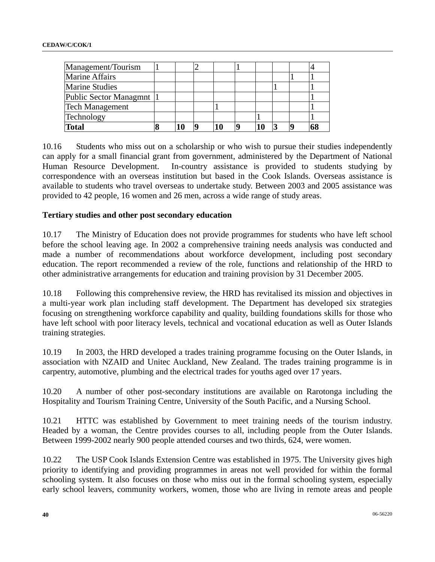#### **CEDAW/C/COK/1**

| Management/Tourism       |  |  |  |  |  |
|--------------------------|--|--|--|--|--|
| <b>Marine Affairs</b>    |  |  |  |  |  |
| <b>Marine Studies</b>    |  |  |  |  |  |
| Public Sector Managmnt 1 |  |  |  |  |  |
| <b>Tech Management</b>   |  |  |  |  |  |
| Technology               |  |  |  |  |  |
| <b>Total</b>             |  |  |  |  |  |

10.16 Students who miss out on a scholarship or who wish to pursue their studies independently can apply for a small financial grant from government, administered by the Department of National Human Resource Development. In-country assistance is provided to students studying by correspondence with an overseas institution but based in the Cook Islands. Overseas assistance is available to students who travel overseas to undertake study. Between 2003 and 2005 assistance was provided to 42 people, 16 women and 26 men, across a wide range of study areas.

## **Tertiary studies and other post secondary education**

10.17 The Ministry of Education does not provide programmes for students who have left school before the school leaving age. In 2002 a comprehensive training needs analysis was conducted and made a number of recommendations about workforce development, including post secondary education. The report recommended a review of the role, functions and relationship of the HRD to other administrative arrangements for education and training provision by 31 December 2005.

10.18 Following this comprehensive review, the HRD has revitalised its mission and objectives in a multi-year work plan including staff development. The Department has developed six strategies focusing on strengthening workforce capability and quality, building foundations skills for those who have left school with poor literacy levels, technical and vocational education as well as Outer Islands training strategies.

10.19 In 2003, the HRD developed a trades training programme focusing on the Outer Islands, in association with NZAID and Unitec Auckland, New Zealand. The trades training programme is in carpentry, automotive, plumbing and the electrical trades for youths aged over 17 years.

10.20 A number of other post-secondary institutions are available on Rarotonga including the Hospitality and Tourism Training Centre, University of the South Pacific, and a Nursing School.

10.21 HTTC was established by Government to meet training needs of the tourism industry. Headed by a woman, the Centre provides courses to all, including people from the Outer Islands. Between 1999-2002 nearly 900 people attended courses and two thirds, 624, were women.

10.22 The USP Cook Islands Extension Centre was established in 1975. The University gives high priority to identifying and providing programmes in areas not well provided for within the formal schooling system. It also focuses on those who miss out in the formal schooling system, especially early school leavers, community workers, women, those who are living in remote areas and people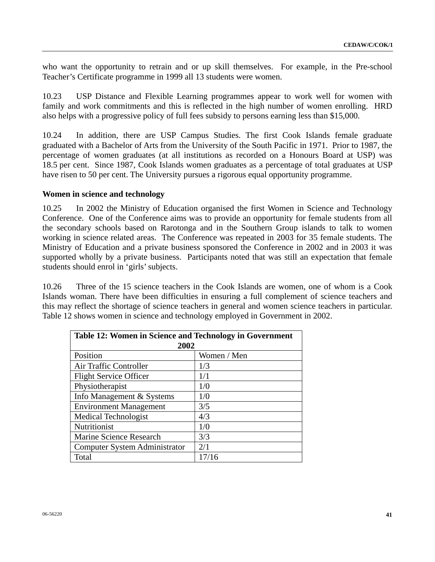who want the opportunity to retrain and or up skill themselves. For example, in the Pre-school Teacher's Certificate programme in 1999 all 13 students were women.

10.23 USP Distance and Flexible Learning programmes appear to work well for women with family and work commitments and this is reflected in the high number of women enrolling. HRD also helps with a progressive policy of full fees subsidy to persons earning less than \$15,000.

10.24 In addition, there are USP Campus Studies. The first Cook Islands female graduate graduated with a Bachelor of Arts from the University of the South Pacific in 1971. Prior to 1987, the percentage of women graduates (at all institutions as recorded on a Honours Board at USP) was 18.5 per cent. Since 1987, Cook Islands women graduates as a percentage of total graduates at USP have risen to 50 per cent. The University pursues a rigorous equal opportunity programme.

### **Women in science and technology**

10.25 In 2002 the Ministry of Education organised the first Women in Science and Technology Conference. One of the Conference aims was to provide an opportunity for female students from all the secondary schools based on Rarotonga and in the Southern Group islands to talk to women working in science related areas. The Conference was repeated in 2003 for 35 female students. The Ministry of Education and a private business sponsored the Conference in 2002 and in 2003 it was supported wholly by a private business. Participants noted that was still an expectation that female students should enrol in 'girls' subjects.

10.26 Three of the 15 science teachers in the Cook Islands are women, one of whom is a Cook Islands woman. There have been difficulties in ensuring a full complement of science teachers and this may reflect the shortage of science teachers in general and women science teachers in particular. Table 12 shows women in science and technology employed in Government in 2002.

| Table 12: Women in Science and Technology in Government |             |  |  |  |  |  |  |  |
|---------------------------------------------------------|-------------|--|--|--|--|--|--|--|
| 2002                                                    |             |  |  |  |  |  |  |  |
| Position                                                | Women / Men |  |  |  |  |  |  |  |
| Air Traffic Controller                                  | 1/3         |  |  |  |  |  |  |  |
| <b>Flight Service Officer</b>                           | 1/1         |  |  |  |  |  |  |  |
| Physiotherapist                                         | 1/0         |  |  |  |  |  |  |  |
| Info Management & Systems                               | 1/0         |  |  |  |  |  |  |  |
| <b>Environment Management</b>                           | 3/5         |  |  |  |  |  |  |  |
| Medical Technologist                                    | 4/3         |  |  |  |  |  |  |  |
| Nutritionist                                            | 1/0         |  |  |  |  |  |  |  |
| Marine Science Research                                 | 3/3         |  |  |  |  |  |  |  |
| Computer System Administrator                           | 2/1         |  |  |  |  |  |  |  |
| Total                                                   | 17/16       |  |  |  |  |  |  |  |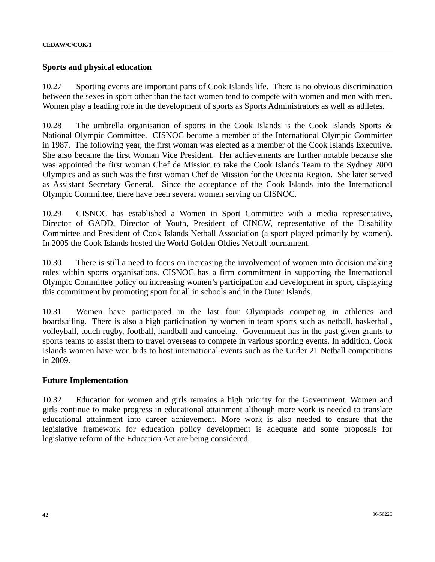### **Sports and physical education**

10.27 Sporting events are important parts of Cook Islands life. There is no obvious discrimination between the sexes in sport other than the fact women tend to compete with women and men with men. Women play a leading role in the development of sports as Sports Administrators as well as athletes.

10.28 The umbrella organisation of sports in the Cook Islands is the Cook Islands Sports & National Olympic Committee. CISNOC became a member of the International Olympic Committee in 1987. The following year, the first woman was elected as a member of the Cook Islands Executive. She also became the first Woman Vice President. Her achievements are further notable because she was appointed the first woman Chef de Mission to take the Cook Islands Team to the Sydney 2000 Olympics and as such was the first woman Chef de Mission for the Oceania Region. She later served as Assistant Secretary General. Since the acceptance of the Cook Islands into the International Olympic Committee, there have been several women serving on CISNOC.

10.29 CISNOC has established a Women in Sport Committee with a media representative, Director of GADD, Director of Youth, President of CINCW, representative of the Disability Committee and President of Cook Islands Netball Association (a sport played primarily by women). In 2005 the Cook Islands hosted the World Golden Oldies Netball tournament.

10.30 There is still a need to focus on increasing the involvement of women into decision making roles within sports organisations. CISNOC has a firm commitment in supporting the International Olympic Committee policy on increasing women's participation and development in sport, displaying this commitment by promoting sport for all in schools and in the Outer Islands.

10.31 Women have participated in the last four Olympiads competing in athletics and boardsailing. There is also a high participation by women in team sports such as netball, basketball, volleyball, touch rugby, football, handball and canoeing. Government has in the past given grants to sports teams to assist them to travel overseas to compete in various sporting events. In addition, Cook Islands women have won bids to host international events such as the Under 21 Netball competitions in 2009.

## **Future Implementation**

10.32 Education for women and girls remains a high priority for the Government. Women and girls continue to make progress in educational attainment although more work is needed to translate educational attainment into career achievement. More work is also needed to ensure that the legislative framework for education policy development is adequate and some proposals for legislative reform of the Education Act are being considered.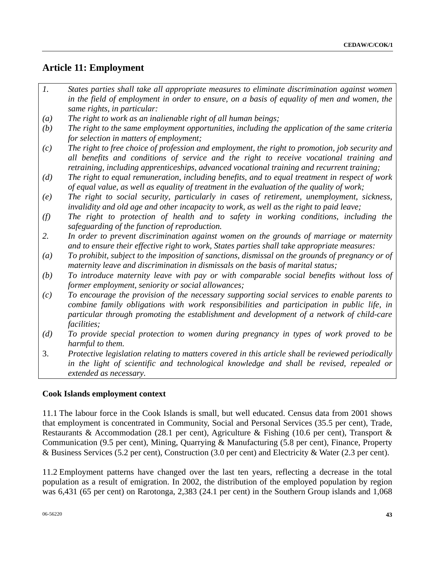# **Article 11: Employment**

- *1. States parties shall take all appropriate measures to eliminate discrimination against women in the field of employment in order to ensure, on a basis of equality of men and women, the same rights, in particular:*
- *(a) The right to work as an inalienable right of all human beings;*
- *(b) The right to the same employment opportunities, including the application of the same criteria for selection in matters of employment;*
- *(c) The right to free choice of profession and employment, the right to promotion, job security and all benefits and conditions of service and the right to receive vocational training and retraining, including apprenticeships, advanced vocational training and recurrent training;*
- *(d) The right to equal remuneration, including benefits, and to equal treatment in respect of work of equal value, as well as equality of treatment in the evaluation of the quality of work;*
- *(e) The right to social security, particularly in cases of retirement, unemployment, sickness, invalidity and old age and other incapacity to work, as well as the right to paid leave;*
- *(f) The right to protection of health and to safety in working conditions, including the safeguarding of the function of reproduction.*
- *2. In order to prevent discrimination against women on the grounds of marriage or maternity and to ensure their effective right to work, States parties shall take appropriate measures:*
- *(a) To prohibit, subject to the imposition of sanctions, dismissal on the grounds of pregnancy or of maternity leave and discrimination in dismissals on the basis of marital status;*
- *(b) To introduce maternity leave with pay or with comparable social benefits without loss of former employment, seniority or social allowances;*
- *(c) To encourage the provision of the necessary supporting social services to enable parents to combine family obligations with work responsibilities and participation in public life, in particular through promoting the establishment and development of a network of child-care facilities;*
- *(d) To provide special protection to women during pregnancy in types of work proved to be harmful to them.*
- 3. *Protective legislation relating to matters covered in this article shall be reviewed periodically in the light of scientific and technological knowledge and shall be revised, repealed or extended as necessary.*

# **Cook Islands employment context**

11.1 The labour force in the Cook Islands is small, but well educated. Census data from 2001 shows that employment is concentrated in Community, Social and Personal Services (35.5 per cent), Trade, Restaurants & Accommodation (28.1 per cent), Agriculture & Fishing (10.6 per cent), Transport & Communication (9.5 per cent), Mining, Quarrying & Manufacturing (5.8 per cent), Finance, Property & Business Services (5.2 per cent), Construction (3.0 per cent) and Electricity & Water (2.3 per cent).

11.2 Employment patterns have changed over the last ten years, reflecting a decrease in the total population as a result of emigration. In 2002, the distribution of the employed population by region was 6,431 (65 per cent) on Rarotonga, 2,383 (24.1 per cent) in the Southern Group islands and 1,068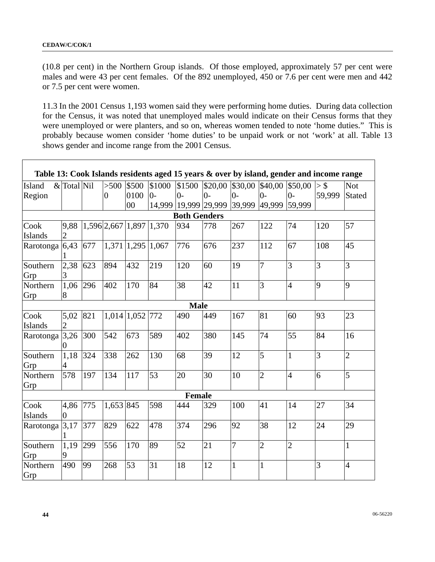$\mathsf I$ 

(10.8 per cent) in the Northern Group islands. Of those employed, approximately 57 per cent were males and were 43 per cent females. Of the 892 unemployed, 450 or 7.6 per cent were men and 442 or 7.5 per cent were women.

11.3 In the 2001 Census 1,193 women said they were performing home duties. During data collection for the Census, it was noted that unemployed males would indicate on their Census forms that they were unemployed or were planters, and so on, whereas women tended to note 'home duties." This is probably because women consider 'home duties' to be unpaid work or not 'work' at all. Table 13 shows gender and income range from the 2001 Census.

| Table 13: Cook Islands residents aged 15 years & over by island, gender and income range |                  |     |               |                         |        |               |                                             |              |                |                |                |                |
|------------------------------------------------------------------------------------------|------------------|-----|---------------|-------------------------|--------|---------------|---------------------------------------------|--------------|----------------|----------------|----------------|----------------|
| Island                                                                                   | $&$ Total Nil    |     | $>500$        | \$500                   | \$1000 | \$1500        | $\frac{\$20,00}{\$30,00}$ \\$40,00 \\$50,00 |              |                |                | $>$ \$         | <b>Not</b>     |
| Region                                                                                   |                  |     | 0             | 0100                    | $0-$   | $0-$          | ነበ-                                         | $0 -$        | $0-$           | $\Omega$       | 59,999         | <b>Stated</b>  |
|                                                                                          |                  |     |               | 00                      | 14,999 |               | 19,999 29,999                               |              | 39,999 49,999  | 59,999         |                |                |
| <b>Both Genders</b>                                                                      |                  |     |               |                         |        |               |                                             |              |                |                |                |                |
| Cook                                                                                     | 9,88             |     |               | 1,596 2,667 1,897 1,370 |        | 934           | 778                                         | 267          | 122            | 74             | 120            | 57             |
| <b>Islands</b>                                                                           | $\overline{2}$   |     |               |                         |        |               |                                             |              |                |                |                |                |
| Rarotonga 6,43                                                                           |                  | 677 |               | $1,371$ 1,295 1,067     |        | 776           | 676                                         | 237          | 112            | 67             | 108            | 45             |
| Southern                                                                                 | 2,38             | 623 | 894           | 432                     | 219    | 120           | 60                                          | 19           | 7              | 3              | 3              | 3              |
| Grp                                                                                      | 3                |     |               |                         |        |               |                                             |              |                |                |                |                |
| Northern                                                                                 | 1,06             | 296 | 402           | 170                     | 84     | 38            | 42                                          | 11           | 3              | $\overline{4}$ | 9              | 9              |
| Grp                                                                                      | 8                |     |               |                         |        |               |                                             |              |                |                |                |                |
|                                                                                          |                  |     |               |                         |        | <b>Male</b>   |                                             |              |                |                |                |                |
| Cook                                                                                     | 5,02             | 821 | $1,014$ 1,052 |                         | 772    | 490           | 449                                         | 167          | 81             | 60             | 93             | 23             |
| Islands                                                                                  | 2                |     |               |                         |        |               |                                             |              |                |                |                |                |
| Rarotonga <sup>3,26</sup>                                                                |                  | 300 | 542           | 673                     | 589    | 402           | 380                                         | 145          | 74             | 55             | 84             | 16             |
| Southern<br>Grp                                                                          | 1.18<br>4        | 324 | 338           | 262                     | 130    | 68            | 39                                          | 12           | $\overline{5}$ | $\mathbf{1}$   | $\overline{3}$ | $\overline{2}$ |
| Northern<br>Grp                                                                          | 578              | 197 | 134           | 117                     | 53     | 20            | 30                                          | 10           | $\overline{2}$ | $\overline{4}$ | 6              | 5              |
|                                                                                          |                  |     |               |                         |        | <b>Female</b> |                                             |              |                |                |                |                |
| Cook<br>Islands                                                                          | 4,86<br>$\Omega$ | 775 | 1,653 845     |                         | 598    | 444           | 329                                         | 100          | 41             | 14             | 27             | 34             |
| Rarotonga <sup>[3,17</sup>                                                               |                  | 377 | 829           | 622                     | 478    | 374           | 296                                         | 92           | 38             | 12             | 24             | 29             |
| Southern<br>Grp                                                                          | 1,19<br>9        | 299 | 556           | 170                     | 89     | 52            | 21                                          | 7            | $\overline{2}$ | $\overline{2}$ |                | 1              |
| Northern<br>Grp                                                                          | 490              | 99  | 268           | 53                      | 31     | 18            | 12                                          | $\mathbf{1}$ | $\mathbf{1}$   |                | 3              | $\overline{4}$ |

٦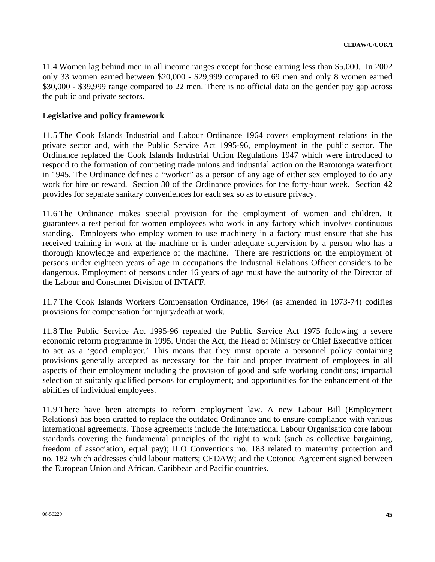11.4 Women lag behind men in all income ranges except for those earning less than \$5,000. In 2002 only 33 women earned between \$20,000 - \$29,999 compared to 69 men and only 8 women earned \$30,000 - \$39,999 range compared to 22 men. There is no official data on the gender pay gap across the public and private sectors.

# **Legislative and policy framework**

11.5 The Cook Islands Industrial and Labour Ordinance 1964 covers employment relations in the private sector and, with the Public Service Act 1995-96, employment in the public sector. The Ordinance replaced the Cook Islands Industrial Union Regulations 1947 which were introduced to respond to the formation of competing trade unions and industrial action on the Rarotonga waterfront in 1945. The Ordinance defines a "worker" as a person of any age of either sex employed to do any work for hire or reward. Section 30 of the Ordinance provides for the forty-hour week. Section 42 provides for separate sanitary conveniences for each sex so as to ensure privacy.

11.6 The Ordinance makes special provision for the employment of women and children. It guarantees a rest period for women employees who work in any factory which involves continuous standing. Employers who employ women to use machinery in a factory must ensure that she has received training in work at the machine or is under adequate supervision by a person who has a thorough knowledge and experience of the machine. There are restrictions on the employment of persons under eighteen years of age in occupations the Industrial Relations Officer considers to be dangerous. Employment of persons under 16 years of age must have the authority of the Director of the Labour and Consumer Division of INTAFF.

11.7 The Cook Islands Workers Compensation Ordinance, 1964 (as amended in 1973-74) codifies provisions for compensation for injury/death at work.

11.8 The Public Service Act 1995-96 repealed the Public Service Act 1975 following a severe economic reform programme in 1995. Under the Act, the Head of Ministry or Chief Executive officer to act as a 'good employer.' This means that they must operate a personnel policy containing provisions generally accepted as necessary for the fair and proper treatment of employees in all aspects of their employment including the provision of good and safe working conditions; impartial selection of suitably qualified persons for employment; and opportunities for the enhancement of the abilities of individual employees.

11.9 There have been attempts to reform employment law. A new Labour Bill (Employment Relations) has been drafted to replace the outdated Ordinance and to ensure compliance with various international agreements. Those agreements include the International Labour Organisation core labour standards covering the fundamental principles of the right to work (such as collective bargaining, freedom of association, equal pay); ILO Conventions no. 183 related to maternity protection and no. 182 which addresses child labour matters; CEDAW; and the Cotonou Agreement signed between the European Union and African, Caribbean and Pacific countries.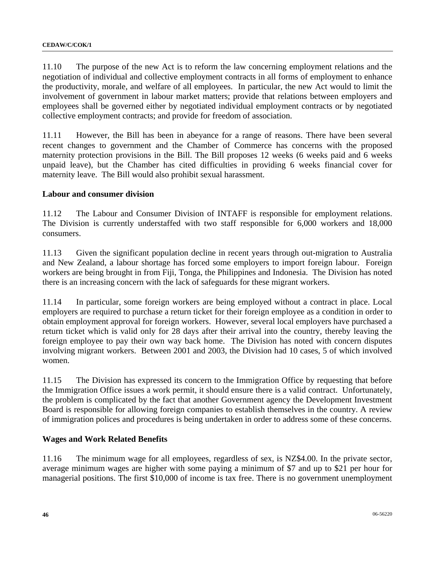11.10 The purpose of the new Act is to reform the law concerning employment relations and the negotiation of individual and collective employment contracts in all forms of employment to enhance the productivity, morale, and welfare of all employees. In particular, the new Act would to limit the involvement of government in labour market matters; provide that relations between employers and employees shall be governed either by negotiated individual employment contracts or by negotiated collective employment contracts; and provide for freedom of association.

11.11 However, the Bill has been in abeyance for a range of reasons. There have been several recent changes to government and the Chamber of Commerce has concerns with the proposed maternity protection provisions in the Bill. The Bill proposes 12 weeks (6 weeks paid and 6 weeks unpaid leave), but the Chamber has cited difficulties in providing 6 weeks financial cover for maternity leave. The Bill would also prohibit sexual harassment.

# **Labour and consumer division**

11.12 The Labour and Consumer Division of INTAFF is responsible for employment relations. The Division is currently understaffed with two staff responsible for 6,000 workers and 18,000 consumers.

11.13 Given the significant population decline in recent years through out-migration to Australia and New Zealand, a labour shortage has forced some employers to import foreign labour. Foreign workers are being brought in from Fiji, Tonga, the Philippines and Indonesia. The Division has noted there is an increasing concern with the lack of safeguards for these migrant workers.

11.14 In particular, some foreign workers are being employed without a contract in place. Local employers are required to purchase a return ticket for their foreign employee as a condition in order to obtain employment approval for foreign workers. However, several local employers have purchased a return ticket which is valid only for 28 days after their arrival into the country, thereby leaving the foreign employee to pay their own way back home. The Division has noted with concern disputes involving migrant workers. Between 2001 and 2003, the Division had 10 cases, 5 of which involved women.

11.15 The Division has expressed its concern to the Immigration Office by requesting that before the Immigration Office issues a work permit, it should ensure there is a valid contract. Unfortunately, the problem is complicated by the fact that another Government agency the Development Investment Board is responsible for allowing foreign companies to establish themselves in the country. A review of immigration polices and procedures is being undertaken in order to address some of these concerns.

## **Wages and Work Related Benefits**

11.16 The minimum wage for all employees, regardless of sex, is NZ\$4.00. In the private sector, average minimum wages are higher with some paying a minimum of \$7 and up to \$21 per hour for managerial positions. The first \$10,000 of income is tax free. There is no government unemployment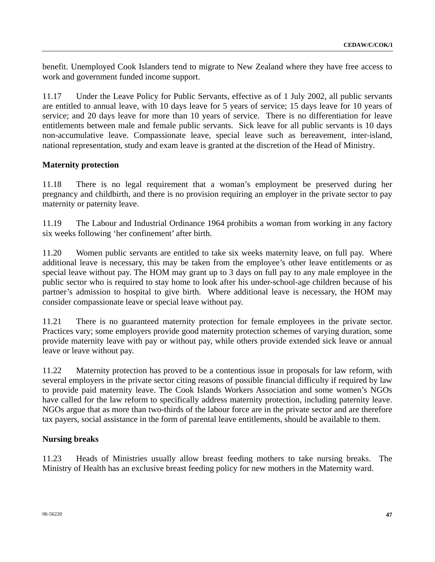benefit. Unemployed Cook Islanders tend to migrate to New Zealand where they have free access to work and government funded income support.

11.17 Under the Leave Policy for Public Servants, effective as of 1 July 2002, all public servants are entitled to annual leave, with 10 days leave for 5 years of service; 15 days leave for 10 years of service; and 20 days leave for more than 10 years of service. There is no differentiation for leave entitlements between male and female public servants. Sick leave for all public servants is 10 days non-accumulative leave. Compassionate leave, special leave such as bereavement, inter-island, national representation, study and exam leave is granted at the discretion of the Head of Ministry.

# **Maternity protection**

11.18 There is no legal requirement that a woman's employment be preserved during her pregnancy and childbirth, and there is no provision requiring an employer in the private sector to pay maternity or paternity leave.

11.19 The Labour and Industrial Ordinance 1964 prohibits a woman from working in any factory six weeks following 'her confinement' after birth.

11.20 Women public servants are entitled to take six weeks maternity leave, on full pay. Where additional leave is necessary, this may be taken from the employee's other leave entitlements or as special leave without pay. The HOM may grant up to 3 days on full pay to any male employee in the public sector who is required to stay home to look after his under-school-age children because of his partner's admission to hospital to give birth. Where additional leave is necessary, the HOM may consider compassionate leave or special leave without pay.

11.21 There is no guaranteed maternity protection for female employees in the private sector. Practices vary; some employers provide good maternity protection schemes of varying duration, some provide maternity leave with pay or without pay, while others provide extended sick leave or annual leave or leave without pay.

11.22 Maternity protection has proved to be a contentious issue in proposals for law reform, with several employers in the private sector citing reasons of possible financial difficulty if required by law to provide paid maternity leave. The Cook Islands Workers Association and some women's NGOs have called for the law reform to specifically address maternity protection, including paternity leave. NGOs argue that as more than two-thirds of the labour force are in the private sector and are therefore tax payers, social assistance in the form of parental leave entitlements, should be available to them.

## **Nursing breaks**

11.23 Heads of Ministries usually allow breast feeding mothers to take nursing breaks. The Ministry of Health has an exclusive breast feeding policy for new mothers in the Maternity ward.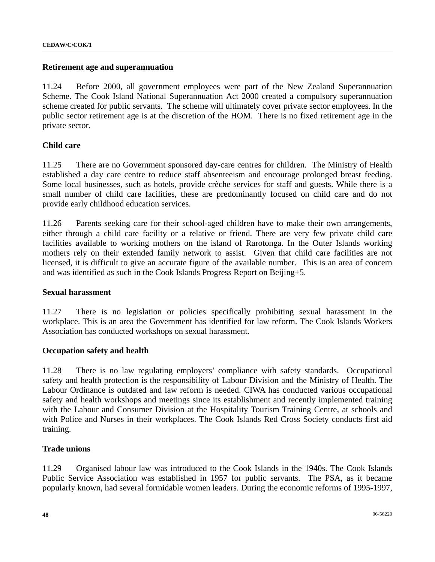#### **Retirement age and superannuation**

11.24 Before 2000, all government employees were part of the New Zealand Superannuation Scheme. The Cook Island National Superannuation Act 2000 created a compulsory superannuation scheme created for public servants. The scheme will ultimately cover private sector employees. In the public sector retirement age is at the discretion of the HOM. There is no fixed retirement age in the private sector.

## **Child care**

11.25 There are no Government sponsored day-care centres for children. The Ministry of Health established a day care centre to reduce staff absenteeism and encourage prolonged breast feeding. Some local businesses, such as hotels, provide crèche services for staff and guests. While there is a small number of child care facilities, these are predominantly focused on child care and do not provide early childhood education services.

11.26 Parents seeking care for their school-aged children have to make their own arrangements, either through a child care facility or a relative or friend. There are very few private child care facilities available to working mothers on the island of Rarotonga. In the Outer Islands working mothers rely on their extended family network to assist. Given that child care facilities are not licensed, it is difficult to give an accurate figure of the available number. This is an area of concern and was identified as such in the Cook Islands Progress Report on Beijing+5.

#### **Sexual harassment**

11.27 There is no legislation or policies specifically prohibiting sexual harassment in the workplace. This is an area the Government has identified for law reform. The Cook Islands Workers Association has conducted workshops on sexual harassment.

## **Occupation safety and health**

11.28 There is no law regulating employers' compliance with safety standards. Occupational safety and health protection is the responsibility of Labour Division and the Ministry of Health. The Labour Ordinance is outdated and law reform is needed. CIWA has conducted various occupational safety and health workshops and meetings since its establishment and recently implemented training with the Labour and Consumer Division at the Hospitality Tourism Training Centre, at schools and with Police and Nurses in their workplaces. The Cook Islands Red Cross Society conducts first aid training.

#### **Trade unions**

11.29 Organised labour law was introduced to the Cook Islands in the 1940s. The Cook Islands Public Service Association was established in 1957 for public servants. The PSA, as it became popularly known, had several formidable women leaders. During the economic reforms of 1995-1997,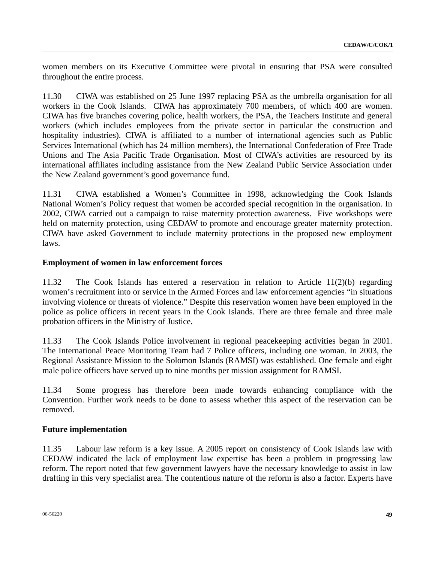women members on its Executive Committee were pivotal in ensuring that PSA were consulted throughout the entire process.

11.30 CIWA was established on 25 June 1997 replacing PSA as the umbrella organisation for all workers in the Cook Islands. CIWA has approximately 700 members, of which 400 are women. CIWA has five branches covering police, health workers, the PSA, the Teachers Institute and general workers (which includes employees from the private sector in particular the construction and hospitality industries). CIWA is affiliated to a number of international agencies such as Public Services International (which has 24 million members), the International Confederation of Free Trade Unions and The Asia Pacific Trade Organisation. Most of CIWA's activities are resourced by its international affiliates including assistance from the New Zealand Public Service Association under the New Zealand government's good governance fund.

11.31 CIWA established a Women's Committee in 1998, acknowledging the Cook Islands National Women's Policy request that women be accorded special recognition in the organisation. In 2002, CIWA carried out a campaign to raise maternity protection awareness. Five workshops were held on maternity protection, using CEDAW to promote and encourage greater maternity protection. CIWA have asked Government to include maternity protections in the proposed new employment laws.

# **Employment of women in law enforcement forces**

11.32 The Cook Islands has entered a reservation in relation to Article 11(2)(b) regarding women's recruitment into or service in the Armed Forces and law enforcement agencies "in situations involving violence or threats of violence." Despite this reservation women have been employed in the police as police officers in recent years in the Cook Islands. There are three female and three male probation officers in the Ministry of Justice.

11.33 The Cook Islands Police involvement in regional peacekeeping activities began in 2001. The International Peace Monitoring Team had 7 Police officers, including one woman. In 2003, the Regional Assistance Mission to the Solomon Islands (RAMSI) was established. One female and eight male police officers have served up to nine months per mission assignment for RAMSI.

11.34 Some progress has therefore been made towards enhancing compliance with the Convention. Further work needs to be done to assess whether this aspect of the reservation can be removed.

## **Future implementation**

11.35 Labour law reform is a key issue. A 2005 report on consistency of Cook Islands law with CEDAW indicated the lack of employment law expertise has been a problem in progressing law reform. The report noted that few government lawyers have the necessary knowledge to assist in law drafting in this very specialist area. The contentious nature of the reform is also a factor. Experts have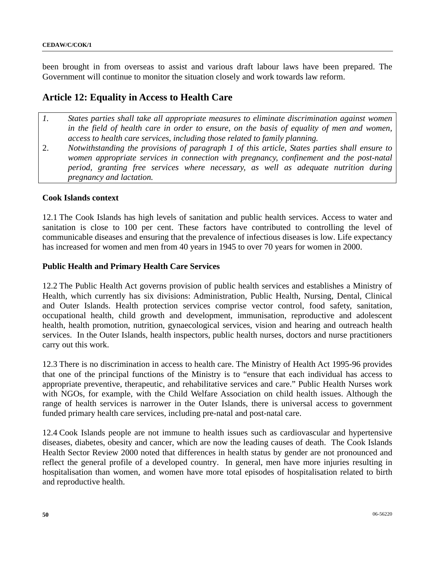been brought in from overseas to assist and various draft labour laws have been prepared. The Government will continue to monitor the situation closely and work towards law reform.

# **Article 12: Equality in Access to Health Care**

- *1. States parties shall take all appropriate measures to eliminate discrimination against women in the field of health care in order to ensure, on the basis of equality of men and women, access to health care services, including those related to family planning.*
- 2. *Notwithstanding the provisions of paragraph 1 of this article, States parties shall ensure to women appropriate services in connection with pregnancy, confinement and the post-natal period, granting free services where necessary, as well as adequate nutrition during pregnancy and lactation.*

#### **Cook Islands context**

12.1 The Cook Islands has high levels of sanitation and public health services. Access to water and sanitation is close to 100 per cent. These factors have contributed to controlling the level of communicable diseases and ensuring that the prevalence of infectious diseases is low. Life expectancy has increased for women and men from 40 years in 1945 to over 70 years for women in 2000.

#### **Public Health and Primary Health Care Services**

12.2 The Public Health Act governs provision of public health services and establishes a Ministry of Health, which currently has six divisions: Administration, Public Health, Nursing, Dental, Clinical and Outer Islands. Health protection services comprise vector control, food safety, sanitation, occupational health, child growth and development, immunisation, reproductive and adolescent health, health promotion, nutrition, gynaecological services, vision and hearing and outreach health services. In the Outer Islands, health inspectors, public health nurses, doctors and nurse practitioners carry out this work.

12.3 There is no discrimination in access to health care. The Ministry of Health Act 1995-96 provides that one of the principal functions of the Ministry is to "ensure that each individual has access to appropriate preventive, therapeutic, and rehabilitative services and care." Public Health Nurses work with NGOs, for example, with the Child Welfare Association on child health issues. Although the range of health services is narrower in the Outer Islands, there is universal access to government funded primary health care services, including pre-natal and post-natal care.

12.4 Cook Islands people are not immune to health issues such as cardiovascular and hypertensive diseases, diabetes, obesity and cancer, which are now the leading causes of death. The Cook Islands Health Sector Review 2000 noted that differences in health status by gender are not pronounced and reflect the general profile of a developed country. In general, men have more injuries resulting in hospitalisation than women, and women have more total episodes of hospitalisation related to birth and reproductive health.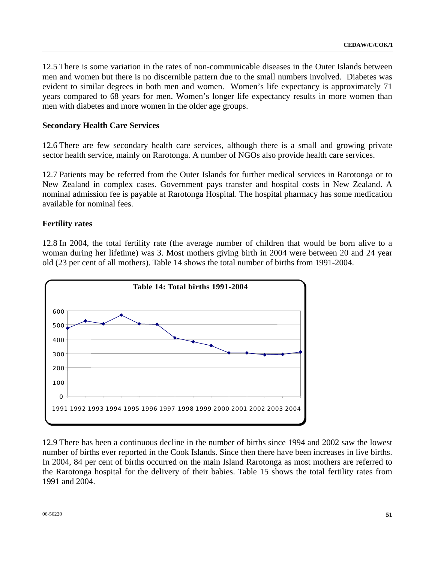12.5 There is some variation in the rates of non-communicable diseases in the Outer Islands between men and women but there is no discernible pattern due to the small numbers involved. Diabetes was evident to similar degrees in both men and women. Women's life expectancy is approximately 71 years compared to 68 years for men. Women's longer life expectancy results in more women than men with diabetes and more women in the older age groups.

#### **Secondary Health Care Services**

12.6 There are few secondary health care services, although there is a small and growing private sector health service, mainly on Rarotonga. A number of NGOs also provide health care services.

12.7 Patients may be referred from the Outer Islands for further medical services in Rarotonga or to New Zealand in complex cases. Government pays transfer and hospital costs in New Zealand. A nominal admission fee is payable at Rarotonga Hospital. The hospital pharmacy has some medication available for nominal fees.

### **Fertility rates**

12.8 In 2004, the total fertility rate (the average number of children that would be born alive to a woman during her lifetime) was 3. Most mothers giving birth in 2004 were between 20 and 24 year old (23 per cent of all mothers). Table 14 shows the total number of births from 1991-2004.



12.9 There has been a continuous decline in the number of births since 1994 and 2002 saw the lowest number of births ever reported in the Cook Islands. Since then there have been increases in live births. In 2004, 84 per cent of births occurred on the main Island Rarotonga as most mothers are referred to the Rarotonga hospital for the delivery of their babies. Table 15 shows the total fertility rates from 1991 and 2004.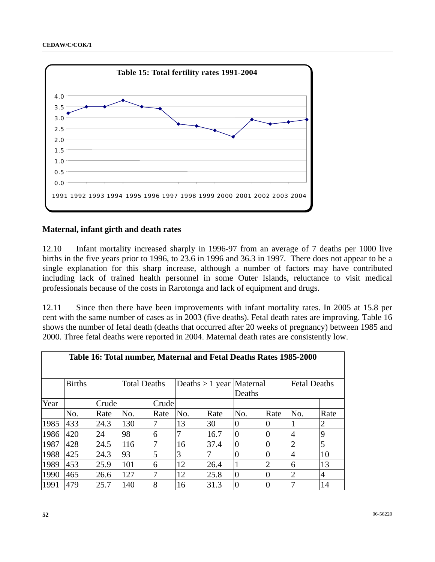

### **Maternal, infant girth and death rates**

12.10 Infant mortality increased sharply in 1996-97 from an average of 7 deaths per 1000 live births in the five years prior to 1996, to 23.6 in 1996 and 36.3 in 1997. There does not appear to be a single explanation for this sharp increase, although a number of factors may have contributed including lack of trained health personnel in some Outer Islands, reluctance to visit medical professionals because of the costs in Rarotonga and lack of equipment and drugs.

12.11 Since then there have been improvements with infant mortality rates. In 2005 at 15.8 per cent with the same number of cases as in 2003 (five deaths). Fetal death rates are improving. Table 16 shows the number of fetal death (deaths that occurred after 20 weeks of pregnancy) between 1985 and 2000. Three fetal deaths were reported in 2004. Maternal death rates are consistently low.

|      | Table 16: Total number, Maternal and Fetal Deaths Rates 1985-2000 |       |            |                     |     |                            |                |                |                |                     |  |  |  |
|------|-------------------------------------------------------------------|-------|------------|---------------------|-----|----------------------------|----------------|----------------|----------------|---------------------|--|--|--|
|      | <b>Births</b>                                                     |       |            | <b>Total Deaths</b> |     | Deaths $> 1$ year Maternal |                |                |                | <b>Fetal Deaths</b> |  |  |  |
|      |                                                                   |       |            |                     |     |                            | Deaths         |                |                |                     |  |  |  |
| Year |                                                                   | Crude |            | Crude               |     |                            |                |                |                |                     |  |  |  |
|      | No.                                                               | Rate  | No.        | Rate                | No. | Rate                       | No.            | Rate           | No.            | Rate                |  |  |  |
| 1985 | 433                                                               | 24.3  | 130        |                     | 13  | 30                         | $\overline{0}$ | Ю              |                | 2                   |  |  |  |
| 1986 | 420                                                               | 24    | 98         | 6                   |     | 16.7                       | $\overline{0}$ | $\overline{0}$ | 4              | 9                   |  |  |  |
| 1987 | 428                                                               | 24.5  | <b>116</b> | 7                   | 16  | 37.4                       | $\overline{0}$ | $\overline{0}$ |                | 5                   |  |  |  |
| 1988 | 425                                                               | 24.3  | 93         | 5                   |     |                            | 0              |                | 4              | 10                  |  |  |  |
| 1989 | 453                                                               | 25.9  | 101        | 6                   | 12  | 26.4                       |                | $\overline{2}$ | 6              | 13                  |  |  |  |
| 1990 | 465                                                               | 26.6  | 127        | 7                   | 12  | 25.8                       | $\overline{0}$ | $\overline{0}$ | $\overline{2}$ | 4                   |  |  |  |
| 1991 | 479                                                               | 25.7  | 140        | 8                   | 16  | 31.3                       | $\overline{0}$ | $\overline{0}$ |                | 14                  |  |  |  |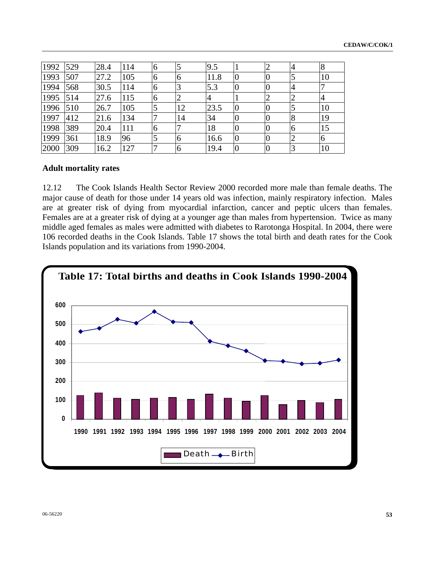| 1992 | 529 | 28.4 | 114 | 6 |                | 9.5  |                 | ∠ | 4              | ð  |
|------|-----|------|-----|---|----------------|------|-----------------|---|----------------|----|
| 1993 | 507 | 27.2 | 105 | 6 | $\overline{6}$ | 11.8 | $\overline{0}$  |   |                | 10 |
| 1994 | 568 | 30.5 | 114 | 6 | 3              | 5.3  | $\overline{0}$  |   | 4              |    |
| 1995 | 514 | 27.6 | 115 | 6 | $\overline{2}$ | 4    |                 | 2 | $\overline{2}$ | 4  |
| 1996 | 510 | 26.7 | 105 |   | 12             | 23.5 | 10              |   |                | 10 |
| 1997 | 412 | 21.6 | 134 |   | 14             | 34   | 10              |   | $\overline{8}$ | 19 |
| 1998 | 389 | 20.4 | 111 | 6 |                | 18   | 10              |   | 16             | 15 |
| 1999 | 361 | 18.9 | 96  |   | 6              | 16.6 | $\vert 0 \vert$ |   | $\overline{2}$ | 6  |
| 2000 | 309 | 16.2 | 127 |   | 6              | 19.4 | $\overline{0}$  |   | 3              | 10 |

#### **Adult mortality rates**

12.12 The Cook Islands Health Sector Review 2000 recorded more male than female deaths. The major cause of death for those under 14 years old was infection, mainly respiratory infection. Males are at greater risk of dying from myocardial infarction, cancer and peptic ulcers than females. Females are at a greater risk of dying at a younger age than males from hypertension. Twice as many middle aged females as males were admitted with diabetes to Rarotonga Hospital. In 2004, there were 106 recorded deaths in the Cook Islands. Table 17 shows the total birth and death rates for the Cook Islands population and its variations from 1990-2004.

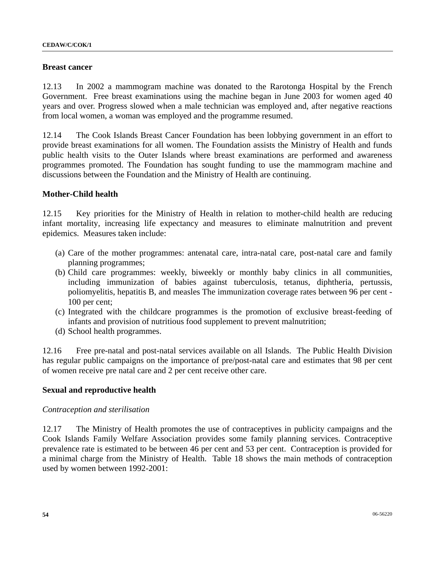#### **Breast cancer**

12.13 In 2002 a mammogram machine was donated to the Rarotonga Hospital by the French Government. Free breast examinations using the machine began in June 2003 for women aged 40 years and over. Progress slowed when a male technician was employed and, after negative reactions from local women, a woman was employed and the programme resumed.

12.14 The Cook Islands Breast Cancer Foundation has been lobbying government in an effort to provide breast examinations for all women. The Foundation assists the Ministry of Health and funds public health visits to the Outer Islands where breast examinations are performed and awareness programmes promoted. The Foundation has sought funding to use the mammogram machine and discussions between the Foundation and the Ministry of Health are continuing.

### **Mother-Child health**

12.15 Key priorities for the Ministry of Health in relation to mother-child health are reducing infant mortality, increasing life expectancy and measures to eliminate malnutrition and prevent epidemics. Measures taken include:

- (a) Care of the mother programmes: antenatal care, intra-natal care, post-natal care and family planning programmes;
- (b) Child care programmes: weekly, biweekly or monthly baby clinics in all communities, including immunization of babies against tuberculosis, tetanus, diphtheria, pertussis, poliomyelitis, hepatitis B, and measles The immunization coverage rates between 96 per cent - 100 per cent;
- (c) Integrated with the childcare programmes is the promotion of exclusive breast-feeding of infants and provision of nutritious food supplement to prevent malnutrition;
- (d) School health programmes.

12.16 Free pre-natal and post-natal services available on all Islands. The Public Health Division has regular public campaigns on the importance of pre/post-natal care and estimates that 98 per cent of women receive pre natal care and 2 per cent receive other care.

#### **Sexual and reproductive health**

#### *Contraception and sterilisation*

12.17 The Ministry of Health promotes the use of contraceptives in publicity campaigns and the Cook Islands Family Welfare Association provides some family planning services. Contraceptive prevalence rate is estimated to be between 46 per cent and 53 per cent. Contraception is provided for a minimal charge from the Ministry of Health. Table 18 shows the main methods of contraception used by women between 1992-2001: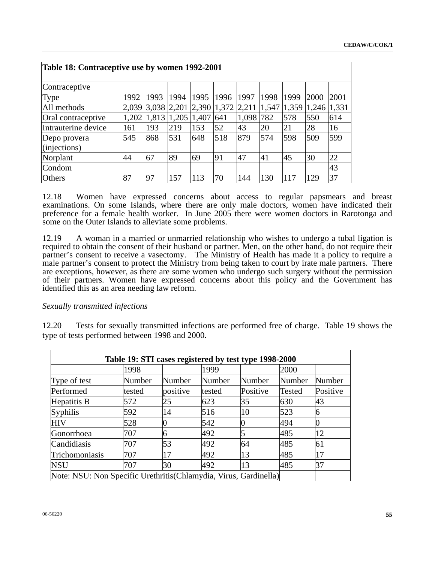| Table 18: Contraceptive use by women 1992-2001 |       |       |       |       |       |       |       |       |       |       |
|------------------------------------------------|-------|-------|-------|-------|-------|-------|-------|-------|-------|-------|
| Contraceptive                                  |       |       |       |       |       |       |       |       |       |       |
| Type                                           | 1992  | 1993  | 1994  | 1995  | 1996  | 1997  | 1998  | 1999  | 2000  | 2001  |
| All methods                                    | 2,039 | 3,038 | 2,201 | 2,390 | 1,372 | 2,211 | 1,547 | 1,359 | 1,246 | 1,331 |
| Oral contraceptive                             | 1,202 | 1,813 | 1,205 | 1,407 | 641   | 1,098 | 782   | 578   | 550   | 614   |
| Intrauterine device                            | 161   | 193   | 219   | 153   | 52    | 43    | 20    | 21    | 28    | 16    |
| Depo provera                                   | 545   | 868   | 531   | 648   | 518   | 879   | 574   | 598   | 509   | 599   |
| (injections)                                   |       |       |       |       |       |       |       |       |       |       |
| Norplant                                       | 44    | 67    | 89    | 69    | 91    | 47    | 41    | 45    | 30    | 22    |
| Condom                                         |       |       |       |       |       |       |       |       |       | 43    |
| <b>Others</b>                                  | 87    | 97    | 157   | 113   | 70    | 144   | 130   | 117   | 129   | 37    |

12.18 Women have expressed concerns about access to regular papsmears and breast examinations. On some Islands, where there are only male doctors, women have indicated their preference for a female health worker. In June 2005 there were women doctors in Rarotonga and some on the Outer Islands to alleviate some problems.

12.19 A woman in a married or unmarried relationship who wishes to undergo a tubal ligation is required to obtain the consent of their husband or partner. Men, on the other hand, do not require their partner's consent to receive a vasectomy. The Ministry of Health has made it a policy to require a male partner's consent to protect the Ministry from being taken to court by irate male partners. There are exceptions, however, as there are some women who undergo such surgery without the permission of their partners. Women have expressed concerns about this policy and the Government has identified this as an area needing law reform.

#### *Sexually transmitted infections*

12.20 Tests for sexually transmitted infections are performed free of charge. Table 19 shows the type of tests performed between 1998 and 2000.

| Table 19: STI cases registered by test type 1998-2000             |        |          |        |          |               |          |  |  |  |  |  |
|-------------------------------------------------------------------|--------|----------|--------|----------|---------------|----------|--|--|--|--|--|
|                                                                   | 1998   |          | 1999   |          | 2000          |          |  |  |  |  |  |
| Type of test                                                      | Number | Number   | Number | Number   | Number        | Number   |  |  |  |  |  |
| Performed                                                         | tested | positive | tested | Positive | <b>Tested</b> | Positive |  |  |  |  |  |
| Hepatitis B                                                       | 572    | 25       | 623    | 35       | 630           | 43       |  |  |  |  |  |
| Syphilis                                                          | 592    | 14       | 516    | 10       | 523           | In       |  |  |  |  |  |
| <b>HIV</b>                                                        | 528    |          | 542    |          | 494           |          |  |  |  |  |  |
| Gonorrhoea                                                        | 707    | 6        | 492    |          | 485           | 12       |  |  |  |  |  |
| Candidiasis                                                       | 707    | 53       | 492    | 64       | 485           | 61       |  |  |  |  |  |
| Trichomoniasis                                                    | 707    | 17       | 492    | 13       | 485           | 17       |  |  |  |  |  |
| <b>NSU</b>                                                        | 707    | 30       | 492    | 13       | 485           | 37       |  |  |  |  |  |
| Note: NSU: Non Specific Urethritis (Chlamydia, Virus, Gardinella) |        |          |        |          |               |          |  |  |  |  |  |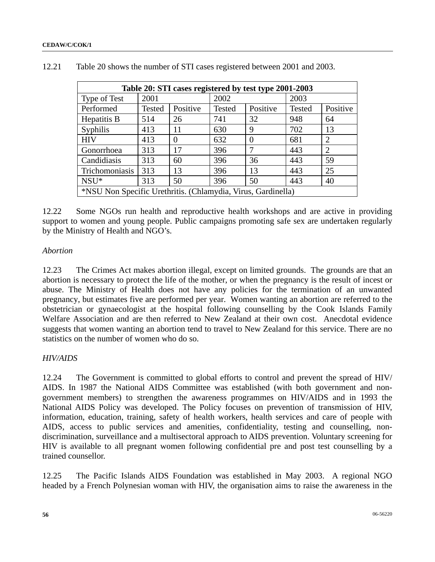| Table 20: STI cases registered by test type 2001-2003        |               |          |               |          |               |          |  |  |  |  |  |
|--------------------------------------------------------------|---------------|----------|---------------|----------|---------------|----------|--|--|--|--|--|
| Type of Test                                                 | 2001          |          | 2002          |          | 2003          |          |  |  |  |  |  |
| Performed                                                    | <b>Tested</b> | Positive | <b>Tested</b> | Positive | <b>Tested</b> | Positive |  |  |  |  |  |
| Hepatitis B                                                  | 514           | 26       | 741           | 32       | 948           | 64       |  |  |  |  |  |
| Syphilis<br>702<br>413<br>630<br>13<br>11<br>9               |               |          |               |          |               |          |  |  |  |  |  |
| <b>HIV</b>                                                   | 413           | $\Omega$ | 632           | $\Omega$ | 681           | 2        |  |  |  |  |  |
| Gonorrhoea                                                   | 313           | 17       | 396           | 7        | 443           | 2        |  |  |  |  |  |
| Candidiasis<br>313<br>396<br>59<br>36<br>443<br>60           |               |          |               |          |               |          |  |  |  |  |  |
| Trichomoniasis                                               | 313           | 13       | 396           | 13       | 443           | 25       |  |  |  |  |  |
| $NSU^*$                                                      | 313           | 50       | 396           | 50       | 443           | 40       |  |  |  |  |  |
| *NSU Non Specific Urethritis. (Chlamydia, Virus, Gardinella) |               |          |               |          |               |          |  |  |  |  |  |

|  | 12.21 |  |  | Table 20 shows the number of STI cases registered between 2001 and 2003. |  |
|--|-------|--|--|--------------------------------------------------------------------------|--|
|--|-------|--|--|--------------------------------------------------------------------------|--|

12.22 Some NGOs run health and reproductive health workshops and are active in providing support to women and young people. Public campaigns promoting safe sex are undertaken regularly by the Ministry of Health and NGO's.

#### *Abortion*

12.23 The Crimes Act makes abortion illegal, except on limited grounds. The grounds are that an abortion is necessary to protect the life of the mother, or when the pregnancy is the result of incest or abuse. The Ministry of Health does not have any policies for the termination of an unwanted pregnancy, but estimates five are performed per year. Women wanting an abortion are referred to the obstetrician or gynaecologist at the hospital following counselling by the Cook Islands Family Welfare Association and are then referred to New Zealand at their own cost. Anecdotal evidence suggests that women wanting an abortion tend to travel to New Zealand for this service. There are no statistics on the number of women who do so.

#### *HIV/AIDS*

12.24 The Government is committed to global efforts to control and prevent the spread of HIV/ AIDS. In 1987 the National AIDS Committee was established (with both government and nongovernment members) to strengthen the awareness programmes on HIV/AIDS and in 1993 the National AIDS Policy was developed. The Policy focuses on prevention of transmission of HIV, information, education, training, safety of health workers, health services and care of people with AIDS, access to public services and amenities, confidentiality, testing and counselling, nondiscrimination, surveillance and a multisectoral approach to AIDS prevention. Voluntary screening for HIV is available to all pregnant women following confidential pre and post test counselling by a trained counsellor.

12.25 The Pacific Islands AIDS Foundation was established in May 2003. A regional NGO headed by a French Polynesian woman with HIV, the organisation aims to raise the awareness in the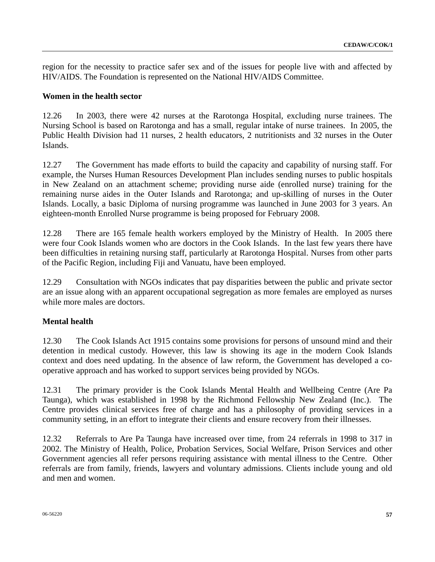region for the necessity to practice safer sex and of the issues for people live with and affected by HIV/AIDS. The Foundation is represented on the National HIV/AIDS Committee.

# **Women in the health sector**

12.26 In 2003, there were 42 nurses at the Rarotonga Hospital, excluding nurse trainees. The Nursing School is based on Rarotonga and has a small, regular intake of nurse trainees. In 2005, the Public Health Division had 11 nurses, 2 health educators, 2 nutritionists and 32 nurses in the Outer Islands.

12.27 The Government has made efforts to build the capacity and capability of nursing staff. For example, the Nurses Human Resources Development Plan includes sending nurses to public hospitals in New Zealand on an attachment scheme; providing nurse aide (enrolled nurse) training for the remaining nurse aides in the Outer Islands and Rarotonga; and up-skilling of nurses in the Outer Islands. Locally, a basic Diploma of nursing programme was launched in June 2003 for 3 years. An eighteen-month Enrolled Nurse programme is being proposed for February 2008.

12.28 There are 165 female health workers employed by the Ministry of Health. In 2005 there were four Cook Islands women who are doctors in the Cook Islands. In the last few years there have been difficulties in retaining nursing staff, particularly at Rarotonga Hospital. Nurses from other parts of the Pacific Region, including Fiji and Vanuatu, have been employed.

12.29 Consultation with NGOs indicates that pay disparities between the public and private sector are an issue along with an apparent occupational segregation as more females are employed as nurses while more males are doctors.

# **Mental health**

12.30 The Cook Islands Act 1915 contains some provisions for persons of unsound mind and their detention in medical custody. However, this law is showing its age in the modern Cook Islands context and does need updating. In the absence of law reform, the Government has developed a cooperative approach and has worked to support services being provided by NGOs.

12.31 The primary provider is the Cook Islands Mental Health and Wellbeing Centre (Are Pa Taunga), which was established in 1998 by the Richmond Fellowship New Zealand (Inc.). The Centre provides clinical services free of charge and has a philosophy of providing services in a community setting, in an effort to integrate their clients and ensure recovery from their illnesses.

12.32 Referrals to Are Pa Taunga have increased over time, from 24 referrals in 1998 to 317 in 2002. The Ministry of Health, Police, Probation Services, Social Welfare, Prison Services and other Government agencies all refer persons requiring assistance with mental illness to the Centre. Other referrals are from family, friends, lawyers and voluntary admissions. Clients include young and old and men and women.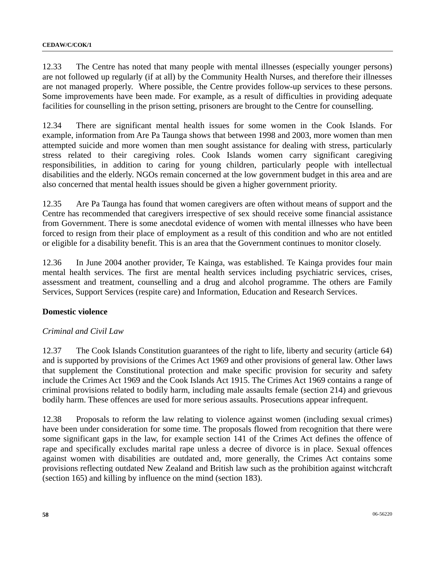12.33 The Centre has noted that many people with mental illnesses (especially younger persons) are not followed up regularly (if at all) by the Community Health Nurses, and therefore their illnesses are not managed properly. Where possible, the Centre provides follow-up services to these persons. Some improvements have been made. For example, as a result of difficulties in providing adequate facilities for counselling in the prison setting, prisoners are brought to the Centre for counselling.

12.34 There are significant mental health issues for some women in the Cook Islands. For example, information from Are Pa Taunga shows that between 1998 and 2003, more women than men attempted suicide and more women than men sought assistance for dealing with stress, particularly stress related to their caregiving roles. Cook Islands women carry significant caregiving responsibilities, in addition to caring for young children, particularly people with intellectual disabilities and the elderly. NGOs remain concerned at the low government budget in this area and are also concerned that mental health issues should be given a higher government priority.

12.35 Are Pa Taunga has found that women caregivers are often without means of support and the Centre has recommended that caregivers irrespective of sex should receive some financial assistance from Government. There is some anecdotal evidence of women with mental illnesses who have been forced to resign from their place of employment as a result of this condition and who are not entitled or eligible for a disability benefit. This is an area that the Government continues to monitor closely.

12.36 In June 2004 another provider, Te Kainga, was established. Te Kainga provides four main mental health services. The first are mental health services including psychiatric services, crises, assessment and treatment, counselling and a drug and alcohol programme. The others are Family Services, Support Services (respite care) and Information, Education and Research Services.

## **Domestic violence**

#### *Criminal and Civil Law*

12.37 The Cook Islands Constitution guarantees of the right to life, liberty and security (article 64) and is supported by provisions of the Crimes Act 1969 and other provisions of general law. Other laws that supplement the Constitutional protection and make specific provision for security and safety include the Crimes Act 1969 and the Cook Islands Act 1915. The Crimes Act 1969 contains a range of criminal provisions related to bodily harm, including male assaults female (section 214) and grievous bodily harm. These offences are used for more serious assaults. Prosecutions appear infrequent.

12.38 Proposals to reform the law relating to violence against women (including sexual crimes) have been under consideration for some time. The proposals flowed from recognition that there were some significant gaps in the law, for example section 141 of the Crimes Act defines the offence of rape and specifically excludes marital rape unless a decree of divorce is in place. Sexual offences against women with disabilities are outdated and, more generally, the Crimes Act contains some provisions reflecting outdated New Zealand and British law such as the prohibition against witchcraft (section 165) and killing by influence on the mind (section 183).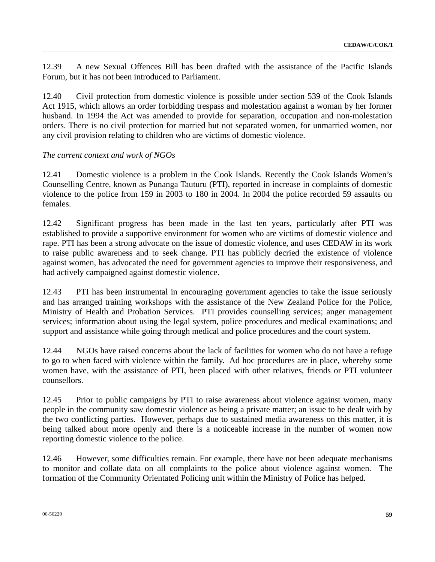12.39 A new Sexual Offences Bill has been drafted with the assistance of the Pacific Islands Forum, but it has not been introduced to Parliament.

12.40 Civil protection from domestic violence is possible under section 539 of the Cook Islands Act 1915, which allows an order forbidding trespass and molestation against a woman by her former husband. In 1994 the Act was amended to provide for separation, occupation and non-molestation orders. There is no civil protection for married but not separated women, for unmarried women, nor any civil provision relating to children who are victims of domestic violence.

# *The current context and work of NGOs*

12.41 Domestic violence is a problem in the Cook Islands. Recently the Cook Islands Women's Counselling Centre, known as Punanga Tauturu (PTI), reported in increase in complaints of domestic violence to the police from 159 in 2003 to 180 in 2004. In 2004 the police recorded 59 assaults on females.

12.42 Significant progress has been made in the last ten years, particularly after PTI was established to provide a supportive environment for women who are victims of domestic violence and rape. PTI has been a strong advocate on the issue of domestic violence, and uses CEDAW in its work to raise public awareness and to seek change. PTI has publicly decried the existence of violence against women, has advocated the need for government agencies to improve their responsiveness, and had actively campaigned against domestic violence.

12.43 PTI has been instrumental in encouraging government agencies to take the issue seriously and has arranged training workshops with the assistance of the New Zealand Police for the Police, Ministry of Health and Probation Services. PTI provides counselling services; anger management services; information about using the legal system, police procedures and medical examinations; and support and assistance while going through medical and police procedures and the court system.

12.44 NGOs have raised concerns about the lack of facilities for women who do not have a refuge to go to when faced with violence within the family. Ad hoc procedures are in place, whereby some women have, with the assistance of PTI, been placed with other relatives, friends or PTI volunteer counsellors.

12.45 Prior to public campaigns by PTI to raise awareness about violence against women, many people in the community saw domestic violence as being a private matter; an issue to be dealt with by the two conflicting parties. However, perhaps due to sustained media awareness on this matter, it is being talked about more openly and there is a noticeable increase in the number of women now reporting domestic violence to the police.

12.46 However, some difficulties remain. For example, there have not been adequate mechanisms to monitor and collate data on all complaints to the police about violence against women. The formation of the Community Orientated Policing unit within the Ministry of Police has helped.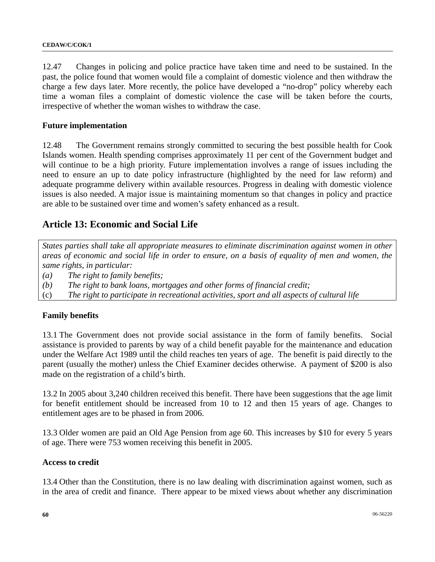12.47 Changes in policing and police practice have taken time and need to be sustained. In the past, the police found that women would file a complaint of domestic violence and then withdraw the charge a few days later. More recently, the police have developed a "no-drop" policy whereby each time a woman files a complaint of domestic violence the case will be taken before the courts, irrespective of whether the woman wishes to withdraw the case.

## **Future implementation**

12.48 The Government remains strongly committed to securing the best possible health for Cook Islands women. Health spending comprises approximately 11 per cent of the Government budget and will continue to be a high priority. Future implementation involves a range of issues including the need to ensure an up to date policy infrastructure (highlighted by the need for law reform) and adequate programme delivery within available resources. Progress in dealing with domestic violence issues is also needed. A major issue is maintaining momentum so that changes in policy and practice are able to be sustained over time and women's safety enhanced as a result.

# **Article 13: Economic and Social Life**

*States parties shall take all appropriate measures to eliminate discrimination against women in other areas of economic and social life in order to ensure, on a basis of equality of men and women, the same rights, in particular:* 

*(a) The right to family benefits;* 

*(b) The right to bank loans, mortgages and other forms of financial credit;* 

(c) *The right to participate in recreational activities, sport and all aspects of cultural life*

## **Family benefits**

13.1 The Government does not provide social assistance in the form of family benefits. Social assistance is provided to parents by way of a child benefit payable for the maintenance and education under the Welfare Act 1989 until the child reaches ten years of age. The benefit is paid directly to the parent (usually the mother) unless the Chief Examiner decides otherwise. A payment of \$200 is also made on the registration of a child's birth.

13.2 In 2005 about 3,240 children received this benefit. There have been suggestions that the age limit for benefit entitlement should be increased from 10 to 12 and then 15 years of age. Changes to entitlement ages are to be phased in from 2006.

13.3 Older women are paid an Old Age Pension from age 60. This increases by \$10 for every 5 years of age. There were 753 women receiving this benefit in 2005.

#### **Access to credit**

13.4 Other than the Constitution, there is no law dealing with discrimination against women, such as in the area of credit and finance. There appear to be mixed views about whether any discrimination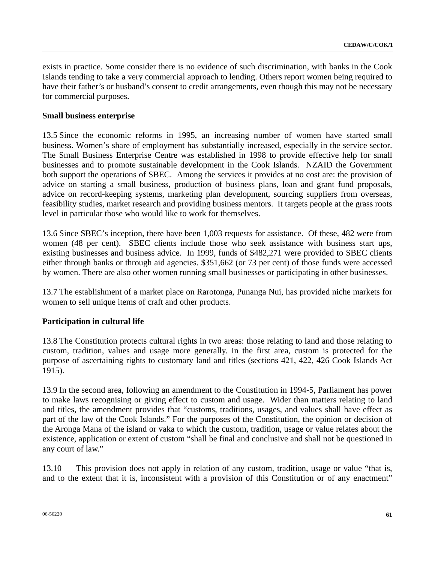exists in practice. Some consider there is no evidence of such discrimination, with banks in the Cook Islands tending to take a very commercial approach to lending. Others report women being required to have their father's or husband's consent to credit arrangements, even though this may not be necessary for commercial purposes.

## **Small business enterprise**

13.5 Since the economic reforms in 1995, an increasing number of women have started small business. Women's share of employment has substantially increased, especially in the service sector. The Small Business Enterprise Centre was established in 1998 to provide effective help for small businesses and to promote sustainable development in the Cook Islands. NZAID the Government both support the operations of SBEC. Among the services it provides at no cost are: the provision of advice on starting a small business, production of business plans, loan and grant fund proposals, advice on record-keeping systems, marketing plan development, sourcing suppliers from overseas, feasibility studies, market research and providing business mentors. It targets people at the grass roots level in particular those who would like to work for themselves.

13.6 Since SBEC's inception, there have been 1,003 requests for assistance. Of these, 482 were from women (48 per cent). SBEC clients include those who seek assistance with business start ups, existing businesses and business advice. In 1999, funds of \$482,271 were provided to SBEC clients either through banks or through aid agencies. \$351,662 (or 73 per cent) of those funds were accessed by women. There are also other women running small businesses or participating in other businesses.

13.7 The establishment of a market place on Rarotonga, Punanga Nui, has provided niche markets for women to sell unique items of craft and other products.

## **Participation in cultural life**

13.8 The Constitution protects cultural rights in two areas: those relating to land and those relating to custom, tradition, values and usage more generally. In the first area, custom is protected for the purpose of ascertaining rights to customary land and titles (sections 421, 422, 426 Cook Islands Act 1915).

13.9 In the second area, following an amendment to the Constitution in 1994-5, Parliament has power to make laws recognising or giving effect to custom and usage. Wider than matters relating to land and titles, the amendment provides that "customs, traditions, usages, and values shall have effect as part of the law of the Cook Islands." For the purposes of the Constitution, the opinion or decision of the Aronga Mana of the island or vaka to which the custom, tradition, usage or value relates about the existence, application or extent of custom "shall be final and conclusive and shall not be questioned in any court of law."

13.10 This provision does not apply in relation of any custom, tradition, usage or value "that is, and to the extent that it is, inconsistent with a provision of this Constitution or of any enactment"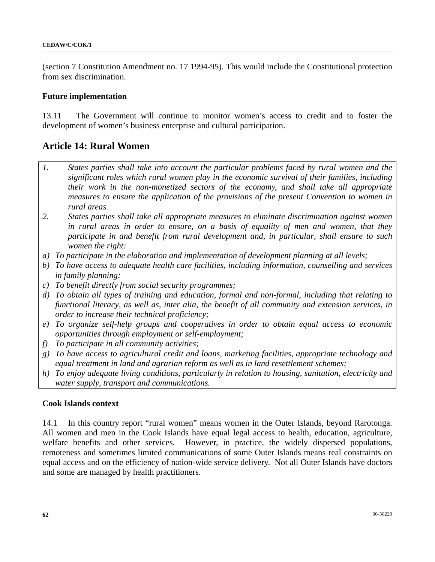(section 7 Constitution Amendment no. 17 1994-95). This would include the Constitutional protection from sex discrimination.

#### **Future implementation**

13.11 The Government will continue to monitor women's access to credit and to foster the development of women's business enterprise and cultural participation.

# **Article 14: Rural Women**

- *1. States parties shall take into account the particular problems faced by rural women and the significant roles which rural women play in the economic survival of their families, including their work in the non-monetized sectors of the economy, and shall take all appropriate measures to ensure the application of the provisions of the present Convention to women in rural areas.*
- *2. States parties shall take all appropriate measures to eliminate discrimination against women in rural areas in order to ensure, on a basis of equality of men and women, that they participate in and benefit from rural development and, in particular, shall ensure to such women the right:*
- *a) To participate in the elaboration and implementation of development planning at all levels;*
- *b) To have access to adequate health care facilities, including information, counselling and services in family planning;*
- *c) To benefit directly from social security programmes;*
- *d) To obtain all types of training and education, formal and non-formal, including that relating to functional literacy, as well as, inter alia, the benefit of all community and extension services, in order to increase their technical proficiency;*
- *e) To organize self-help groups and cooperatives in order to obtain equal access to economic opportunities through employment or self-employment;*
- *f) To participate in all community activities;*
- *g) To have access to agricultural credit and loans, marketing facilities, appropriate technology and equal treatment in land and agrarian reform as well as in land resettlement schemes;*
- *h) To enjoy adequate living conditions, particularly in relation to housing, sanitation, electricity and water supply, transport and communications.*

#### **Cook Islands context**

14.1 In this country report "rural women" means women in the Outer Islands, beyond Rarotonga. All women and men in the Cook Islands have equal legal access to health, education, agriculture, welfare benefits and other services. However, in practice, the widely dispersed populations, remoteness and sometimes limited communications of some Outer Islands means real constraints on equal access and on the efficiency of nation-wide service delivery. Not all Outer Islands have doctors and some are managed by health practitioners.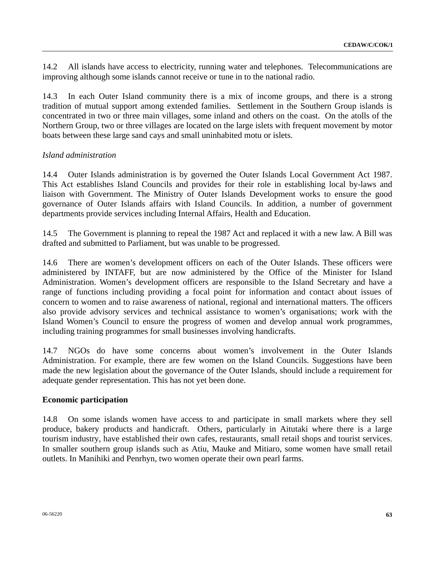14.2 All islands have access to electricity, running water and telephones. Telecommunications are improving although some islands cannot receive or tune in to the national radio.

14.3 In each Outer Island community there is a mix of income groups, and there is a strong tradition of mutual support among extended families. Settlement in the Southern Group islands is concentrated in two or three main villages, some inland and others on the coast. On the atolls of the Northern Group, two or three villages are located on the large islets with frequent movement by motor boats between these large sand cays and small uninhabited motu or islets.

#### *Island administration*

14.4 Outer Islands administration is by governed the Outer Islands Local Government Act 1987. This Act establishes Island Councils and provides for their role in establishing local by-laws and liaison with Government. The Ministry of Outer Islands Development works to ensure the good governance of Outer Islands affairs with Island Councils. In addition, a number of government departments provide services including Internal Affairs, Health and Education.

14.5 The Government is planning to repeal the 1987 Act and replaced it with a new law. A Bill was drafted and submitted to Parliament, but was unable to be progressed.

14.6 There are women's development officers on each of the Outer Islands. These officers were administered by INTAFF, but are now administered by the Office of the Minister for Island Administration. Women's development officers are responsible to the Island Secretary and have a range of functions including providing a focal point for information and contact about issues of concern to women and to raise awareness of national, regional and international matters. The officers also provide advisory services and technical assistance to women's organisations; work with the Island Women's Council to ensure the progress of women and develop annual work programmes, including training programmes for small businesses involving handicrafts.

14.7 NGOs do have some concerns about women's involvement in the Outer Islands Administration. For example, there are few women on the Island Councils. Suggestions have been made the new legislation about the governance of the Outer Islands, should include a requirement for adequate gender representation. This has not yet been done.

#### **Economic participation**

14.8 On some islands women have access to and participate in small markets where they sell produce, bakery products and handicraft. Others, particularly in Aitutaki where there is a large tourism industry, have established their own cafes, restaurants, small retail shops and tourist services. In smaller southern group islands such as Atiu, Mauke and Mitiaro, some women have small retail outlets. In Manihiki and Penrhyn, two women operate their own pearl farms.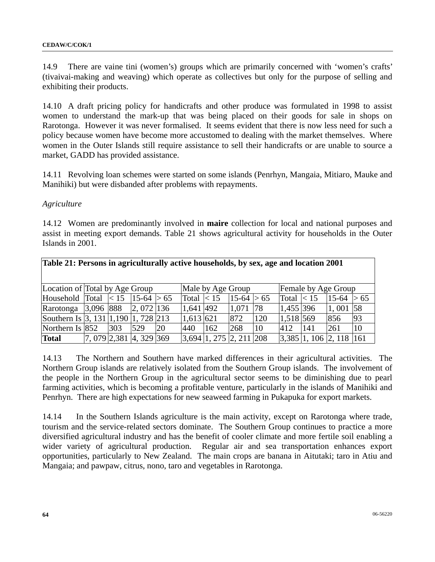14.9 There are vaine tini (women's) groups which are primarily concerned with 'women's crafts' (tivaivai-making and weaving) which operate as collectives but only for the purpose of selling and exhibiting their products.

14.10 A draft pricing policy for handicrafts and other produce was formulated in 1998 to assist women to understand the mark-up that was being placed on their goods for sale in shops on Rarotonga. However it was never formalised. It seems evident that there is now less need for such a policy because women have become more accustomed to dealing with the market themselves. Where women in the Outer Islands still require assistance to sell their handicrafts or are unable to source a market, GADD has provided assistance.

14.11 Revolving loan schemes were started on some islands (Penrhyn, Mangaia, Mitiaro, Mauke and Manihiki) but were disbanded after problems with repayments.

## *Agriculture*

14.12 Women are predominantly involved in **maire** collection for local and national purposes and assist in meeting export demands. Table 21 shows agricultural activity for households in the Outer Islands in 2001.

| Table 21: Persons in agriculturally active households, by sex, age and location 2001 |             |     |                               |           |               |                           |              |     |               |                     |                     |      |
|--------------------------------------------------------------------------------------|-------------|-----|-------------------------------|-----------|---------------|---------------------------|--------------|-----|---------------|---------------------|---------------------|------|
| Location of Total by Age Group                                                       |             |     |                               |           |               | Male by Age Group         |              |     |               |                     | Female by Age Group |      |
| Household $\text{Total}$ $ < 15$                                                     |             |     | $15-64 > 65$                  |           | Total $ < 15$ |                           | $15-64 > 65$ |     | Total $ < 15$ |                     | $15 - 64$           | > 65 |
| Rarotonga                                                                            | $3,096$ 888 |     | $\vert 2,072 \vert 136 \vert$ |           | $1,641$ 492   |                           | 1,071        | 78  | 1,455 396     |                     | 1,001               | 58   |
| Southern Is $\vert 3, 131 \vert 1, 190 \vert 1, 728 \vert 213$                       |             |     |                               |           | $1,613$ 621   |                           | 872          | 120 | 1.518 569     |                     | 856                 | 93   |
| Northern Is $ 852 $                                                                  |             | 303 | 529                           | <b>20</b> | 440           | 162                       | 268          | 10  | 412           | 141                 | 261                 | 10   |
| <b>Total</b>                                                                         |             |     | 7, 079 2,381 4, 329 369       |           |               | $3,694$ 1, 275 2, 211 208 |              |     |               | 3,385 1, 106 2, 118 |                     | 161  |

14.13 The Northern and Southern have marked differences in their agricultural activities. The Northern Group islands are relatively isolated from the Southern Group islands. The involvement of the people in the Northern Group in the agricultural sector seems to be diminishing due to pearl farming activities, which is becoming a profitable venture, particularly in the islands of Manihiki and Penrhyn. There are high expectations for new seaweed farming in Pukapuka for export markets.

14.14 In the Southern Islands agriculture is the main activity, except on Rarotonga where trade, tourism and the service-related sectors dominate. The Southern Group continues to practice a more diversified agricultural industry and has the benefit of cooler climate and more fertile soil enabling a wider variety of agricultural production. Regular air and sea transportation enhances export opportunities, particularly to New Zealand. The main crops are banana in Aitutaki; taro in Atiu and Mangaia; and pawpaw, citrus, nono, taro and vegetables in Rarotonga.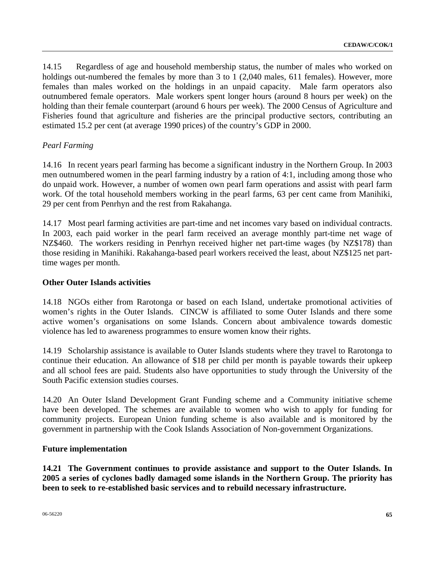14.15 Regardless of age and household membership status, the number of males who worked on holdings out-numbered the females by more than 3 to 1 (2,040 males, 611 females). However, more females than males worked on the holdings in an unpaid capacity. Male farm operators also outnumbered female operators. Male workers spent longer hours (around 8 hours per week) on the holding than their female counterpart (around 6 hours per week). The 2000 Census of Agriculture and Fisheries found that agriculture and fisheries are the principal productive sectors, contributing an estimated 15.2 per cent (at average 1990 prices) of the country's GDP in 2000.

# *Pearl Farming*

14.16 In recent years pearl farming has become a significant industry in the Northern Group. In 2003 men outnumbered women in the pearl farming industry by a ration of 4:1, including among those who do unpaid work. However, a number of women own pearl farm operations and assist with pearl farm work. Of the total household members working in the pearl farms, 63 per cent came from Manihiki, 29 per cent from Penrhyn and the rest from Rakahanga.

14.17 Most pearl farming activities are part-time and net incomes vary based on individual contracts. In 2003, each paid worker in the pearl farm received an average monthly part-time net wage of NZ\$460. The workers residing in Penrhyn received higher net part-time wages (by NZ\$178) than those residing in Manihiki. Rakahanga-based pearl workers received the least, about NZ\$125 net parttime wages per month.

## **Other Outer Islands activities**

14.18 NGOs either from Rarotonga or based on each Island, undertake promotional activities of women's rights in the Outer Islands. CINCW is affiliated to some Outer Islands and there some active women's organisations on some Islands. Concern about ambivalence towards domestic violence has led to awareness programmes to ensure women know their rights.

14.19 Scholarship assistance is available to Outer Islands students where they travel to Rarotonga to continue their education. An allowance of \$18 per child per month is payable towards their upkeep and all school fees are paid. Students also have opportunities to study through the University of the South Pacific extension studies courses.

14.20 An Outer Island Development Grant Funding scheme and a Community initiative scheme have been developed. The schemes are available to women who wish to apply for funding for community projects. European Union funding scheme is also available and is monitored by the government in partnership with the Cook Islands Association of Non-government Organizations.

## **Future implementation**

**14.21 The Government continues to provide assistance and support to the Outer Islands. In 2005 a series of cyclones badly damaged some islands in the Northern Group. The priority has been to seek to re-established basic services and to rebuild necessary infrastructure.**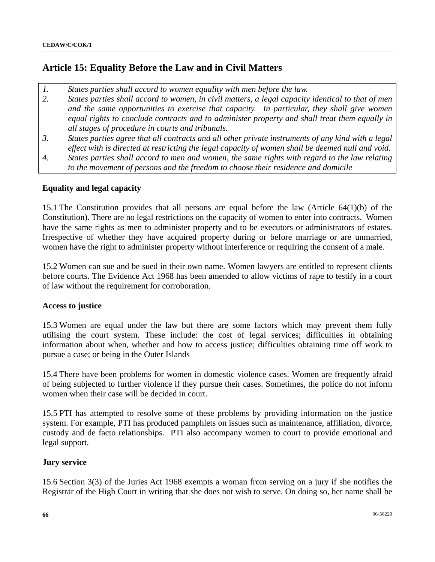# **Article 15: Equality Before the Law and in Civil Matters**

- *1. States parties shall accord to women equality with men before the law.*
- *2. States parties shall accord to women, in civil matters, a legal capacity identical to that of men and the same opportunities to exercise that capacity. In particular, they shall give women equal rights to conclude contracts and to administer property and shall treat them equally in all stages of procedure in courts and tribunals.*
- *3. States parties agree that all contracts and all other private instruments of any kind with a legal effect with is directed at restricting the legal capacity of women shall be deemed null and void.*
- *4. States parties shall accord to men and women, the same rights with regard to the law relating*  to the movement of persons and the freedom to choose their residence and domicile

### **Equality and legal capacity**

15.1 The Constitution provides that all persons are equal before the law (Article 64(1)(b) of the Constitution). There are no legal restrictions on the capacity of women to enter into contracts. Women have the same rights as men to administer property and to be executors or administrators of estates. Irrespective of whether they have acquired property during or before marriage or are unmarried, women have the right to administer property without interference or requiring the consent of a male.

15.2 Women can sue and be sued in their own name. Women lawyers are entitled to represent clients before courts. The Evidence Act 1968 has been amended to allow victims of rape to testify in a court of law without the requirement for corroboration.

## **Access to justice**

15.3 Women are equal under the law but there are some factors which may prevent them fully utilising the court system. These include: the cost of legal services; difficulties in obtaining information about when, whether and how to access justice; difficulties obtaining time off work to pursue a case; or being in the Outer Islands

15.4 There have been problems for women in domestic violence cases. Women are frequently afraid of being subjected to further violence if they pursue their cases. Sometimes, the police do not inform women when their case will be decided in court.

15.5 PTI has attempted to resolve some of these problems by providing information on the justice system. For example, PTI has produced pamphlets on issues such as maintenance, affiliation, divorce, custody and de facto relationships. PTI also accompany women to court to provide emotional and legal support.

## **Jury service**

15.6 Section 3(3) of the Juries Act 1968 exempts a woman from serving on a jury if she notifies the Registrar of the High Court in writing that she does not wish to serve. On doing so, her name shall be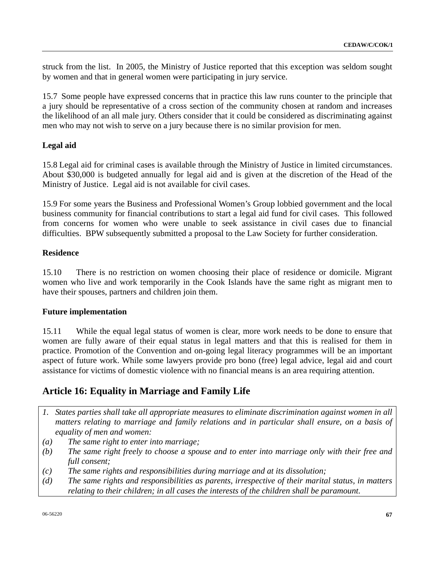struck from the list. In 2005, the Ministry of Justice reported that this exception was seldom sought by women and that in general women were participating in jury service.

15.7 Some people have expressed concerns that in practice this law runs counter to the principle that a jury should be representative of a cross section of the community chosen at random and increases the likelihood of an all male jury. Others consider that it could be considered as discriminating against men who may not wish to serve on a jury because there is no similar provision for men.

# **Legal aid**

15.8 Legal aid for criminal cases is available through the Ministry of Justice in limited circumstances. About \$30,000 is budgeted annually for legal aid and is given at the discretion of the Head of the Ministry of Justice. Legal aid is not available for civil cases.

15.9 For some years the Business and Professional Women's Group lobbied government and the local business community for financial contributions to start a legal aid fund for civil cases. This followed from concerns for women who were unable to seek assistance in civil cases due to financial difficulties. BPW subsequently submitted a proposal to the Law Society for further consideration.

# **Residence**

15.10 There is no restriction on women choosing their place of residence or domicile. Migrant women who live and work temporarily in the Cook Islands have the same right as migrant men to have their spouses, partners and children join them.

## **Future implementation**

15.11 While the equal legal status of women is clear, more work needs to be done to ensure that women are fully aware of their equal status in legal matters and that this is realised for them in practice. Promotion of the Convention and on-going legal literacy programmes will be an important aspect of future work. While some lawyers provide pro bono (free) legal advice, legal aid and court assistance for victims of domestic violence with no financial means is an area requiring attention.

# **Article 16: Equality in Marriage and Family Life**

- *1. States parties shall take all appropriate measures to eliminate discrimination against women in all matters relating to marriage and family relations and in particular shall ensure, on a basis of equality of men and women:*
- *(a) The same right to enter into marriage;*
- *(b) The same right freely to choose a spouse and to enter into marriage only with their free and full consent;*
- *(c) The same rights and responsibilities during marriage and at its dissolution;*
- *(d) The same rights and responsibilities as parents, irrespective of their marital status, in matters relating to their children; in all cases the interests of the children shall be paramount.*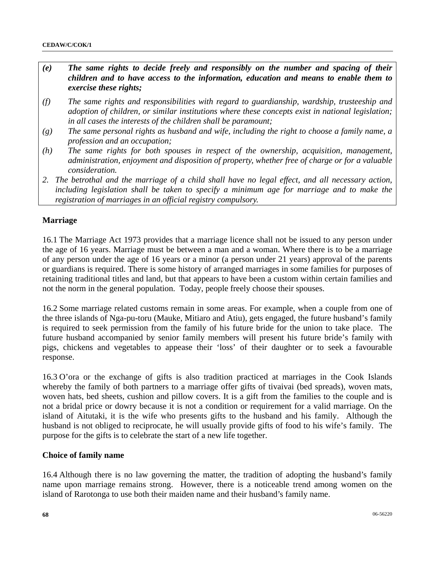- *(e) The same rights to decide freely and responsibly on the number and spacing of their children and to have access to the information, education and means to enable them to exercise these rights;*
- *(f) The same rights and responsibilities with regard to guardianship, wardship, trusteeship and adoption of children, or similar institutions where these concepts exist in national legislation; in all cases the interests of the children shall be paramount;*
- *(g) The same personal rights as husband and wife, including the right to choose a family name, a profession and an occupation;*
- *(h) The same rights for both spouses in respect of the ownership, acquisition, management, administration, enjoyment and disposition of property, whether free of charge or for a valuable consideration.*
- *2. The betrothal and the marriage of a child shall have no legal effect, and all necessary action, including legislation shall be taken to specify a minimum age for marriage and to make the registration of marriages in an official registry compulsory.*

#### **Marriage**

16.1 The Marriage Act 1973 provides that a marriage licence shall not be issued to any person under the age of 16 years. Marriage must be between a man and a woman. Where there is to be a marriage of any person under the age of 16 years or a minor (a person under 21 years) approval of the parents or guardians is required. There is some history of arranged marriages in some families for purposes of retaining traditional titles and land, but that appears to have been a custom within certain families and not the norm in the general population. Today, people freely choose their spouses.

16.2 Some marriage related customs remain in some areas. For example, when a couple from one of the three islands of Nga-pu-toru (Mauke, Mitiaro and Atiu), gets engaged, the future husband's family is required to seek permission from the family of his future bride for the union to take place. The future husband accompanied by senior family members will present his future bride's family with pigs, chickens and vegetables to appease their 'loss' of their daughter or to seek a favourable response.

16.3 O'ora or the exchange of gifts is also tradition practiced at marriages in the Cook Islands whereby the family of both partners to a marriage offer gifts of tivaivai (bed spreads), woven mats, woven hats, bed sheets, cushion and pillow covers. It is a gift from the families to the couple and is not a bridal price or dowry because it is not a condition or requirement for a valid marriage. On the island of Aitutaki, it is the wife who presents gifts to the husband and his family. Although the husband is not obliged to reciprocate, he will usually provide gifts of food to his wife's family. The purpose for the gifts is to celebrate the start of a new life together.

#### **Choice of family name**

16.4 Although there is no law governing the matter, the tradition of adopting the husband's family name upon marriage remains strong. However, there is a noticeable trend among women on the island of Rarotonga to use both their maiden name and their husband's family name.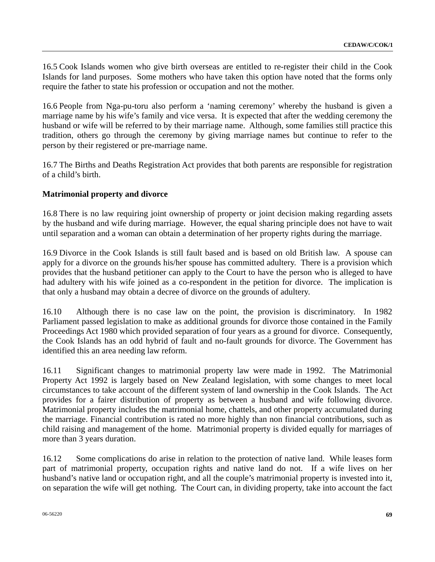16.5 Cook Islands women who give birth overseas are entitled to re-register their child in the Cook Islands for land purposes. Some mothers who have taken this option have noted that the forms only require the father to state his profession or occupation and not the mother.

16.6 People from Nga-pu-toru also perform a 'naming ceremony' whereby the husband is given a marriage name by his wife's family and vice versa. It is expected that after the wedding ceremony the husband or wife will be referred to by their marriage name. Although, some families still practice this tradition, others go through the ceremony by giving marriage names but continue to refer to the person by their registered or pre-marriage name.

16.7 The Births and Deaths Registration Act provides that both parents are responsible for registration of a child's birth.

# **Matrimonial property and divorce**

16.8 There is no law requiring joint ownership of property or joint decision making regarding assets by the husband and wife during marriage. However, the equal sharing principle does not have to wait until separation and a woman can obtain a determination of her property rights during the marriage.

16.9 Divorce in the Cook Islands is still fault based and is based on old British law. A spouse can apply for a divorce on the grounds his/her spouse has committed adultery. There is a provision which provides that the husband petitioner can apply to the Court to have the person who is alleged to have had adultery with his wife joined as a co-respondent in the petition for divorce. The implication is that only a husband may obtain a decree of divorce on the grounds of adultery.

16.10 Although there is no case law on the point, the provision is discriminatory. In 1982 Parliament passed legislation to make as additional grounds for divorce those contained in the Family Proceedings Act 1980 which provided separation of four years as a ground for divorce. Consequently, the Cook Islands has an odd hybrid of fault and no-fault grounds for divorce. The Government has identified this an area needing law reform.

16.11 Significant changes to matrimonial property law were made in 1992. The Matrimonial Property Act 1992 is largely based on New Zealand legislation, with some changes to meet local circumstances to take account of the different system of land ownership in the Cook Islands. The Act provides for a fairer distribution of property as between a husband and wife following divorce. Matrimonial property includes the matrimonial home, chattels, and other property accumulated during the marriage. Financial contribution is rated no more highly than non financial contributions, such as child raising and management of the home. Matrimonial property is divided equally for marriages of more than 3 years duration.

16.12 Some complications do arise in relation to the protection of native land. While leases form part of matrimonial property, occupation rights and native land do not. If a wife lives on her husband's native land or occupation right, and all the couple's matrimonial property is invested into it, on separation the wife will get nothing. The Court can, in dividing property, take into account the fact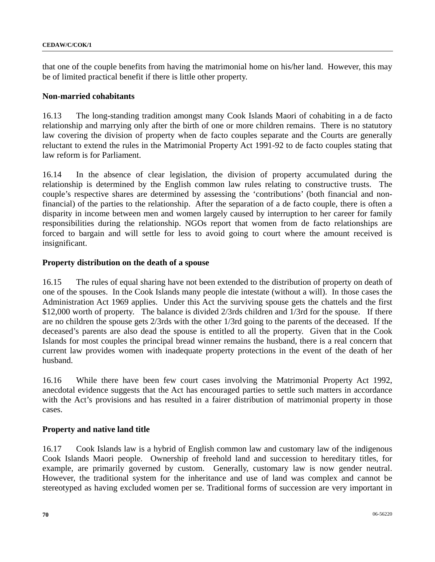that one of the couple benefits from having the matrimonial home on his/her land. However, this may be of limited practical benefit if there is little other property.

## **Non-married cohabitants**

16.13 The long-standing tradition amongst many Cook Islands Maori of cohabiting in a de facto relationship and marrying only after the birth of one or more children remains. There is no statutory law covering the division of property when de facto couples separate and the Courts are generally reluctant to extend the rules in the Matrimonial Property Act 1991-92 to de facto couples stating that law reform is for Parliament.

16.14 In the absence of clear legislation, the division of property accumulated during the relationship is determined by the English common law rules relating to constructive trusts. The couple's respective shares are determined by assessing the 'contributions' (both financial and nonfinancial) of the parties to the relationship. After the separation of a de facto couple, there is often a disparity in income between men and women largely caused by interruption to her career for family responsibilities during the relationship. NGOs report that women from de facto relationships are forced to bargain and will settle for less to avoid going to court where the amount received is insignificant.

### **Property distribution on the death of a spouse**

16.15 The rules of equal sharing have not been extended to the distribution of property on death of one of the spouses. In the Cook Islands many people die intestate (without a will). In those cases the Administration Act 1969 applies. Under this Act the surviving spouse gets the chattels and the first \$12,000 worth of property. The balance is divided 2/3rds children and 1/3rd for the spouse. If there are no children the spouse gets 2/3rds with the other 1/3rd going to the parents of the deceased. If the deceased's parents are also dead the spouse is entitled to all the property. Given that in the Cook Islands for most couples the principal bread winner remains the husband, there is a real concern that current law provides women with inadequate property protections in the event of the death of her husband.

16.16 While there have been few court cases involving the Matrimonial Property Act 1992, anecdotal evidence suggests that the Act has encouraged parties to settle such matters in accordance with the Act's provisions and has resulted in a fairer distribution of matrimonial property in those cases.

## **Property and native land title**

16.17 Cook Islands law is a hybrid of English common law and customary law of the indigenous Cook Islands Maori people. Ownership of freehold land and succession to hereditary titles, for example, are primarily governed by custom. Generally, customary law is now gender neutral. However, the traditional system for the inheritance and use of land was complex and cannot be stereotyped as having excluded women per se. Traditional forms of succession are very important in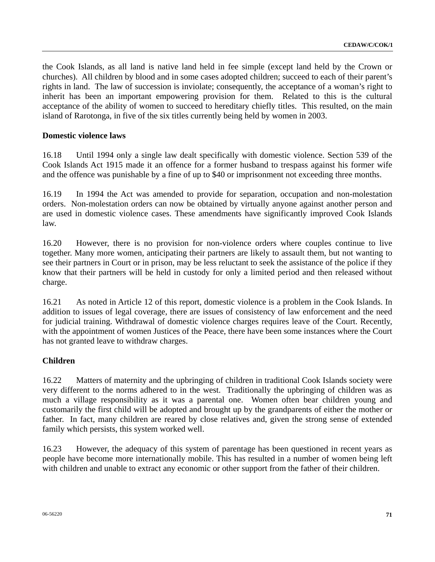the Cook Islands, as all land is native land held in fee simple (except land held by the Crown or churches). All children by blood and in some cases adopted children; succeed to each of their parent's rights in land. The law of succession is inviolate; consequently, the acceptance of a woman's right to inherit has been an important empowering provision for them. Related to this is the cultural acceptance of the ability of women to succeed to hereditary chiefly titles. This resulted, on the main island of Rarotonga, in five of the six titles currently being held by women in 2003.

## **Domestic violence laws**

16.18 Until 1994 only a single law dealt specifically with domestic violence. Section 539 of the Cook Islands Act 1915 made it an offence for a former husband to trespass against his former wife and the offence was punishable by a fine of up to \$40 or imprisonment not exceeding three months.

16.19 In 1994 the Act was amended to provide for separation, occupation and non-molestation orders. Non-molestation orders can now be obtained by virtually anyone against another person and are used in domestic violence cases. These amendments have significantly improved Cook Islands law.

16.20 However, there is no provision for non-violence orders where couples continue to live together. Many more women, anticipating their partners are likely to assault them, but not wanting to see their partners in Court or in prison, may be less reluctant to seek the assistance of the police if they know that their partners will be held in custody for only a limited period and then released without charge.

16.21 As noted in Article 12 of this report, domestic violence is a problem in the Cook Islands. In addition to issues of legal coverage, there are issues of consistency of law enforcement and the need for judicial training. Withdrawal of domestic violence charges requires leave of the Court. Recently, with the appointment of women Justices of the Peace, there have been some instances where the Court has not granted leave to withdraw charges.

# **Children**

16.22 Matters of maternity and the upbringing of children in traditional Cook Islands society were very different to the norms adhered to in the west. Traditionally the upbringing of children was as much a village responsibility as it was a parental one. Women often bear children young and customarily the first child will be adopted and brought up by the grandparents of either the mother or father. In fact, many children are reared by close relatives and, given the strong sense of extended family which persists, this system worked well.

16.23 However, the adequacy of this system of parentage has been questioned in recent years as people have become more internationally mobile. This has resulted in a number of women being left with children and unable to extract any economic or other support from the father of their children.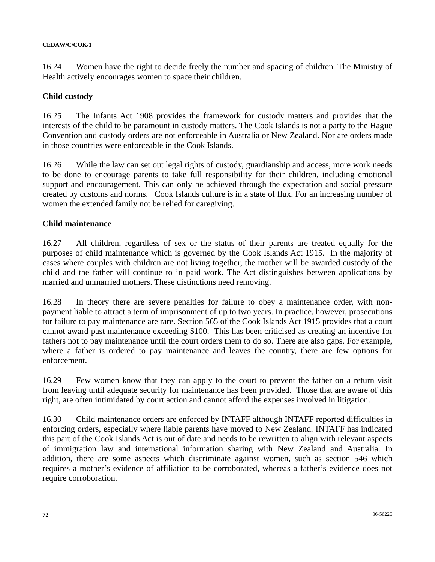16.24 Women have the right to decide freely the number and spacing of children. The Ministry of Health actively encourages women to space their children.

# **Child custody**

16.25 The Infants Act 1908 provides the framework for custody matters and provides that the interests of the child to be paramount in custody matters. The Cook Islands is not a party to the Hague Convention and custody orders are not enforceable in Australia or New Zealand. Nor are orders made in those countries were enforceable in the Cook Islands.

16.26 While the law can set out legal rights of custody, guardianship and access, more work needs to be done to encourage parents to take full responsibility for their children, including emotional support and encouragement. This can only be achieved through the expectation and social pressure created by customs and norms. Cook Islands culture is in a state of flux. For an increasing number of women the extended family not be relied for caregiving.

# **Child maintenance**

16.27 All children, regardless of sex or the status of their parents are treated equally for the purposes of child maintenance which is governed by the Cook Islands Act 1915. In the majority of cases where couples with children are not living together, the mother will be awarded custody of the child and the father will continue to in paid work. The Act distinguishes between applications by married and unmarried mothers. These distinctions need removing.

16.28 In theory there are severe penalties for failure to obey a maintenance order, with nonpayment liable to attract a term of imprisonment of up to two years. In practice, however, prosecutions for failure to pay maintenance are rare. Section 565 of the Cook Islands Act 1915 provides that a court cannot award past maintenance exceeding \$100. This has been criticised as creating an incentive for fathers not to pay maintenance until the court orders them to do so. There are also gaps. For example, where a father is ordered to pay maintenance and leaves the country, there are few options for enforcement.

16.29 Few women know that they can apply to the court to prevent the father on a return visit from leaving until adequate security for maintenance has been provided. Those that are aware of this right, are often intimidated by court action and cannot afford the expenses involved in litigation.

16.30 Child maintenance orders are enforced by INTAFF although INTAFF reported difficulties in enforcing orders, especially where liable parents have moved to New Zealand. INTAFF has indicated this part of the Cook Islands Act is out of date and needs to be rewritten to align with relevant aspects of immigration law and international information sharing with New Zealand and Australia. In addition, there are some aspects which discriminate against women, such as section 546 which requires a mother's evidence of affiliation to be corroborated, whereas a father's evidence does not require corroboration.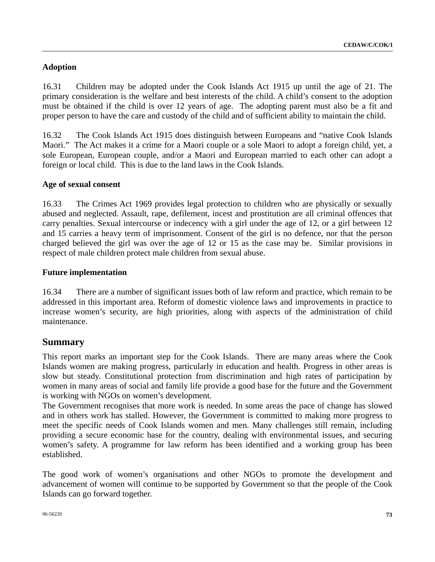## **Adoption**

16.31 Children may be adopted under the Cook Islands Act 1915 up until the age of 21. The primary consideration is the welfare and best interests of the child. A child's consent to the adoption must be obtained if the child is over 12 years of age. The adopting parent must also be a fit and proper person to have the care and custody of the child and of sufficient ability to maintain the child.

16.32 The Cook Islands Act 1915 does distinguish between Europeans and "native Cook Islands Maori." The Act makes it a crime for a Maori couple or a sole Maori to adopt a foreign child, yet, a sole European, European couple, and/or a Maori and European married to each other can adopt a foreign or local child. This is due to the land laws in the Cook Islands.

## **Age of sexual consent**

16.33 The Crimes Act 1969 provides legal protection to children who are physically or sexually abused and neglected. Assault, rape, defilement, incest and prostitution are all criminal offences that carry penalties. Sexual intercourse or indecency with a girl under the age of 12, or a girl between 12 and 15 carries a heavy term of imprisonment. Consent of the girl is no defence, nor that the person charged believed the girl was over the age of 12 or 15 as the case may be. Similar provisions in respect of male children protect male children from sexual abuse.

## **Future implementation**

16.34 There are a number of significant issues both of law reform and practice, which remain to be addressed in this important area. Reform of domestic violence laws and improvements in practice to increase women's security, are high priorities, along with aspects of the administration of child maintenance.

# **Summary**

This report marks an important step for the Cook Islands. There are many areas where the Cook Islands women are making progress, particularly in education and health. Progress in other areas is slow but steady. Constitutional protection from discrimination and high rates of participation by women in many areas of social and family life provide a good base for the future and the Government is working with NGOs on women's development.

The Government recognises that more work is needed. In some areas the pace of change has slowed and in others work has stalled. However, the Government is committed to making more progress to meet the specific needs of Cook Islands women and men. Many challenges still remain, including providing a secure economic base for the country, dealing with environmental issues, and securing women's safety. A programme for law reform has been identified and a working group has been established.

The good work of women's organisations and other NGOs to promote the development and advancement of women will continue to be supported by Government so that the people of the Cook Islands can go forward together.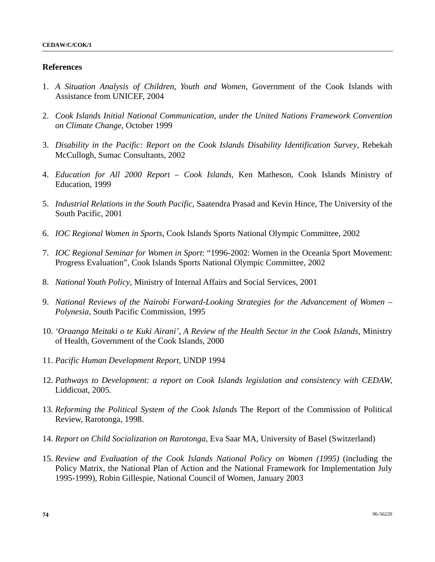### **References**

- 1. *A Situation Analysis of Children, Youth and Women*, Government of the Cook Islands with Assistance from UNICEF, 2004
- 2. *Cook Islands Initial National Communication, under the United Nations Framework Convention on Climate Change*, October 1999
- 3. *Disability in the Pacific: Report on the Cook Islands Disability Identification Survey*, Rebekah McCullogh, Sumac Consultants, 2002
- 4. *Education for All 2000 Report Cook Islands*, Ken Matheson, Cook Islands Ministry of Education, 1999
- 5. *Industrial Relations in the South Pacific*, Saatendra Prasad and Kevin Hince, The University of the South Pacific, 2001
- 6. *IOC Regional Women in Sports*, Cook Islands Sports National Olympic Committee, 2002
- 7. *IOC Regional Seminar for Women in Sport*: "1996-2002: Women in the Oceania Sport Movement: Progress Evaluation", Cook Islands Sports National Olympic Committee, 2002
- 8. *National Youth Policy*, Ministry of Internal Affairs and Social Services, 2001
- 9. *National Reviews of the Nairobi Forward-Looking Strategies for the Advancement of Women Polynesia*, South Pacific Commission, 1995
- 10. *'Oraanga Meitaki o te Kuki Airani', A Review of the Health Sector in the Cook Islands*, Ministry of Health, Government of the Cook Islands, 2000
- 11. *Pacific Human Development Report*, UNDP 1994
- 12. *Pathways to Development: a report on Cook Islands legislation and consistency with CEDAW,*  Liddicoat, 2005.
- 13. *Reforming the Political System of the Cook Islands* The Report of the Commission of Political Review, Rarotonga, 1998.
- 14. *Report on Child Socialization on Rarotonga*, Eva Saar MA, University of Basel (Switzerland)
- 15. *Review and Evaluation of the Cook Islands National Policy on Women (1995)* (including the Policy Matrix, the National Plan of Action and the National Framework for Implementation July 1995-1999), Robin Gillespie, National Council of Women, January 2003